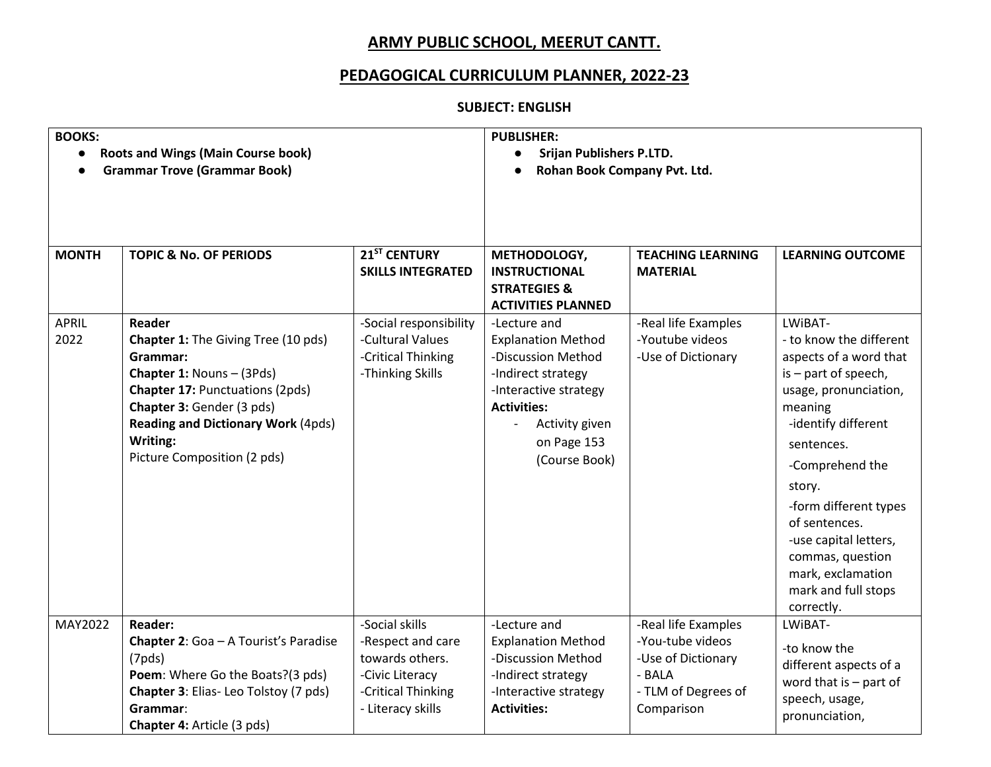## **ARMY PUBLIC SCHOOL, MEERUT CANTT.**

### **PEDAGOGICAL CURRICULUM PLANNER, 2022-23**

#### **SUBJECT: ENGLISH**

| <b>BOOKS:</b><br><b>Roots and Wings (Main Course book)</b><br><b>Grammar Trove (Grammar Book)</b> |                                                                                                                                                                                                                                                       |                                                                                                                      | <b>PUBLISHER:</b><br><b>Srijan Publishers P.LTD.</b><br>Rohan Book Company Pvt. Ltd.                                                                                                                               |                                                                                                              |                                                                                                                                                                                                                                                                                                                                             |
|---------------------------------------------------------------------------------------------------|-------------------------------------------------------------------------------------------------------------------------------------------------------------------------------------------------------------------------------------------------------|----------------------------------------------------------------------------------------------------------------------|--------------------------------------------------------------------------------------------------------------------------------------------------------------------------------------------------------------------|--------------------------------------------------------------------------------------------------------------|---------------------------------------------------------------------------------------------------------------------------------------------------------------------------------------------------------------------------------------------------------------------------------------------------------------------------------------------|
| <b>MONTH</b>                                                                                      | <b>TOPIC &amp; No. OF PERIODS</b>                                                                                                                                                                                                                     | 21 <sup>ST</sup> CENTURY<br><b>SKILLS INTEGRATED</b>                                                                 | METHODOLOGY,<br><b>INSTRUCTIONAL</b><br><b>STRATEGIES &amp;</b><br><b>ACTIVITIES PLANNED</b>                                                                                                                       | <b>TEACHING LEARNING</b><br><b>MATERIAL</b>                                                                  | <b>LEARNING OUTCOME</b>                                                                                                                                                                                                                                                                                                                     |
| <b>APRIL</b><br>2022                                                                              | Reader<br>Chapter 1: The Giving Tree (10 pds)<br>Grammar:<br>Chapter 1: Nouns - (3Pds)<br><b>Chapter 17: Punctuations (2pds)</b><br>Chapter 3: Gender (3 pds)<br><b>Reading and Dictionary Work (4pds)</b><br>Writing:<br>Picture Composition (2 pds) | -Social responsibility<br>-Cultural Values<br>-Critical Thinking<br>-Thinking Skills                                 | -Lecture and<br><b>Explanation Method</b><br>-Discussion Method<br>-Indirect strategy<br>-Interactive strategy<br><b>Activities:</b><br>Activity given<br>$\overline{\phantom{a}}$<br>on Page 153<br>(Course Book) | -Real life Examples<br>-Youtube videos<br>-Use of Dictionary                                                 | LWIBAT-<br>- to know the different<br>aspects of a word that<br>is - part of speech,<br>usage, pronunciation,<br>meaning<br>-identify different<br>sentences.<br>-Comprehend the<br>story.<br>-form different types<br>of sentences.<br>-use capital letters,<br>commas, question<br>mark, exclamation<br>mark and full stops<br>correctly. |
| MAY2022                                                                                           | <b>Reader:</b><br>Chapter 2: Goa - A Tourist's Paradise<br>(7pds)<br>Poem: Where Go the Boats?(3 pds)<br>Chapter 3: Elias-Leo Tolstoy (7 pds)<br>Grammar:<br>Chapter 4: Article (3 pds)                                                               | -Social skills<br>-Respect and care<br>towards others.<br>-Civic Literacy<br>-Critical Thinking<br>- Literacy skills | -Lecture and<br><b>Explanation Method</b><br>-Discussion Method<br>-Indirect strategy<br>-Interactive strategy<br><b>Activities:</b>                                                                               | -Real life Examples<br>-You-tube videos<br>-Use of Dictionary<br>- BALA<br>- TLM of Degrees of<br>Comparison | LWIBAT-<br>-to know the<br>different aspects of a<br>word that is $-$ part of<br>speech, usage,<br>pronunciation,                                                                                                                                                                                                                           |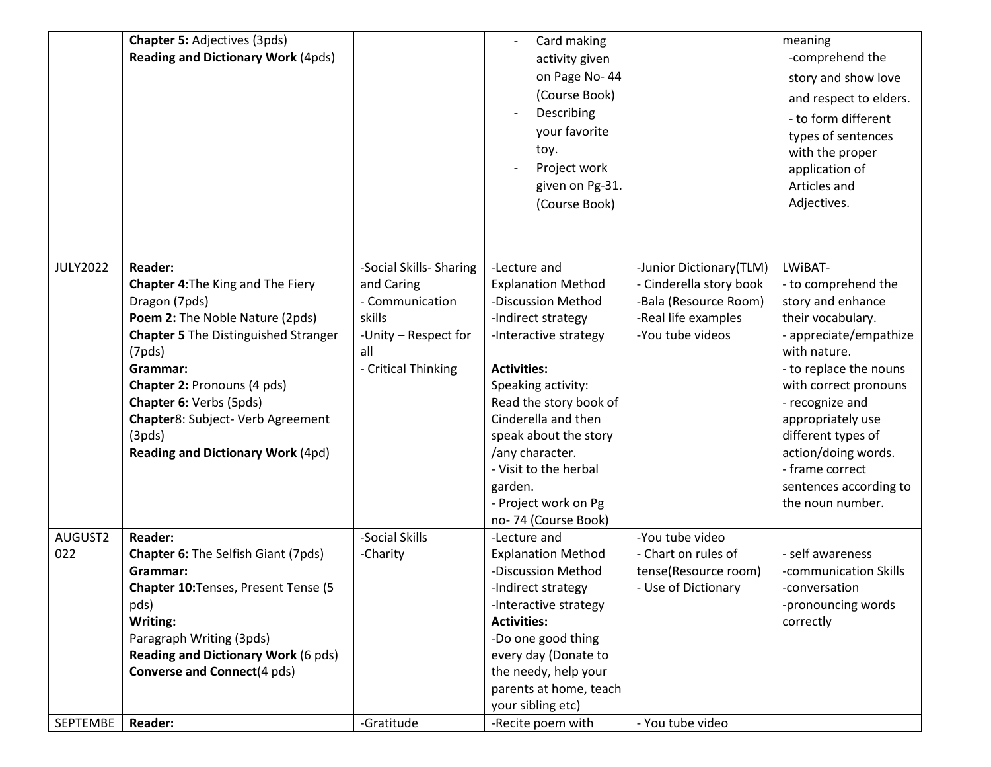| SEPTEMBE        | <b>Reader:</b>                              | -Gratitude              | -Recite poem with                           | - You tube video        |                        |
|-----------------|---------------------------------------------|-------------------------|---------------------------------------------|-------------------------|------------------------|
|                 |                                             |                         | parents at home, teach<br>your sibling etc) |                         |                        |
|                 | <b>Converse and Connect</b> (4 pds)         |                         | the needy, help your                        |                         |                        |
|                 | <b>Reading and Dictionary Work (6 pds)</b>  |                         | every day (Donate to                        |                         |                        |
|                 | Paragraph Writing (3pds)                    |                         | -Do one good thing                          |                         |                        |
|                 | Writing:                                    |                         | <b>Activities:</b>                          |                         | correctly              |
|                 | pds)                                        |                         | -Interactive strategy                       |                         | -pronouncing words     |
|                 | Chapter 10: Tenses, Present Tense (5        |                         | -Indirect strategy                          | - Use of Dictionary     | -conversation          |
|                 | Grammar:                                    |                         | -Discussion Method                          | tense(Resource room)    | -communication Skills  |
| 022             | <b>Chapter 6:</b> The Selfish Giant (7pds)  | -Charity                | <b>Explanation Method</b>                   | - Chart on rules of     | - self awareness       |
| AUGUST2         | <b>Reader:</b>                              | -Social Skills          | no-74 (Course Book)<br>-Lecture and         | -You tube video         |                        |
|                 |                                             |                         | - Project work on Pg                        |                         | the noun number.       |
|                 |                                             |                         | garden.                                     |                         | sentences according to |
|                 |                                             |                         | - Visit to the herbal                       |                         | - frame correct        |
|                 | <b>Reading and Dictionary Work (4pd)</b>    |                         | /any character.                             |                         | action/doing words.    |
|                 | (3pds)                                      |                         | speak about the story                       |                         | different types of     |
|                 | Chapter8: Subject- Verb Agreement           |                         | Cinderella and then                         |                         | appropriately use      |
|                 | Chapter 6: Verbs (5pds)                     |                         | Read the story book of                      |                         | - recognize and        |
|                 | Chapter 2: Pronouns (4 pds)                 |                         | Speaking activity:                          |                         | with correct pronouns  |
|                 | Grammar:                                    | - Critical Thinking     | <b>Activities:</b>                          |                         | - to replace the nouns |
|                 | (7pds)                                      | all                     |                                             |                         | with nature.           |
|                 | <b>Chapter 5 The Distinguished Stranger</b> | -Unity - Respect for    | -Interactive strategy                       | -You tube videos        | - appreciate/empathize |
|                 | Poem 2: The Noble Nature (2pds)             | skills                  | -Indirect strategy                          | -Real life examples     | their vocabulary.      |
|                 | Dragon (7pds)                               | - Communication         | -Discussion Method                          | -Bala (Resource Room)   | story and enhance      |
|                 | <b>Chapter 4: The King and The Fiery</b>    | and Caring              | <b>Explanation Method</b>                   | - Cinderella story book | - to comprehend the    |
| <b>JULY2022</b> | <b>Reader:</b>                              | -Social Skills- Sharing | -Lecture and                                | -Junior Dictionary(TLM) | LWIBAT-                |
|                 |                                             |                         |                                             |                         |                        |
|                 |                                             |                         |                                             |                         |                        |
|                 |                                             |                         | (Course Book)                               |                         | Adjectives.            |
|                 |                                             |                         | given on Pg-31.                             |                         | Articles and           |
|                 |                                             |                         | Project work                                |                         | application of         |
|                 |                                             |                         | toy.                                        |                         | with the proper        |
|                 |                                             |                         | your favorite                               |                         | types of sentences     |
|                 |                                             |                         | Describing                                  |                         | - to form different    |
|                 |                                             |                         | (Course Book)                               |                         | and respect to elders. |
|                 |                                             |                         | on Page No-44                               |                         | story and show love    |
|                 | <b>Reading and Dictionary Work (4pds)</b>   |                         | activity given                              |                         | -comprehend the        |
|                 | <b>Chapter 5: Adjectives (3pds)</b>         |                         | Card making                                 |                         | meaning                |
|                 |                                             |                         |                                             |                         |                        |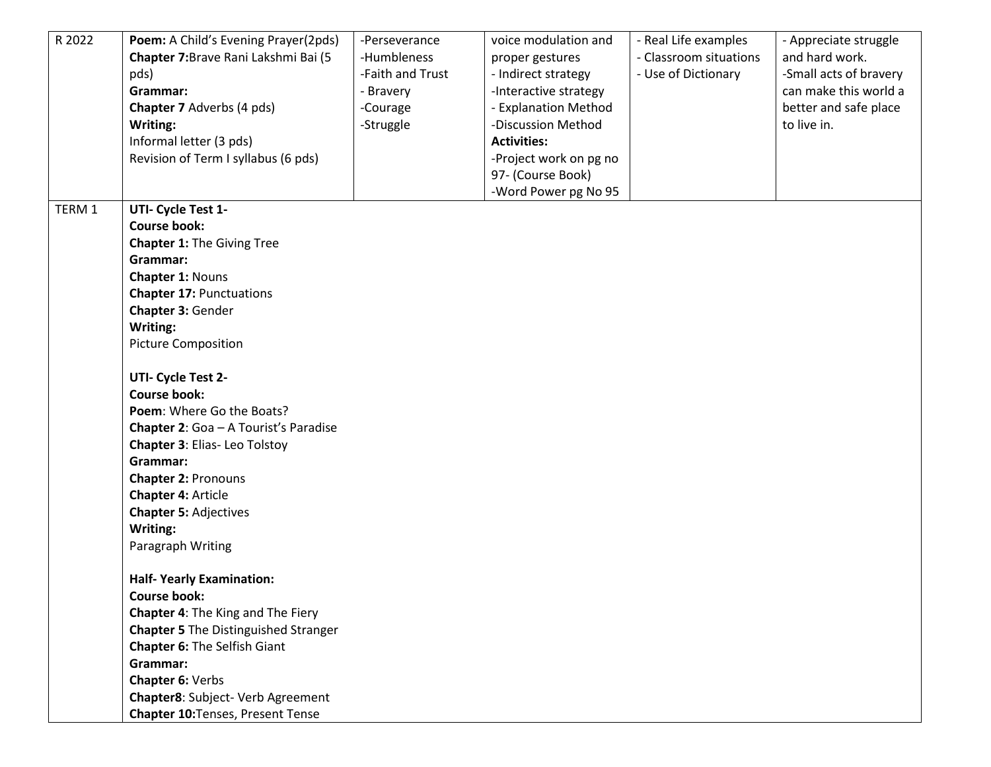| R 2022 | Poem: A Child's Evening Prayer(2pds)<br>Chapter 7: Brave Rani Lakshmi Bai (5<br>pds)<br>Grammar:<br><b>Chapter 7</b> Adverbs (4 pds) | -Perseverance<br>-Humbleness<br>-Faith and Trust<br>- Bravery<br>-Courage | voice modulation and<br>proper gestures<br>- Indirect strategy<br>-Interactive strategy<br>- Explanation Method | - Real Life examples<br>- Classroom situations<br>- Use of Dictionary | - Appreciate struggle<br>and hard work.<br>-Small acts of bravery<br>can make this world a<br>better and safe place |
|--------|--------------------------------------------------------------------------------------------------------------------------------------|---------------------------------------------------------------------------|-----------------------------------------------------------------------------------------------------------------|-----------------------------------------------------------------------|---------------------------------------------------------------------------------------------------------------------|
|        | Writing:                                                                                                                             | -Struggle                                                                 | -Discussion Method                                                                                              |                                                                       | to live in.                                                                                                         |
|        | Informal letter (3 pds)                                                                                                              |                                                                           | <b>Activities:</b>                                                                                              |                                                                       |                                                                                                                     |
|        | Revision of Term I syllabus (6 pds)                                                                                                  |                                                                           | -Project work on pg no                                                                                          |                                                                       |                                                                                                                     |
|        |                                                                                                                                      |                                                                           | 97- (Course Book)                                                                                               |                                                                       |                                                                                                                     |
| TERM 1 | UTI- Cycle Test 1-                                                                                                                   |                                                                           | -Word Power pg No 95                                                                                            |                                                                       |                                                                                                                     |
|        | <b>Course book:</b>                                                                                                                  |                                                                           |                                                                                                                 |                                                                       |                                                                                                                     |
|        | <b>Chapter 1: The Giving Tree</b>                                                                                                    |                                                                           |                                                                                                                 |                                                                       |                                                                                                                     |
|        | Grammar:                                                                                                                             |                                                                           |                                                                                                                 |                                                                       |                                                                                                                     |
|        | Chapter 1: Nouns                                                                                                                     |                                                                           |                                                                                                                 |                                                                       |                                                                                                                     |
|        | <b>Chapter 17: Punctuations</b>                                                                                                      |                                                                           |                                                                                                                 |                                                                       |                                                                                                                     |
|        | Chapter 3: Gender                                                                                                                    |                                                                           |                                                                                                                 |                                                                       |                                                                                                                     |
|        | Writing:                                                                                                                             |                                                                           |                                                                                                                 |                                                                       |                                                                                                                     |
|        | <b>Picture Composition</b>                                                                                                           |                                                                           |                                                                                                                 |                                                                       |                                                                                                                     |
|        | UTI- Cycle Test 2-                                                                                                                   |                                                                           |                                                                                                                 |                                                                       |                                                                                                                     |
|        | <b>Course book:</b>                                                                                                                  |                                                                           |                                                                                                                 |                                                                       |                                                                                                                     |
|        | Poem: Where Go the Boats?                                                                                                            |                                                                           |                                                                                                                 |                                                                       |                                                                                                                     |
|        | Chapter 2: Goa - A Tourist's Paradise                                                                                                |                                                                           |                                                                                                                 |                                                                       |                                                                                                                     |
|        | <b>Chapter 3: Elias-Leo Tolstoy</b>                                                                                                  |                                                                           |                                                                                                                 |                                                                       |                                                                                                                     |
|        | Grammar:                                                                                                                             |                                                                           |                                                                                                                 |                                                                       |                                                                                                                     |
|        | <b>Chapter 2: Pronouns</b>                                                                                                           |                                                                           |                                                                                                                 |                                                                       |                                                                                                                     |
|        | <b>Chapter 4: Article</b>                                                                                                            |                                                                           |                                                                                                                 |                                                                       |                                                                                                                     |
|        | <b>Chapter 5: Adjectives</b>                                                                                                         |                                                                           |                                                                                                                 |                                                                       |                                                                                                                     |
|        | Writing:                                                                                                                             |                                                                           |                                                                                                                 |                                                                       |                                                                                                                     |
|        | Paragraph Writing                                                                                                                    |                                                                           |                                                                                                                 |                                                                       |                                                                                                                     |
|        | <b>Half-Yearly Examination:</b>                                                                                                      |                                                                           |                                                                                                                 |                                                                       |                                                                                                                     |
|        | <b>Course book:</b>                                                                                                                  |                                                                           |                                                                                                                 |                                                                       |                                                                                                                     |
|        | Chapter 4: The King and The Fiery                                                                                                    |                                                                           |                                                                                                                 |                                                                       |                                                                                                                     |
|        | <b>Chapter 5 The Distinguished Stranger</b>                                                                                          |                                                                           |                                                                                                                 |                                                                       |                                                                                                                     |
|        | Chapter 6: The Selfish Giant                                                                                                         |                                                                           |                                                                                                                 |                                                                       |                                                                                                                     |
|        | Grammar:                                                                                                                             |                                                                           |                                                                                                                 |                                                                       |                                                                                                                     |
|        | Chapter 6: Verbs                                                                                                                     |                                                                           |                                                                                                                 |                                                                       |                                                                                                                     |
|        | Chapter8: Subject- Verb Agreement                                                                                                    |                                                                           |                                                                                                                 |                                                                       |                                                                                                                     |
|        | <b>Chapter 10: Tenses, Present Tense</b>                                                                                             |                                                                           |                                                                                                                 |                                                                       |                                                                                                                     |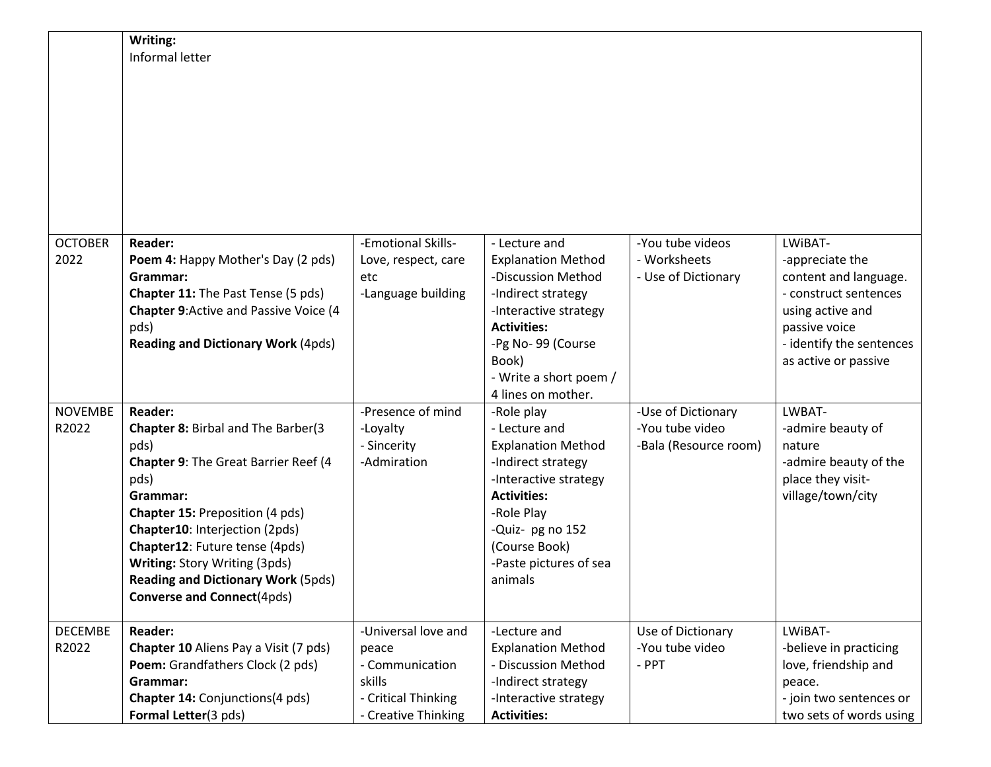|                | Writing:                                     |                     |                           |                       |                          |
|----------------|----------------------------------------------|---------------------|---------------------------|-----------------------|--------------------------|
|                | Informal letter                              |                     |                           |                       |                          |
|                |                                              |                     |                           |                       |                          |
|                |                                              |                     |                           |                       |                          |
|                |                                              |                     |                           |                       |                          |
|                |                                              |                     |                           |                       |                          |
|                |                                              |                     |                           |                       |                          |
|                |                                              |                     |                           |                       |                          |
|                |                                              |                     |                           |                       |                          |
|                |                                              |                     |                           |                       |                          |
|                |                                              |                     |                           |                       |                          |
|                |                                              |                     |                           |                       |                          |
| <b>OCTOBER</b> | <b>Reader:</b>                               | -Emotional Skills-  | - Lecture and             | -You tube videos      | LWIBAT-                  |
| 2022           | Poem 4: Happy Mother's Day (2 pds)           | Love, respect, care | <b>Explanation Method</b> | - Worksheets          | -appreciate the          |
|                | Grammar:                                     | etc                 | -Discussion Method        | - Use of Dictionary   | content and language.    |
|                | <b>Chapter 11:</b> The Past Tense (5 pds)    | -Language building  | -Indirect strategy        |                       | - construct sentences    |
|                | <b>Chapter 9:Active and Passive Voice (4</b> |                     | -Interactive strategy     |                       | using active and         |
|                | pds)                                         |                     | <b>Activities:</b>        |                       | passive voice            |
|                | <b>Reading and Dictionary Work (4pds)</b>    |                     | -Pg No-99 (Course         |                       | - identify the sentences |
|                |                                              |                     | Book)                     |                       | as active or passive     |
|                |                                              |                     | - Write a short poem /    |                       |                          |
|                |                                              |                     | 4 lines on mother.        |                       |                          |
| <b>NOVEMBE</b> | <b>Reader:</b>                               | -Presence of mind   | -Role play                | -Use of Dictionary    | LWBAT-                   |
| R2022          | Chapter 8: Birbal and The Barber(3           | -Loyalty            | - Lecture and             | -You tube video       | -admire beauty of        |
|                | pds)                                         | - Sincerity         | <b>Explanation Method</b> | -Bala (Resource room) | nature                   |
|                | Chapter 9: The Great Barrier Reef (4         | -Admiration         | -Indirect strategy        |                       | -admire beauty of the    |
|                | pds)                                         |                     | -Interactive strategy     |                       | place they visit-        |
|                | Grammar:                                     |                     | <b>Activities:</b>        |                       | village/town/city        |
|                | <b>Chapter 15: Preposition (4 pds)</b>       |                     | -Role Play                |                       |                          |
|                | Chapter10: Interjection (2pds)               |                     | -Quiz- pg no 152          |                       |                          |
|                | Chapter12: Future tense (4pds)               |                     | (Course Book)             |                       |                          |
|                | Writing: Story Writing (3pds)                |                     | -Paste pictures of sea    |                       |                          |
|                | <b>Reading and Dictionary Work (5pds)</b>    |                     | animals                   |                       |                          |
|                | <b>Converse and Connect</b> (4pds)           |                     |                           |                       |                          |
|                |                                              |                     |                           |                       |                          |
| <b>DECEMBE</b> | <b>Reader:</b>                               | -Universal love and | -Lecture and              | Use of Dictionary     | LWIBAT-                  |
| R2022          | Chapter 10 Aliens Pay a Visit (7 pds)        | peace               | <b>Explanation Method</b> | -You tube video       | -believe in practicing   |
|                | Poem: Grandfathers Clock (2 pds)             | - Communication     | - Discussion Method       | - PPT                 | love, friendship and     |
|                | Grammar:                                     | skills              | -Indirect strategy        |                       | peace.                   |
|                | Chapter 14: Conjunctions(4 pds)              | - Critical Thinking | -Interactive strategy     |                       | - join two sentences or  |
|                | Formal Letter(3 pds)                         | - Creative Thinking | <b>Activities:</b>        |                       | two sets of words using  |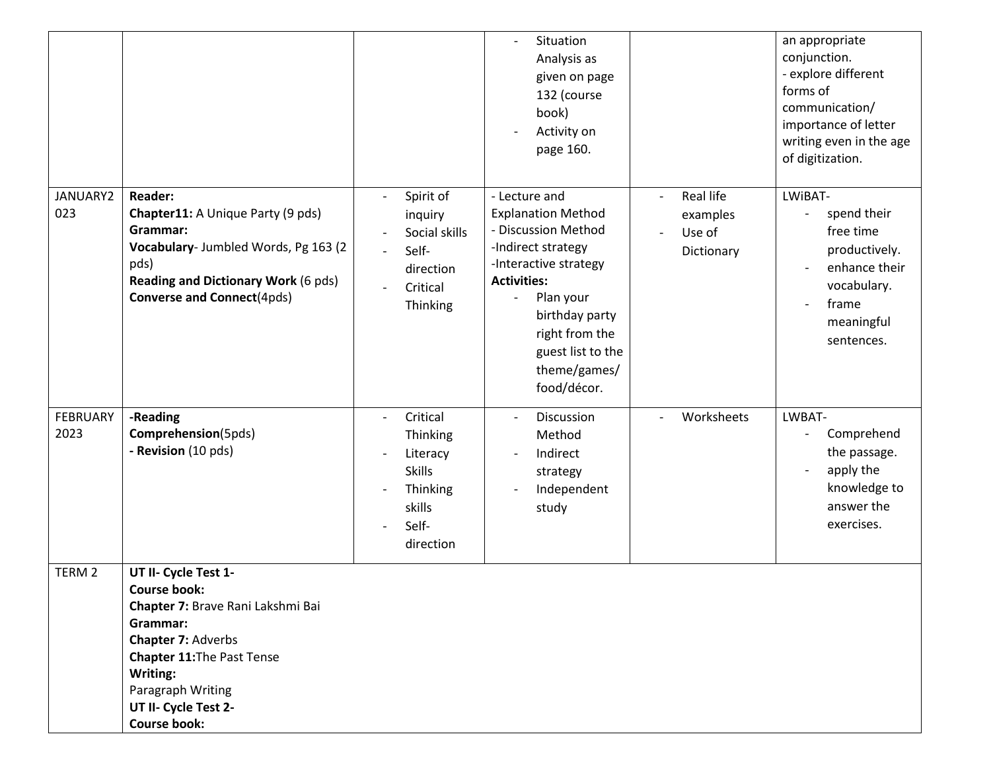|                         |                                                                                                                                                                                                                                  |                                                                                                                           | Situation<br>$\overline{\phantom{a}}$<br>Analysis as<br>given on page<br>132 (course<br>book)<br>Activity on<br>page 160.                                                                                                                                               |                                                                           | an appropriate<br>conjunction.<br>- explore different<br>forms of<br>communication/<br>importance of letter<br>writing even in the age<br>of digitization. |
|-------------------------|----------------------------------------------------------------------------------------------------------------------------------------------------------------------------------------------------------------------------------|---------------------------------------------------------------------------------------------------------------------------|-------------------------------------------------------------------------------------------------------------------------------------------------------------------------------------------------------------------------------------------------------------------------|---------------------------------------------------------------------------|------------------------------------------------------------------------------------------------------------------------------------------------------------|
| JANUARY2<br>023         | <b>Reader:</b><br>Chapter11: A Unique Party (9 pds)<br>Grammar:<br>Vocabulary- Jumbled Words, Pg 163 (2<br>pds)<br><b>Reading and Dictionary Work (6 pds)</b><br><b>Converse and Connect(4pds)</b>                               | Spirit of<br>inquiry<br>Social skills<br>Self-<br>direction<br>Critical<br>Thinking                                       | - Lecture and<br><b>Explanation Method</b><br>- Discussion Method<br>-Indirect strategy<br>-Interactive strategy<br><b>Activities:</b><br>Plan your<br>$\overline{\phantom{0}}$<br>birthday party<br>right from the<br>guest list to the<br>theme/games/<br>food/décor. | Real life<br>$\overline{\phantom{a}}$<br>examples<br>Use of<br>Dictionary | LWIBAT-<br>spend their<br>free time<br>productively.<br>enhance their<br>vocabulary.<br>frame<br>meaningful<br>sentences.                                  |
| <b>FEBRUARY</b><br>2023 | -Reading<br>Comprehension(5pds)<br>- Revision (10 pds)                                                                                                                                                                           | Critical<br>$\overline{\phantom{a}}$<br>Thinking<br>Literacy<br><b>Skills</b><br>Thinking<br>skills<br>Self-<br>direction | Discussion<br>$\overline{\phantom{a}}$<br>Method<br>Indirect<br>strategy<br>Independent<br>study                                                                                                                                                                        | Worksheets<br>$\overline{\phantom{a}}$                                    | LWBAT-<br>Comprehend<br>the passage.<br>apply the<br>knowledge to<br>answer the<br>exercises.                                                              |
| TERM <sub>2</sub>       | UT II- Cycle Test 1-<br><b>Course book:</b><br>Chapter 7: Brave Rani Lakshmi Bai<br>Grammar:<br>Chapter 7: Adverbs<br>Chapter 11: The Past Tense<br>Writing:<br>Paragraph Writing<br>UT II- Cycle Test 2-<br><b>Course book:</b> |                                                                                                                           |                                                                                                                                                                                                                                                                         |                                                                           |                                                                                                                                                            |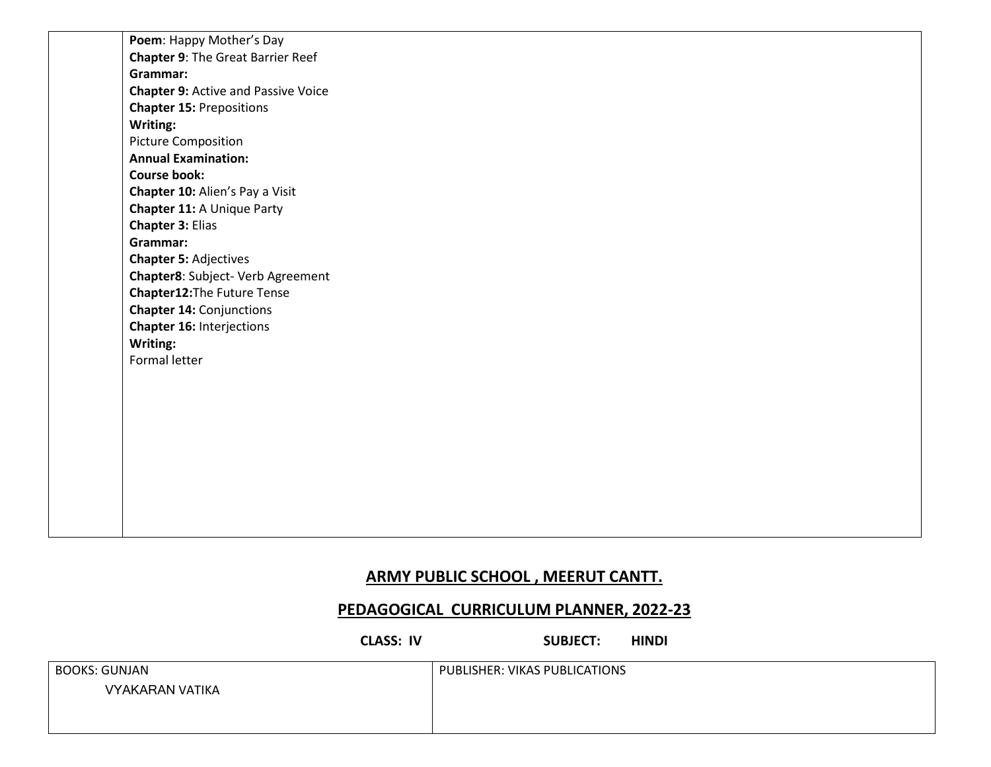**Poem**: Happy Mother's Day **Chapter 9**: The Great Barrier Reef **Grammar: Chapter 9:** Active and Passive Voice **Chapter 15:** Prepositions **Writing:** Picture Composition **Annual Examination: Course book: Chapter 10:** Alien's Pay a Visit **Chapter 11:** A Unique Party **Chapter 3:** Elias **Grammar: Chapter 5:** Adjectives **Chapter8**: Subject- Verb Agreement **Chapter12:**The Future Tense **Chapter 14:** Conjunctions **Chapter 16:** Interjections **Writing:** Formal letter

#### **ARMY PUBLIC SCHOOL , MEERUT CANTT.**

#### **PEDAGOGICAL CURRICULUM PLANNER, 2022-23**

**CLASS: IV SUBJECT: HINDI** 

| <b>BOOKS: GUNJAN</b>   | PUBLISHER: VIKAS PUBLICATIONS |
|------------------------|-------------------------------|
| <b>VYAKARAN VATIKA</b> |                               |
|                        |                               |
|                        |                               |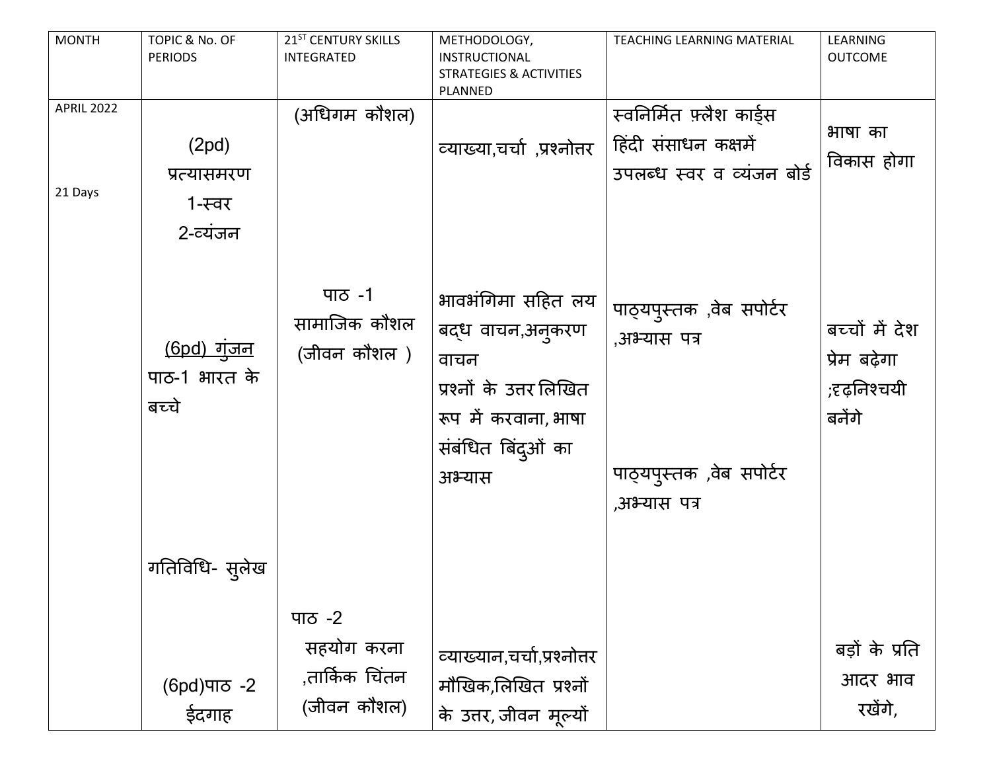| <b>MONTH</b>                 | TOPIC & No. OF<br><b>PERIODS</b>             | 21 <sup>ST</sup> CENTURY SKILLS<br><b>INTEGRATED</b>  | METHODOLOGY,<br>INSTRUCTIONAL<br><b>STRATEGIES &amp; ACTIVITIES</b><br>PLANNED                                                   | TEACHING LEARNING MATERIAL                                                           | LEARNING<br><b>OUTCOME</b>                               |
|------------------------------|----------------------------------------------|-------------------------------------------------------|----------------------------------------------------------------------------------------------------------------------------------|--------------------------------------------------------------------------------------|----------------------------------------------------------|
| <b>APRIL 2022</b><br>21 Days | (2pd)<br>प्रत्यासमरण<br>1-स्वर<br>2-व्यंजन   | (अधिगम कौशल)                                          | व्याख्या,चर्चा ,प्रश्नोत्तर                                                                                                      | स्वनिर्मित फ़्लैश कार्ड्स<br>हिंदी संसाधन कक्षमें<br>उपलब्ध स्वर व व्यंजन बोर्ड      | भाषा का<br>विकास होगा                                    |
|                              | <u>(6pd) गुंजन</u><br>पाठ-1 भारत के<br>बच्चे | पाठ -1<br>सामाजिक कौशल<br>(जीवन कौशल )                | भावभंगिमा सहित लय<br>बद्ध वाचन,अनुकरण<br>वाचन<br>प्रश्नों के उत्तर लिखित<br>रूप में करवाना, भाषा<br>संबंधित बिंद्ओं का<br>अभ्यास | पाठ्यपुस्तक, वेब सपोर्टर<br>,अभ्यास पत्र<br>पाठ्यपुस्तक, वेब सपोर्टर<br>,अभ्यास पत्र | बच्चों में देश<br>प्रेम बढ़ेगा<br>;दृढ़निश्चयी<br>बनेंगे |
|                              | गतिविधि- स् <b>लेख</b>                       |                                                       |                                                                                                                                  |                                                                                      |                                                          |
|                              | (6pd) ਧਾਠ -2<br>ईदगाह                        | पाठ -2<br>सहयोग करना<br>,तार्किक चिंतन<br>(जीवन कौशल) | व्याख्यान,चर्चा,प्रश्नोत्तर<br>मौखिक,लिखित प्रश्नों<br>के उत्तर, जीवन मूल्यों                                                    |                                                                                      | बड़ों के प्रति<br>आदर भाव<br>रखेंगे,                     |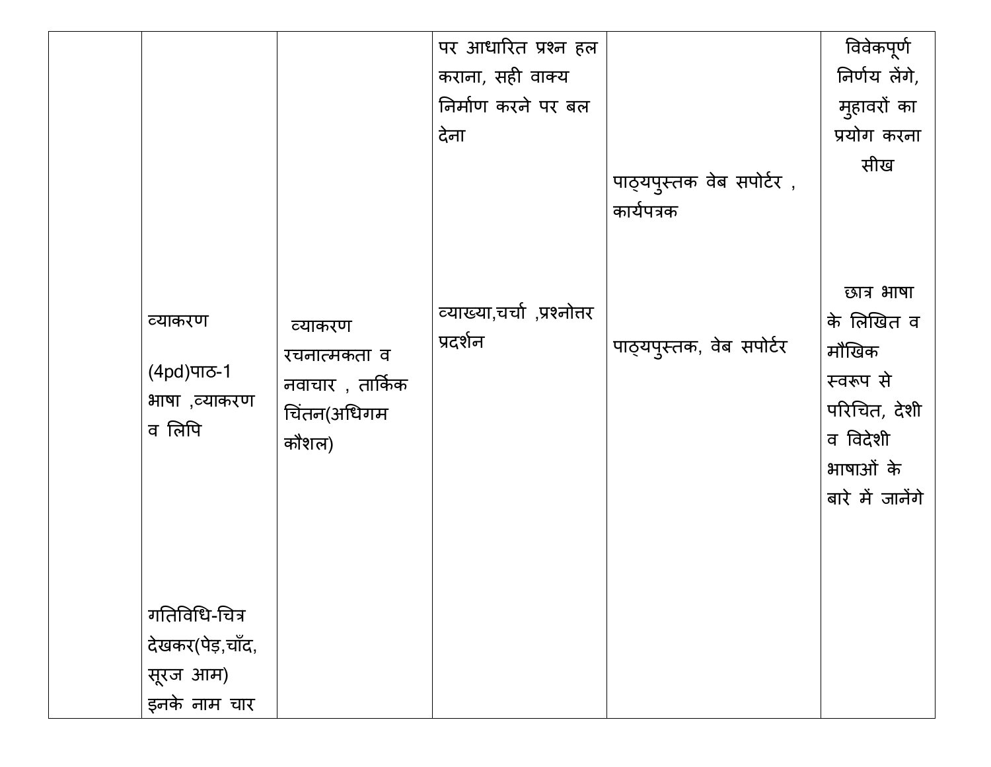|                                                  |                                                                     | पर आधारित प्रश्न हल                     |                                        | विवेकपूर्ण                                                                                                  |
|--------------------------------------------------|---------------------------------------------------------------------|-----------------------------------------|----------------------------------------|-------------------------------------------------------------------------------------------------------------|
|                                                  |                                                                     | कराना, सही वाक्य                        |                                        | निर्णय लेंगे,                                                                                               |
|                                                  |                                                                     | निर्माण करने पर बल                      |                                        | मुहावरों का                                                                                                 |
|                                                  |                                                                     | देना                                    |                                        | प्रयोग करना                                                                                                 |
|                                                  |                                                                     |                                         | पाठ्यपुस्तक वेब सपोर्टर,<br>कार्यपत्रक | सीख                                                                                                         |
| व्याकरण<br>(4pd)पाठ-1<br>भाषा ,व्याकरण<br>व लिपि | व्याकरण<br>रचनात्मकता व<br>नवाचार , तार्किक<br>चिंतन(अधिगम<br>कौशल) | व्याख्या,चर्चा ,प्रश्नोत्तर<br>प्रदर्शन | पाठ्यपुस्तक, वेब सपोर्टर               | छात्र भाषा<br>के लिखित व<br>मौखिक<br>स्वरूप से<br>परिचित, देशी<br>व विदेशी<br>भाषाओं के<br>बारे में जानेंगे |
| गतिविधि-चित्र                                    |                                                                     |                                         |                                        |                                                                                                             |
| देखकर(पेड़,चाँद,                                 |                                                                     |                                         |                                        |                                                                                                             |
| सूरज आम)                                         |                                                                     |                                         |                                        |                                                                                                             |
| इनके नाम चार                                     |                                                                     |                                         |                                        |                                                                                                             |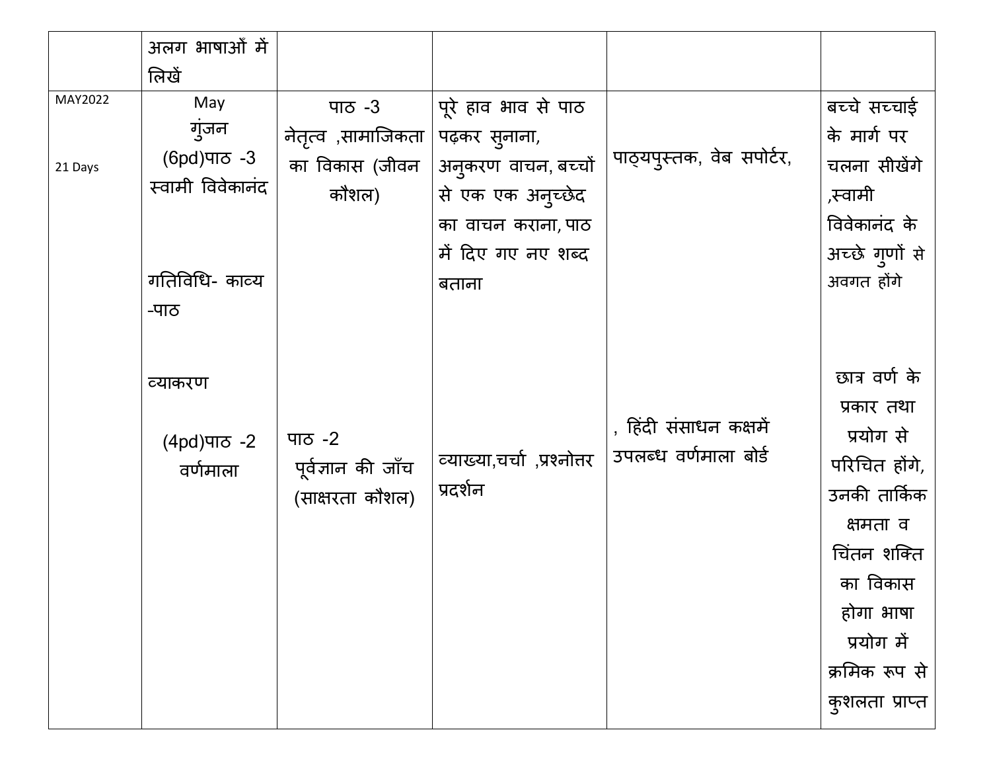|                    | अलग भाषाओं में                                   |                                                           |                                                                                                        |                                                 |                                                                                                                                                                                |
|--------------------|--------------------------------------------------|-----------------------------------------------------------|--------------------------------------------------------------------------------------------------------|-------------------------------------------------|--------------------------------------------------------------------------------------------------------------------------------------------------------------------------------|
|                    | लिखें                                            |                                                           |                                                                                                        |                                                 |                                                                                                                                                                                |
| MAY2022<br>21 Days | May<br>गुंजन<br>(6pd) ਧਾਠ -3<br>स्वामी विवेकानंद | पाठ $-3$<br>नेतृत्व ,सामाजिकता<br>का विकास (जीवन<br>कौशल) | पूरे हाव भाव से पाठ<br>पढ़कर सुनाना,<br>अनुकरण वाचन, बच्चों<br>से एक एक अनुच्छेद<br>का वाचन कराना, पाठ | पाठ्यपुस्तक, वेब सपोर्टर,                       | बच्चे सच्चाई<br>के मार्ग पर<br>चलना सीखेंगे<br>,स्वामी<br>विवेकानंद के                                                                                                         |
|                    | गतिविधि- काव्य<br>-पाठ                           |                                                           | में दिए गए नए शब्द<br>बताना                                                                            |                                                 | अच्छे गुणों से<br>अवगत होंगे                                                                                                                                                   |
|                    | व्याकरण<br>$(4pd)$ ਧਾਠ -2<br>वर्णमाला            | पाठ $-2$<br>पूर्वज्ञान की जाँच<br>(साक्षरता कौशल)         | व्याख्या,चर्चा,प्रश्नोत्तर<br>प्रदर्शन                                                                 | , हिंदी संसाधन कक्षमें<br>उपलब्ध वर्णमाला बोर्ड | छात्र वर्ण के<br>प्रकार तथा<br>प्रयोग से<br>परिचित होंगे,<br>उनकी तार्किक<br>क्षमता व<br>चिंतन शक्ति<br>का विकास<br>होगा भाषा<br>प्रयोग में<br>क्रमिक रूप से<br>कुशलता प्राप्त |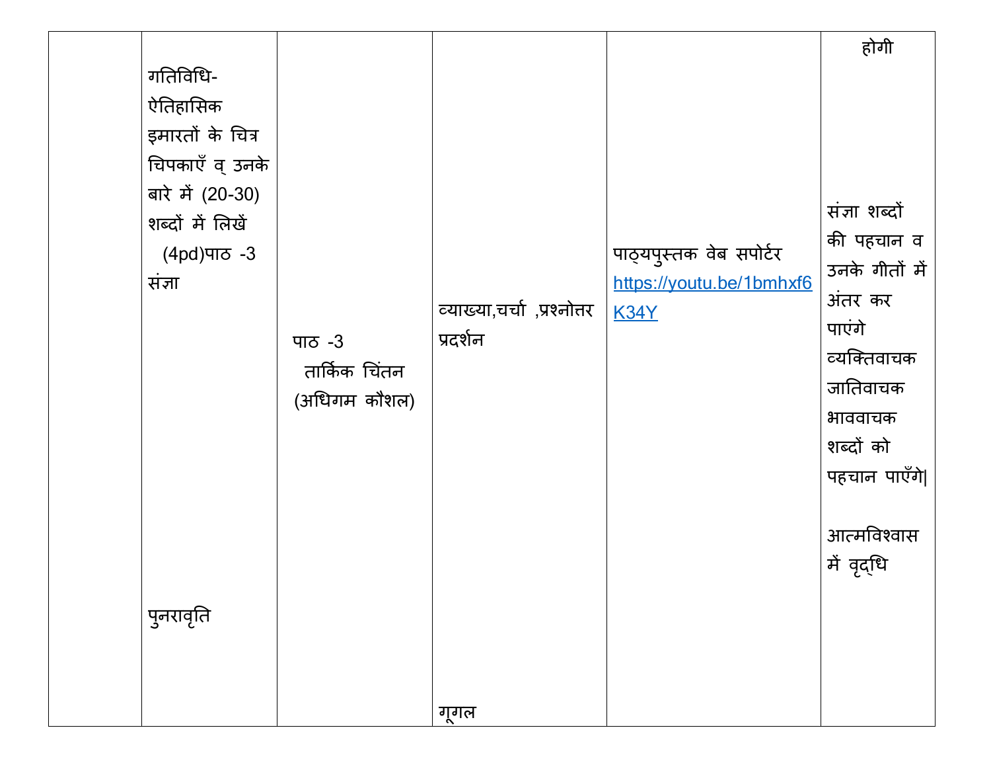|                  |               |                            |                          | होगी           |
|------------------|---------------|----------------------------|--------------------------|----------------|
| गतिविधि-         |               |                            |                          |                |
| ऐतिहासिक         |               |                            |                          |                |
| इमारतों के चित्र |               |                            |                          |                |
| चिपकाएँ व् उनके  |               |                            |                          |                |
| बारे में (20-30) |               |                            |                          |                |
| शब्दों में लिखें |               |                            |                          | संज्ञा शब्दों  |
| $(4pd)$ ਧਾਠ -3   |               |                            | पाठ्यपुस्तक वेब सपोर्टर  | की पहचान व     |
| संज्ञा           |               |                            | https://youtu.be/1bmhxf6 | उनके गीतों में |
|                  |               | व्याख्या,चर्चा,प्रश्नोत्तर | <b>K34Y</b>              | अंतर कर        |
|                  | पाठ $-3$      | प्रदर्शन                   |                          | पाएंगे         |
|                  | तार्किक चिंतन |                            |                          | व्यक्तिवाचक    |
|                  | (अधिगम कौशल)  |                            |                          | जातिवाचक       |
|                  |               |                            |                          | भाववाचक        |
|                  |               |                            |                          | शब्दों को      |
|                  |               |                            |                          | पहचान पाएँगे   |
|                  |               |                            |                          |                |
|                  |               |                            |                          | आत्मविश्वास    |
|                  |               |                            |                          | में वृद्धि     |
|                  |               |                            |                          |                |
| पुनरावृति        |               |                            |                          |                |
|                  |               |                            |                          |                |
|                  |               |                            |                          |                |
|                  |               | गूगल                       |                          |                |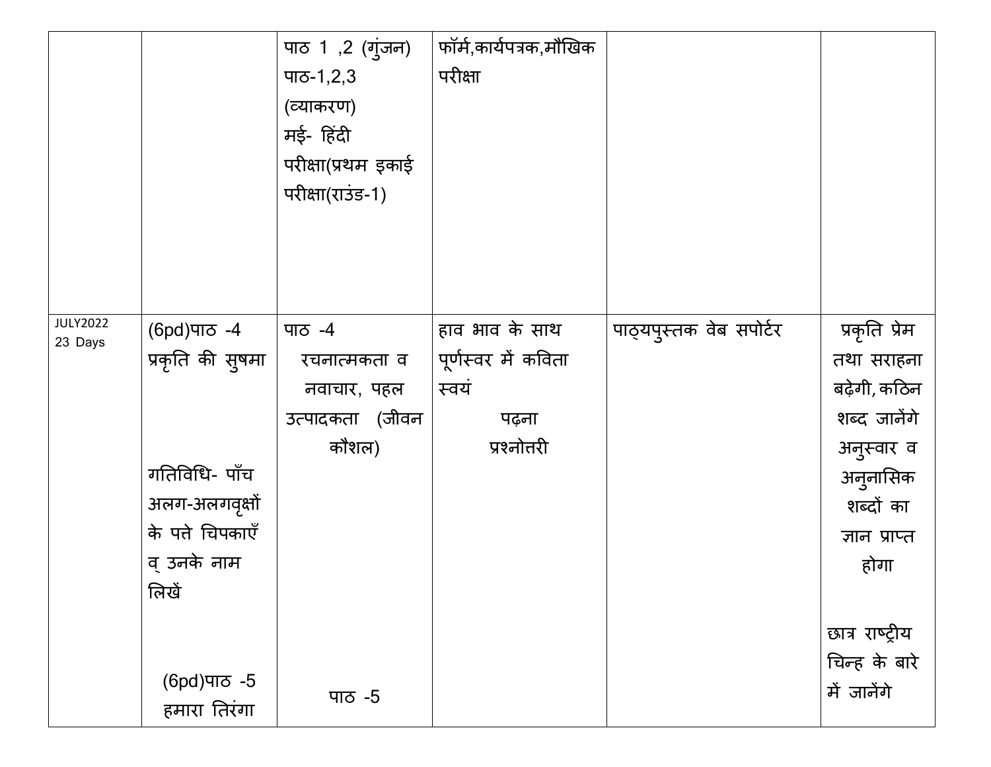|                 |                         | पाठ 1,2 (गुंजन)    | फॉर्म,कार्यपत्रक,मौखिक |                         |                 |
|-----------------|-------------------------|--------------------|------------------------|-------------------------|-----------------|
|                 |                         | पाठ-1,2,3          | परीक्षा                |                         |                 |
|                 |                         | (व्याकरण)          |                        |                         |                 |
|                 |                         | मई- हिंदी          |                        |                         |                 |
|                 |                         | परीक्षा(प्रथम इकाई |                        |                         |                 |
|                 |                         | परीक्षा(राउंड-1)   |                        |                         |                 |
|                 |                         |                    |                        |                         |                 |
|                 |                         |                    |                        |                         |                 |
|                 |                         |                    |                        |                         |                 |
| <b>JULY2022</b> |                         |                    |                        |                         |                 |
| 23 Days         | (6pd)पाਠ -4             | पाठ -4             | हाव भाव के साथ         | पाठ्यपुस्तक वेब सपोर्टर | प्रकृति प्रेम   |
|                 | प्रकृति की सुषमा        | रचनात्मकता व       | पूर्णस्वर में कविता    |                         | तथा सराहना      |
|                 |                         | नवाचार, पहल        | स्वयं                  |                         | बढ़ेगी, कठिन    |
|                 |                         | उत्पादकता (जीवन    | पढ़ना                  |                         | शब्द जानेंगे    |
|                 |                         | कौशल)              | प्रश्नोत्तरी           |                         | अनुस्वार व      |
|                 | गतिविधि- पाँच           |                    |                        |                         | अनुनासिक        |
|                 | अलग-अलगवृक्षों          |                    |                        |                         | शब्दों का       |
|                 | के पते चिपकाएँ          |                    |                        |                         | ज्ञान प्राप्त   |
|                 | व् उनके नाम             |                    |                        |                         | होगा            |
|                 | लिखें                   |                    |                        |                         |                 |
|                 |                         |                    |                        |                         | छात्र राष्ट्रीय |
|                 |                         |                    |                        |                         | चिन्ह के बारे   |
|                 | (6pd) ਧਾਠ <sub>-5</sub> |                    |                        |                         | में जानेंगे     |
|                 | हमारा तिरंगा            | पाठ -5             |                        |                         |                 |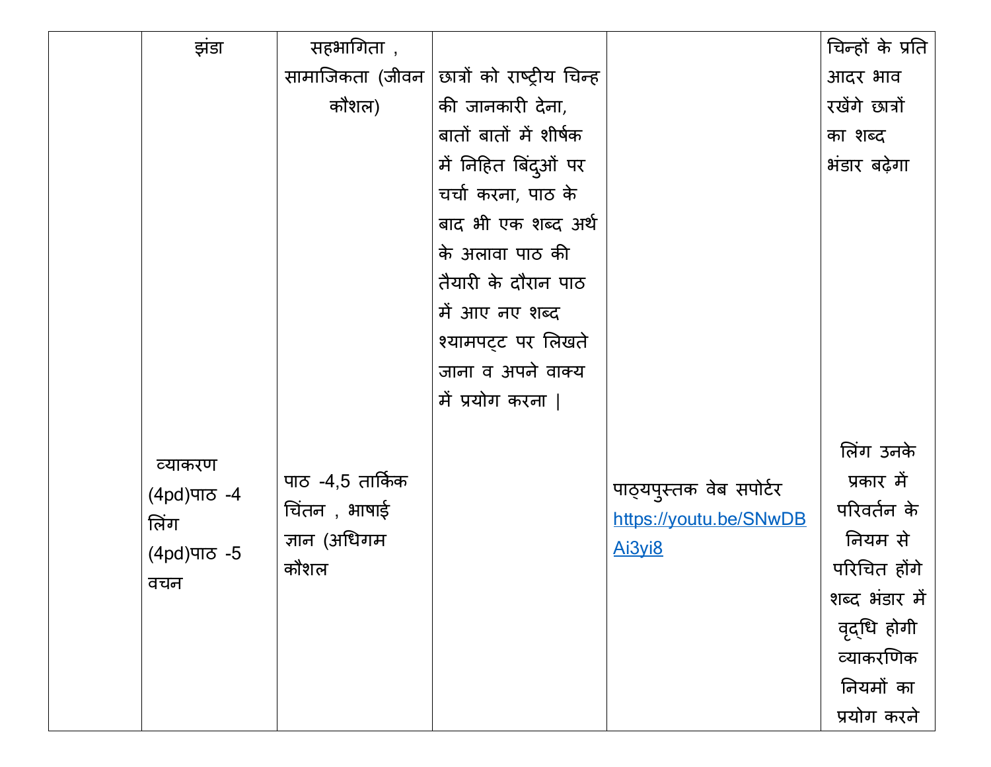| झंडा          | सहभागिता),       |                            |                         | चिन्हों के प्रति |
|---------------|------------------|----------------------------|-------------------------|------------------|
|               | सामाजिकता (जीवन  | छात्रों को राष्ट्रीय चिन्ह |                         | आदर भाव          |
|               | कौशल)            | की जानकारी देना,           |                         | रखेंगे छात्रों   |
|               |                  | बातों बातों में शीर्षक     |                         | का शब्द          |
|               |                  | में निहित बिंदुओं पर       |                         | भंडार बढ़ेगा     |
|               |                  | चर्चा करना, पाठ के         |                         |                  |
|               |                  | बाद भी एक शब्द अर्थ        |                         |                  |
|               |                  | के अलावा पाठ की            |                         |                  |
|               |                  | तैयारी के दौरान पाठ        |                         |                  |
|               |                  | में आए नए शब्द             |                         |                  |
|               |                  | श्यामपट्ट पर लिखते         |                         |                  |
|               |                  | जाना व अपने वाक्य          |                         |                  |
|               |                  | में प्रयोग करना            |                         |                  |
|               |                  |                            |                         |                  |
| व्याकरण       |                  |                            |                         | लिंग उनके        |
| (4pd) ਧਾਠ -4  | पाठ -4,5 तार्किक |                            | पाठ्यपुस्तक वेब सपोर्टर | प्रकार में       |
| लिंग          | चिंतन , भाषाई    |                            | https://youtu.be/SNwDB  | परिवर्तन के      |
| (4pd) ਯਾਨ - 5 | ज्ञान (अधिगम     |                            | Ai3vi8                  | नियम से          |
| वचन           | कौशल             |                            |                         | परिचित होंगे     |
|               |                  |                            |                         | शब्द भंडार में   |
|               |                  |                            |                         | वृद्धि होगी      |
|               |                  |                            |                         | व्याकरणिक        |
|               |                  |                            |                         | नियमों का        |
|               |                  |                            |                         | प्रयोग करने      |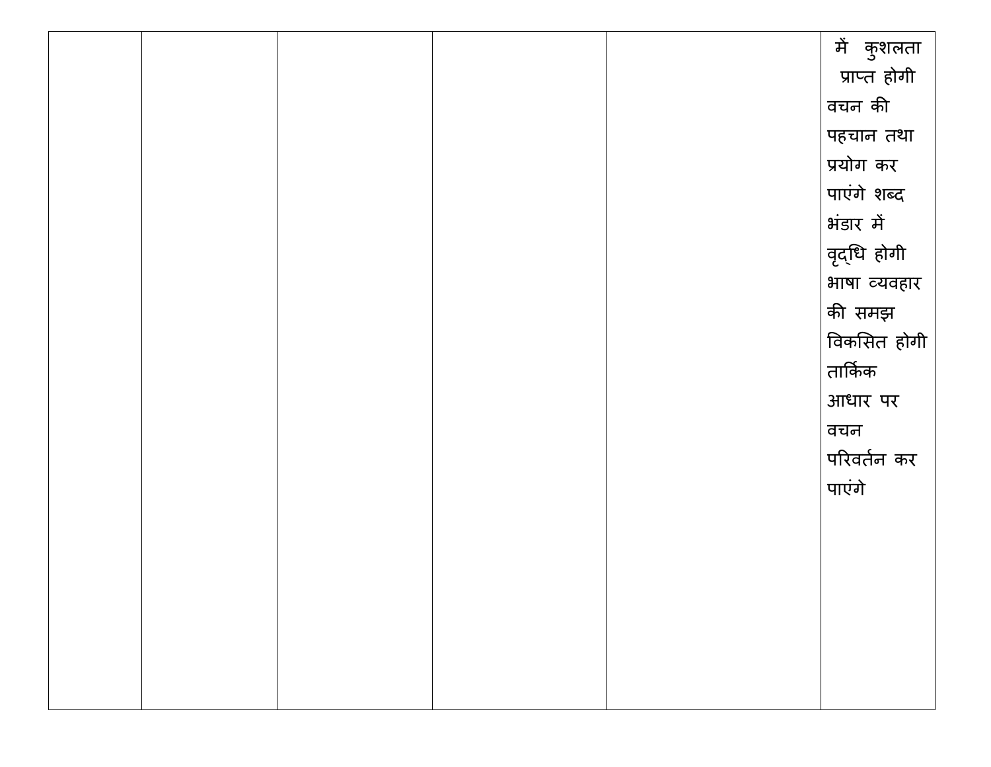|  |  | में कुशलता   |
|--|--|--------------|
|  |  | प्राप्त होगी |
|  |  | वचन की       |
|  |  | पहचान तथा    |
|  |  | प्रयोग कर    |
|  |  | पाएंगे शब्द  |
|  |  | भंडार में    |
|  |  | वृद्धि होगी  |
|  |  | भाषा व्यवहार |
|  |  | की समझ       |
|  |  | विकसित होगी  |
|  |  | तार्किक      |
|  |  | आधार पर      |
|  |  | वचन          |
|  |  | परिवर्तन कर  |
|  |  | पाएंगे       |
|  |  |              |
|  |  |              |
|  |  |              |
|  |  |              |
|  |  |              |
|  |  |              |
|  |  |              |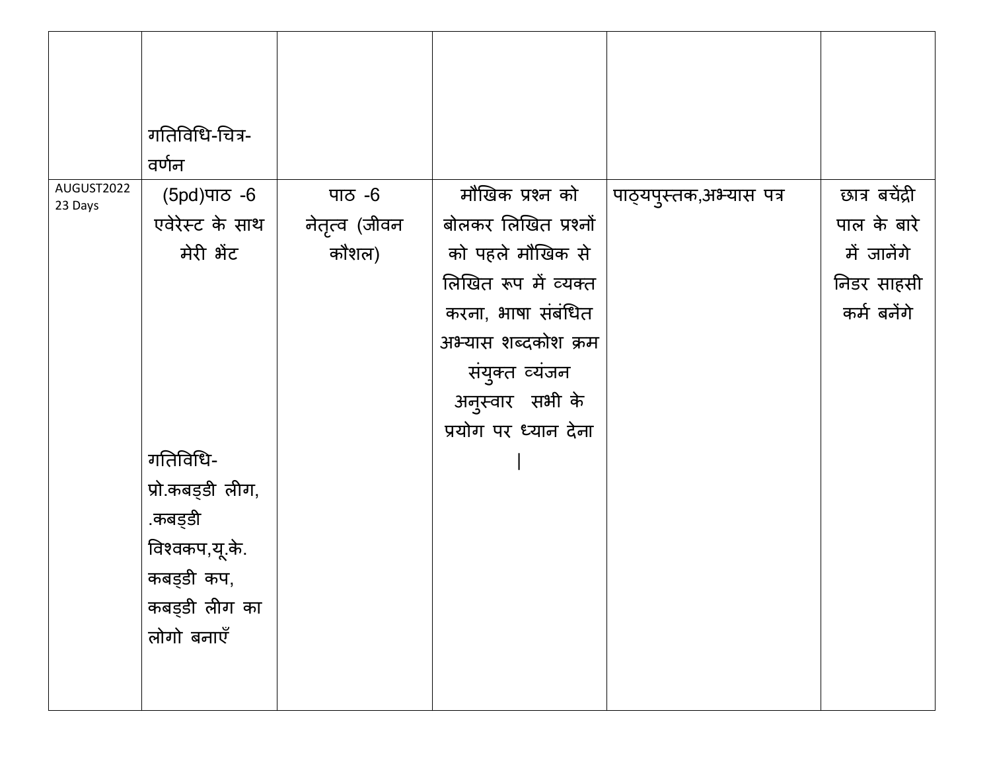|                       | गतिविधि-चित्र-<br>वर्णन |               |                      |                         |                |
|-----------------------|-------------------------|---------------|----------------------|-------------------------|----------------|
| AUGUST2022<br>23 Days | (5pd) ਧਾਠ <sub>-6</sub> | पाठ $-6$      | मौखिक प्रश्न को      | पाठ्यपुस्तक,अभ्यास पत्र | छात्र बचेंद्री |
|                       | एवेरेस्ट के साथ         | नेतृत्व (जीवन | बोलकर लिखित प्रश्नों |                         | पाल के बारे    |
|                       | मेरी भेंट               | कौशल)         | को पहले मौखिक से     |                         | में जानेंगे    |
|                       |                         |               | लिखित रूप में व्यक्त |                         | निडर साहसी     |
|                       |                         |               | करना, भाषा संबंधित   |                         | कर्म बनेंगे    |
|                       |                         |               | अभ्यास शब्दकोश क्रम  |                         |                |
|                       |                         |               | संयुक्त व्यंजन       |                         |                |
|                       |                         |               | अनुस्वार सभी के      |                         |                |
|                       |                         |               | प्रयोग पर ध्यान देना |                         |                |
|                       | गतिविधि-                |               |                      |                         |                |
|                       | प्रो.कबड्डी लीग,        |               |                      |                         |                |
|                       | .कबड्डी                 |               |                      |                         |                |
|                       | विश्वकप,यू.के.          |               |                      |                         |                |
|                       | कबड़डी कप,              |               |                      |                         |                |
|                       | कबड्डी लीग का           |               |                      |                         |                |
|                       | लोगो बनाएँ              |               |                      |                         |                |
|                       |                         |               |                      |                         |                |
|                       |                         |               |                      |                         |                |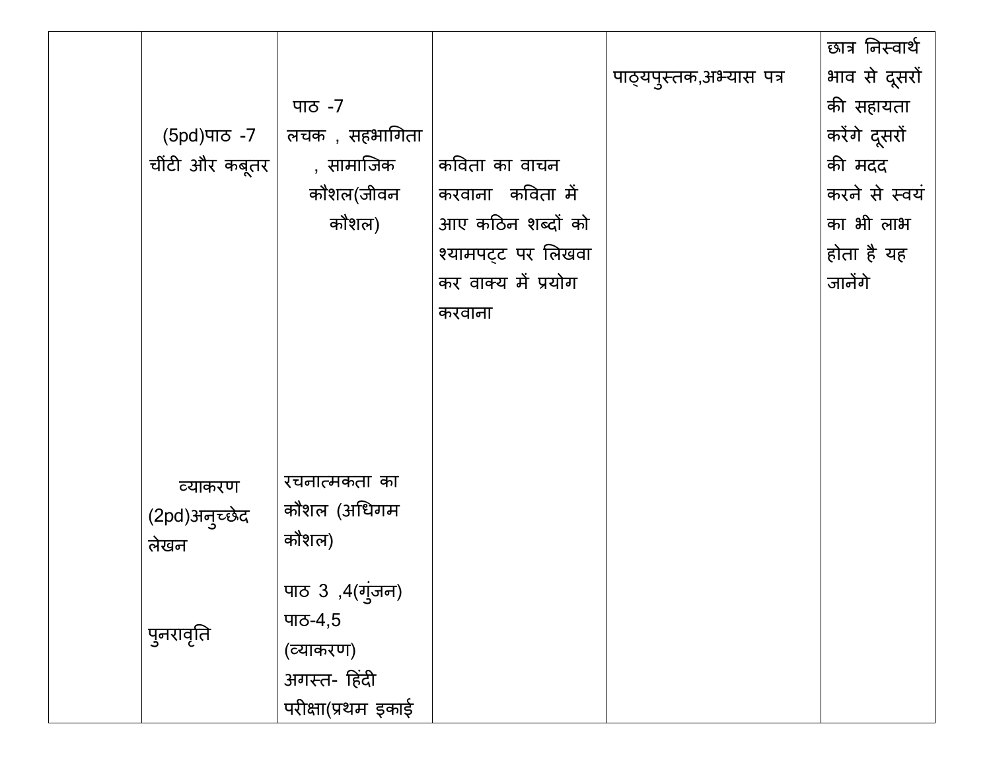|                |                    |                     |                         | छात्र निस्वार्थ |
|----------------|--------------------|---------------------|-------------------------|-----------------|
|                |                    |                     | पाठ्यपुस्तक,अभ्यास पत्र | भाव से दूसरों   |
|                | पाठ -7             |                     |                         | की सहायता       |
| (5pd)ਧਾਠ -7    | लचक , सहभागिता     |                     |                         | करेंगे दूसरों   |
| चींटी और कबूतर | , सामाजिक          | कविता का वाचन       |                         | की मदद          |
|                | कौशल(जीवन          | करवाना कविता में    |                         | करने से स्वयं   |
|                | कौशल)              | आए कठिन शब्दों को   |                         | का भी लाभ       |
|                |                    | श्यामपट्ट पर लिखवा  |                         | होता है यह      |
|                |                    | कर वाक्य में प्रयोग |                         | जानेंगे         |
|                |                    | करवाना              |                         |                 |
|                |                    |                     |                         |                 |
|                |                    |                     |                         |                 |
|                |                    |                     |                         |                 |
|                |                    |                     |                         |                 |
|                |                    |                     |                         |                 |
| व्याकरण        | रचनात्मकता का      |                     |                         |                 |
| (2pd)अनुच्छेद  | कौशल (अधिगम        |                     |                         |                 |
| लेखन           | कौशल)              |                     |                         |                 |
|                | पाठ 3 ,4(गुंजन)    |                     |                         |                 |
|                | पाठ-4,5            |                     |                         |                 |
| पुनरावृति      | (व्याकरण)          |                     |                         |                 |
|                | अगस्त- हिंदी       |                     |                         |                 |
|                | परीक्षा(प्रथम इकाई |                     |                         |                 |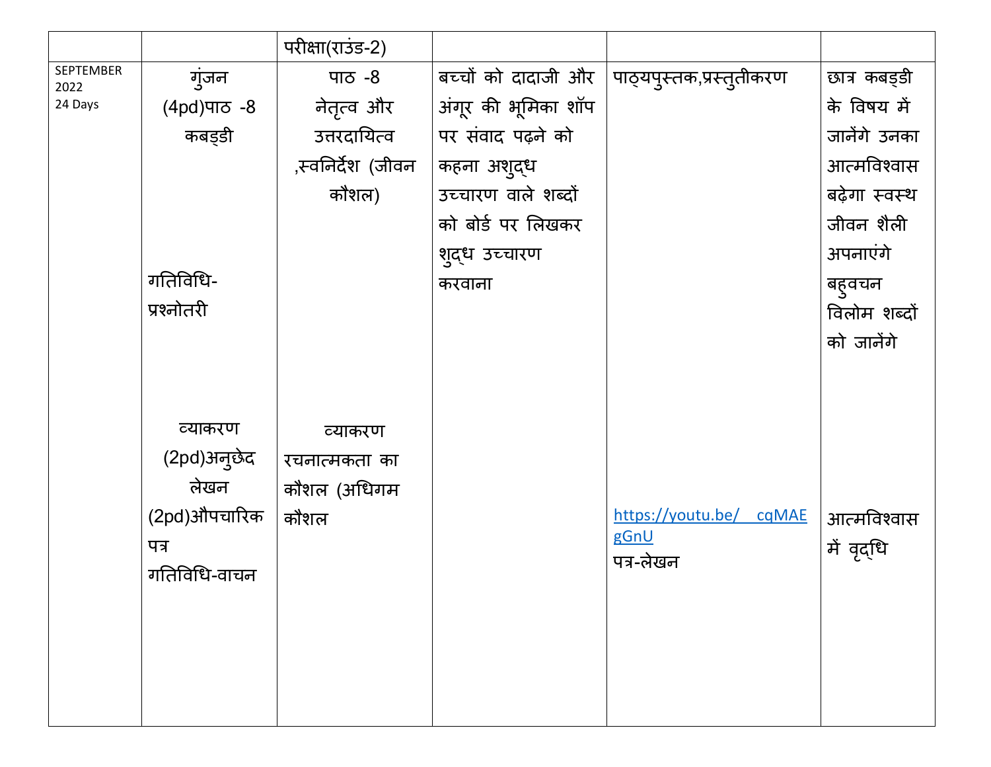|                   |                                                                        | परीक्षा(राउंड-2)                                |                     |                                              |                           |
|-------------------|------------------------------------------------------------------------|-------------------------------------------------|---------------------|----------------------------------------------|---------------------------|
| SEPTEMBER<br>2022 | गुंजन                                                                  | <u>ਧਾਨ -8</u>                                   | बच्चों को दादाजी और | पाठ्यपुस्तक,प्रस्तुतीकरण                     | छात्र कबड्डी              |
| 24 Days           | $(4pd)$ ਧਾਨ -8                                                         | नेतृत्व और                                      | अंगूर की भूमिका शॉप |                                              | के विषय में               |
|                   | कबड़डी                                                                 | उत्तरदायित्व                                    | पर संवाद पढ़ने को   |                                              | जानेंगे उनका              |
|                   |                                                                        | ,स्वनिर्देश (जीवन                               | कहना अशुद्ध         |                                              | आत्मविश्वास               |
|                   |                                                                        | कौशल)                                           | उच्चारण वाले शब्दों |                                              | बढ़ेगा स्वस्थ             |
|                   |                                                                        |                                                 | को बोर्ड पर लिखकर   |                                              | जीवन शैली                 |
|                   |                                                                        |                                                 | शुद्ध उच्चारण       |                                              | अपनाएंगे                  |
|                   | गतिविधि-                                                               |                                                 | करवाना              |                                              | बहुवचन                    |
|                   | प्रश्नोतरी                                                             |                                                 |                     |                                              | विलोम शब्दों              |
|                   |                                                                        |                                                 |                     |                                              | को जालेंगे                |
|                   | व्याकरण<br>(2pd)अनुछेद<br>लेखन<br>(2pd)औपचारिक<br>पत्र<br>गतिविधि-वाचन | व्याकरण<br>रचनात्मकता का<br>कौशल (अधिगम<br>कौशल |                     | https://youtu.be/ cqMAE<br>gGnU<br>पत्र-लेखन | आत्मविश्वास<br>में वृद्धि |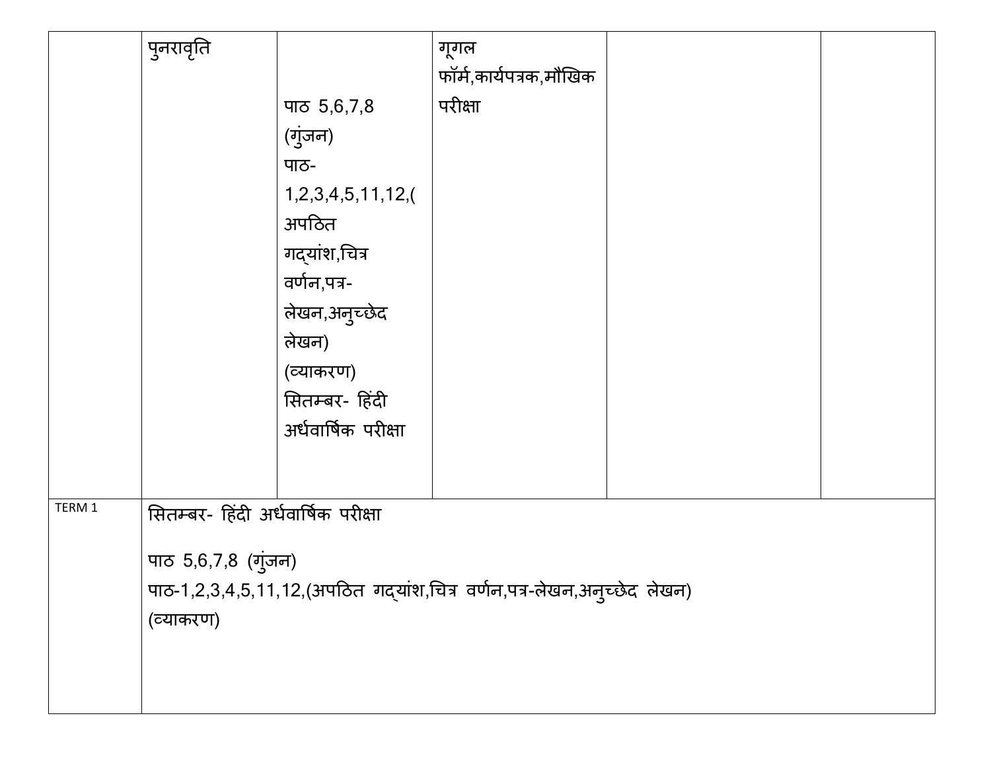|        | पुनरावृति                          |                     | गूगल                                                                    |  |
|--------|------------------------------------|---------------------|-------------------------------------------------------------------------|--|
|        |                                    |                     | फॉर्म,कार्यपत्रक,मौखिक                                                  |  |
|        |                                    | पाठ $5,6,7,8$       | परीक्षा                                                                 |  |
|        |                                    | (गुंजन)             |                                                                         |  |
|        |                                    | पाठ-                |                                                                         |  |
|        |                                    | 1,2,3,4,5,11,12,    |                                                                         |  |
|        |                                    | अपठित               |                                                                         |  |
|        |                                    | गद्यांश,चित्र       |                                                                         |  |
|        |                                    | वर्णन,पत्र-         |                                                                         |  |
|        |                                    | लेखन,अनुच्छेद       |                                                                         |  |
|        |                                    | लेखन)               |                                                                         |  |
|        |                                    | (व्याकरण)           |                                                                         |  |
|        |                                    | सितम्बर- हिंदी      |                                                                         |  |
|        |                                    | अर्धवार्षिक परीक्षा |                                                                         |  |
|        |                                    |                     |                                                                         |  |
| TERM 1 |                                    |                     |                                                                         |  |
|        | सितम्बर- हिंदी अर्धवार्षिक परीक्षा |                     |                                                                         |  |
|        | पाठ 5,6,7,8 (गुंजन)                |                     |                                                                         |  |
|        |                                    |                     | पाठ-1,2,3,4,5,11,12,(अपठित गद्यांश,चित्र वर्णन,पत्र-लेखन,अनुच्छेद लेखन) |  |
|        | (व्याकरण)                          |                     |                                                                         |  |
|        |                                    |                     |                                                                         |  |
|        |                                    |                     |                                                                         |  |
|        |                                    |                     |                                                                         |  |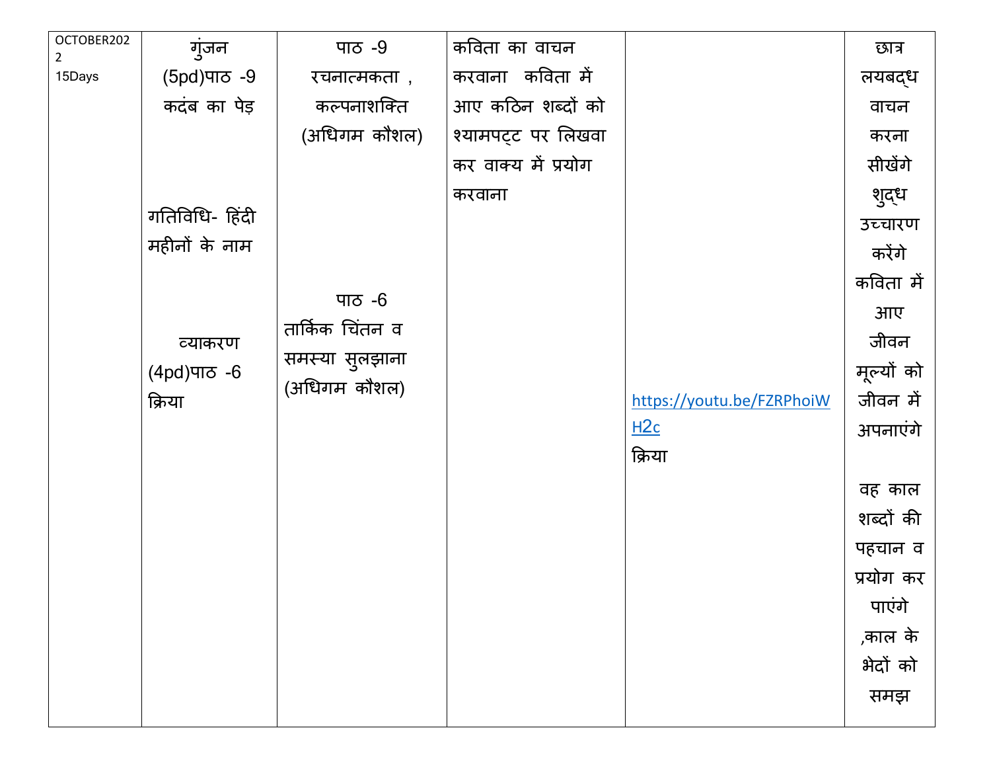| OCTOBER202<br>$\overline{a}$ | गुंजन          | पाठ -9          | कविता का वाचन       |                           | छात्र      |
|------------------------------|----------------|-----------------|---------------------|---------------------------|------------|
| 15Days                       | (5pd) ਧਾਠ -9   | रचनात्मकता ,    | करवाना कविता में    |                           | लयबद्ध     |
|                              | कदंब का पेड़   | कल्पनाशक्ति     | आए कठिन शब्दों को   |                           | वाचन       |
|                              |                | (अधिगम कौशल)    | श्यामपट्ट पर लिखवा  |                           | करना       |
|                              |                |                 | कर वाक्य में प्रयोग |                           | सीखेंगे    |
|                              |                |                 | करवाना              |                           | शुद्ध      |
|                              | गतिविधि- हिंदी |                 |                     |                           | उच्चारण    |
|                              | महीनों के नाम  |                 |                     |                           | करेंगे     |
|                              |                |                 |                     |                           | कविता में  |
|                              |                | पाठ $-6$        |                     |                           | आए         |
|                              | व्याकरण        | तार्किक चिंतन व |                     |                           | जीवन       |
|                              | (4pd) ਯਾਨ -6   | समस्या सुलझाना  |                     |                           | मूल्यों को |
|                              | क्रिया         | (अधिगम कौशल)    |                     | https://youtu.be/FZRPhoiW | जीवन में   |
|                              |                |                 |                     | H2c                       | अपनाएंगे   |
|                              |                |                 |                     | क्रिया                    |            |
|                              |                |                 |                     |                           | वह काल     |
|                              |                |                 |                     |                           | शब्दों की  |
|                              |                |                 |                     |                           | पहचान व    |
|                              |                |                 |                     |                           | प्रयोग कर  |
|                              |                |                 |                     |                           | पाएंगे     |
|                              |                |                 |                     |                           | ,काल के    |
|                              |                |                 |                     |                           | भेदों को   |
|                              |                |                 |                     |                           | समझ        |
|                              |                |                 |                     |                           |            |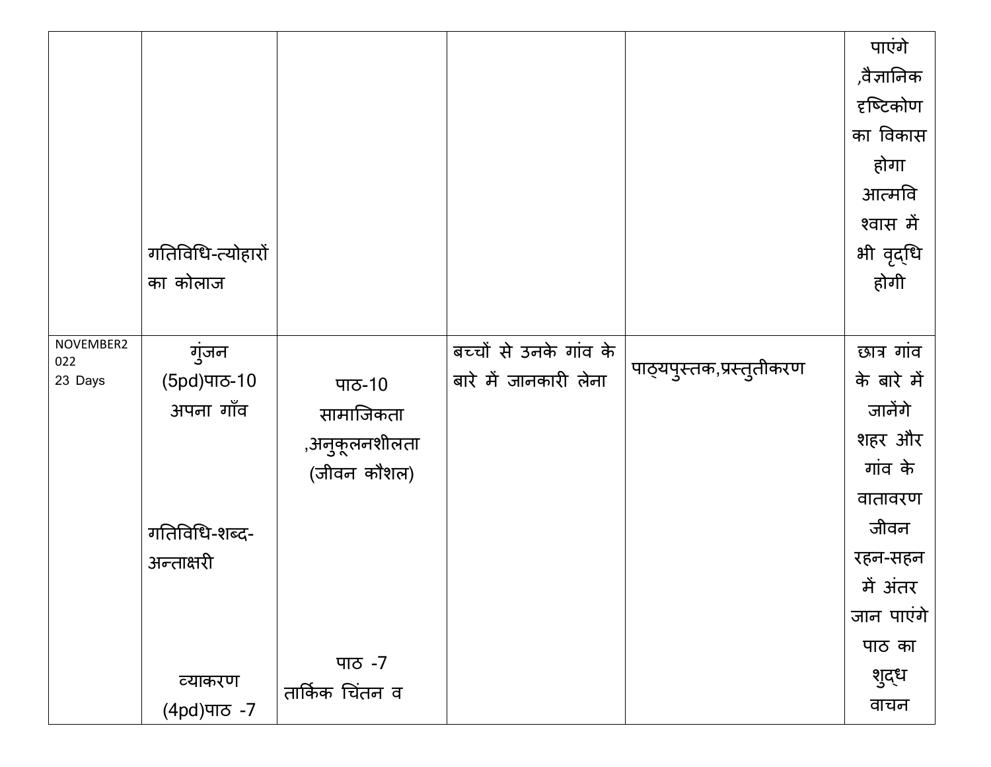|           |                   |                 |                        |                          | पाएंगे      |
|-----------|-------------------|-----------------|------------------------|--------------------------|-------------|
|           |                   |                 |                        |                          | ,वैज्ञानिक  |
|           |                   |                 |                        |                          | दृष्टिकोण   |
|           |                   |                 |                        |                          | का विकास    |
|           |                   |                 |                        |                          | होगा        |
|           |                   |                 |                        |                          | आत्मवि      |
|           |                   |                 |                        |                          | श्वास में   |
|           | गतिविधि-त्योहारों |                 |                        |                          | भी वृद्धि   |
|           | का कोलाज          |                 |                        |                          | होगी        |
|           |                   |                 |                        |                          |             |
| NOVEMBER2 |                   |                 |                        |                          |             |
| 022       | गुंजन             |                 | बच्चों से उनके गांव के | पाठ्यपुस्तक,प्रस्तुतीकरण | छात्र गांव  |
| 23 Days   | (5pd) ਧਾਠ-10      | पाठ-10          | बारे में जानकारी लेना  |                          | के बारे में |
|           | अपना गाँव         | सामाजिकता       |                        |                          | जानेंगे     |
|           |                   | ,अनुकूलनशीलता   |                        |                          | शहर और      |
|           |                   | (जीवन कौशल)     |                        |                          | गांव के     |
|           |                   |                 |                        |                          | वातावरण     |
|           | गतिविधि-शब्द-     |                 |                        |                          | जीवन        |
|           | अन्ताक्षरी        |                 |                        |                          | रहन-सहन     |
|           |                   |                 |                        |                          | में अंतर    |
|           |                   |                 |                        |                          | जान पाएंगे  |
|           |                   |                 |                        |                          | पाठ का      |
|           | व्याकरण           | पाठ -7          |                        |                          | शुद्ध       |
|           | $(4pd)$ ਧਾਠ -7    | तार्किक चिंतन व |                        |                          | वाचन        |
|           |                   |                 |                        |                          |             |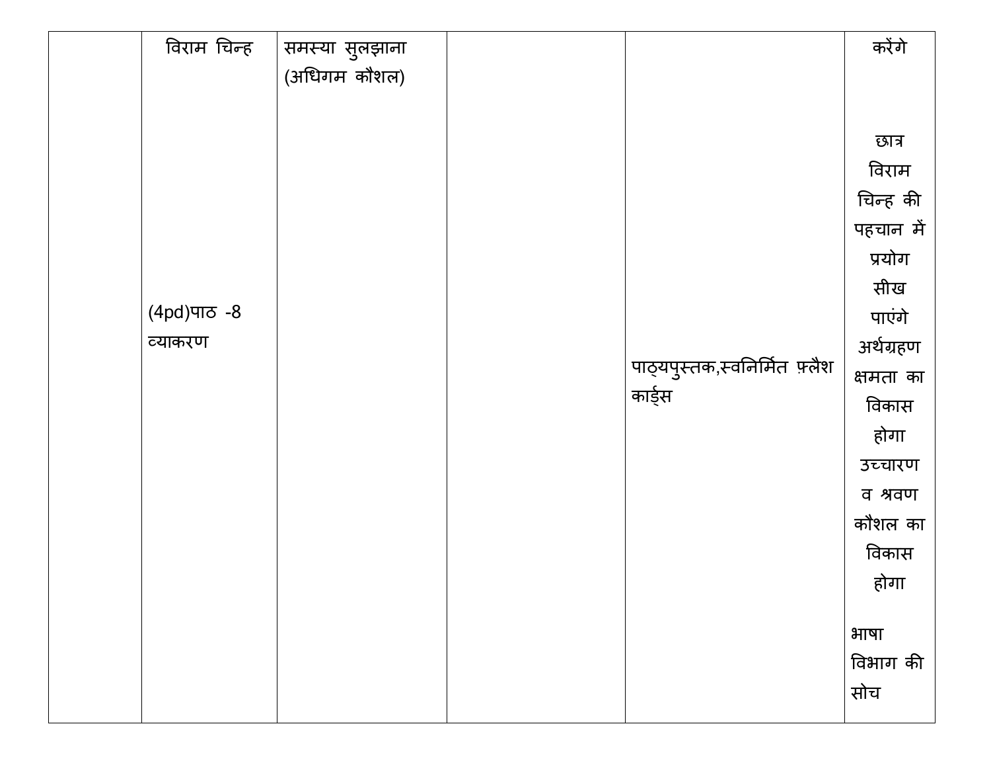| विराम चिन्ह    | समस्या सुलझाना |                               | करेंगे    |
|----------------|----------------|-------------------------------|-----------|
|                | (अधिगम कौशल)   |                               |           |
|                |                |                               |           |
|                |                |                               |           |
|                |                |                               | छात्र     |
|                |                |                               | विराम     |
|                |                |                               | चिन्ह की  |
|                |                |                               | पहचान में |
|                |                |                               | प्रयोग    |
|                |                |                               | सीख       |
| $(4pd)$ ਧਾਠ -8 |                |                               | पाएंगे    |
| व्याकरण        |                |                               |           |
|                |                | पाठ्यपुस्तक,स्वनिर्मित फ़्लैश | अर्थग्रहण |
|                |                | कार्ड्स                       | क्षमता का |
|                |                |                               | विकास     |
|                |                |                               | होगा      |
|                |                |                               | उच्चारण   |
|                |                |                               | व श्रवण   |
|                |                |                               | कौशल का   |
|                |                |                               | विकास     |
|                |                |                               |           |
|                |                |                               | होगा      |
|                |                |                               |           |
|                |                |                               | भाषा      |
|                |                |                               | विभाग की  |
|                |                |                               | सोच       |
|                |                |                               |           |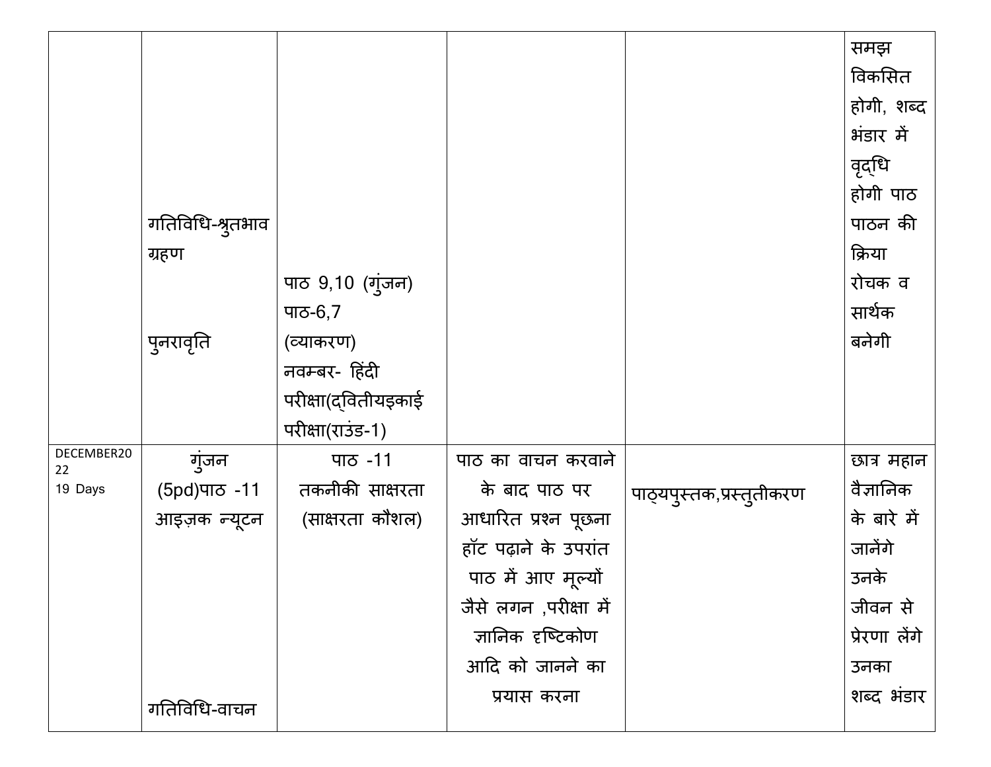|                  |                  |                     |                       |                          | समझ           |
|------------------|------------------|---------------------|-----------------------|--------------------------|---------------|
|                  |                  |                     |                       |                          | विकसित        |
|                  |                  |                     |                       |                          | होगी, शब्द    |
|                  |                  |                     |                       |                          | भंडार में     |
|                  |                  |                     |                       |                          |               |
|                  |                  |                     |                       |                          | वृद्धि        |
|                  |                  |                     |                       |                          | होगी पाठ      |
|                  | गतिविधि-श्रुतभाव |                     |                       |                          | पाठन की       |
|                  | ग्रहण            |                     |                       |                          | क्रिया        |
|                  |                  | पाठ 9,10 (गुंजन)    |                       |                          | रोचक व        |
|                  |                  | पाठ-6,7             |                       |                          | सार्थक        |
|                  | पुनरावृति        | (व्याकरण)           |                       |                          | बनेगी         |
|                  |                  | नवम्बर- हिंदी       |                       |                          |               |
|                  |                  | परीक्षा(द्वितीयइकाई |                       |                          |               |
|                  |                  | परीक्षा(राउंड-1)    |                       |                          |               |
| DECEMBER20<br>22 | गुंजन            | पाठ -11             | पाठ का वाचन करवाने    |                          | छात्र महान    |
| 19 Days          | (5pd) ਧਾਠ-11     | तकनीकी साक्षरता     | के बाद पाठ पर         | पाठ्यपुस्तक,प्रस्तुतीकरण | वैज्ञानिक     |
|                  | आइज़क न्यूटन     | (साक्षरता कौशल)     | आधारित प्रश्न पूछना   |                          | के बारे में   |
|                  |                  |                     | हॉट पढ़ाने के उपरांत  |                          | जानेंगे       |
|                  |                  |                     | पाठ में आए मूल्यों    |                          | उनके          |
|                  |                  |                     | जैसे लगन ,परीक्षा में |                          | जीवन से       |
|                  |                  |                     | ज्ञानिक दृष्टिकोण     |                          | प्रेरणा लेंगे |
|                  |                  |                     | आदि को जानने का       |                          | उनका          |
|                  | गतिविधि-वाचन     |                     | प्रयास करना           |                          | शब्द भंडार    |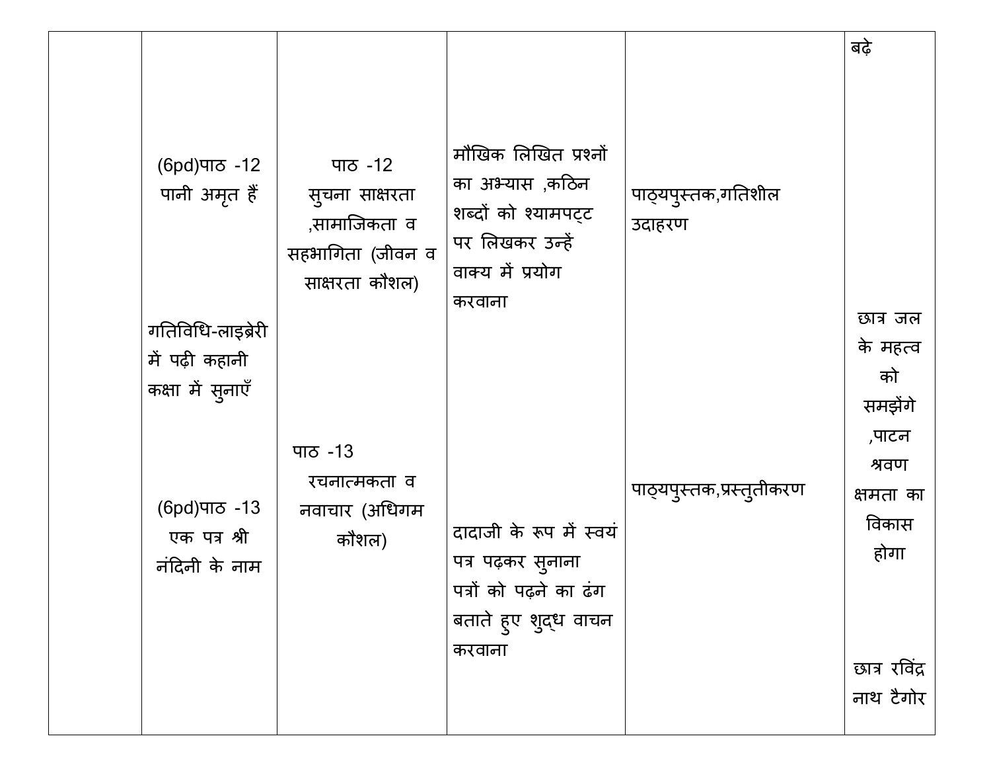| (6pd) ਧਾਠ -12<br>पानी अमृत हैं                          | ਧਾਠ -12<br>सूचना साक्षरता<br>,सामाजिकता व<br>सहभागिता (जीवन व<br>साक्षरता कौशल) | मौखिक लिखित प्रश्नों<br>का अभ्यास ,कठिन<br>शब्दों को श्यामपट्ट<br>पर लिखकर उन्हें<br>वाक्य में प्रयोग<br>करवाना | पाठ्यपुस्तक,गतिशील<br>उदाहरण | बढ़े                                         |
|---------------------------------------------------------|---------------------------------------------------------------------------------|-----------------------------------------------------------------------------------------------------------------|------------------------------|----------------------------------------------|
| गतिविधि-लाइब्रेरी<br>में पढ़ी कहानी<br>कक्षा में सुनाएँ |                                                                                 |                                                                                                                 |                              | छात्र जल<br>के महत्व<br>को<br>समझेंगे        |
| (6pd) ਧਾਠ-13<br>एक पत्र श्री<br>नंदिनी के नाम           | पाठ -13<br>रचनात्मकता व<br>नवाचार (अधिगम<br>कौशल)                               | दादाजी के रूप में स्वयं<br>पत्र पढ़कर सुनाना<br>पत्रों को पढ़ने का ढंग<br>बताते हुए शुद्ध वाचन                  | पाठ्यपुस्तक,प्रस्तुतीकरण     | ,पाटन<br>श्रवण<br>क्षमता का<br>विकास<br>होगा |
|                                                         |                                                                                 | करवाना                                                                                                          |                              | छात्र रविंद्र<br>नाथ टैगोर                   |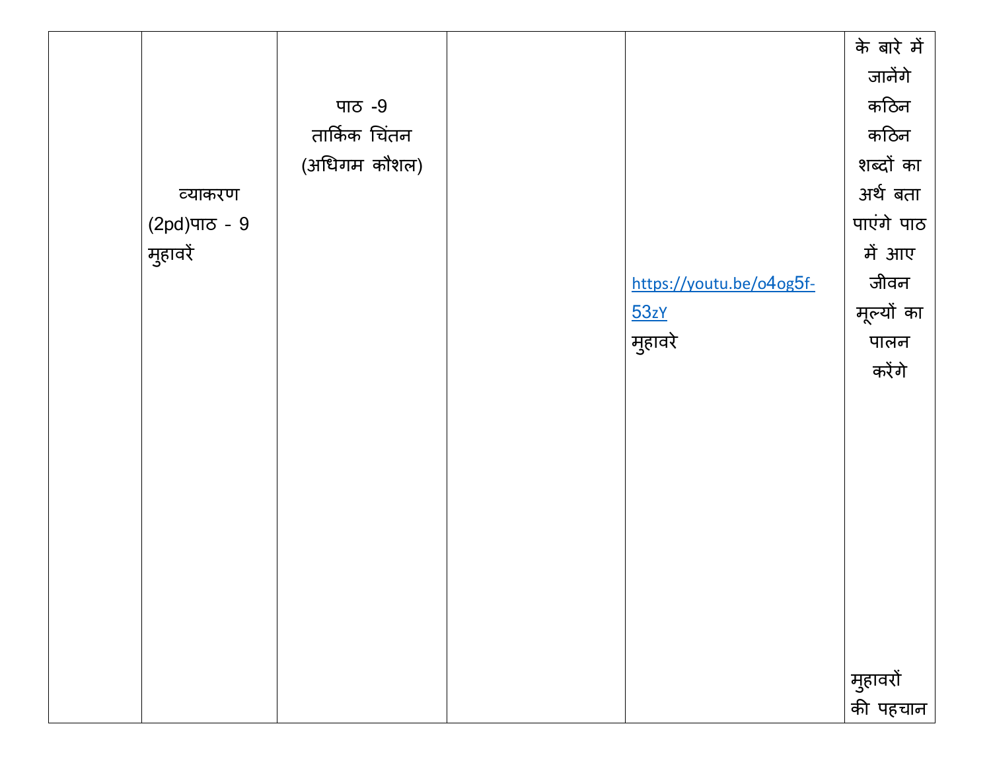|                 |               |                          | के बारे में          |
|-----------------|---------------|--------------------------|----------------------|
|                 |               |                          | जानेंगे              |
|                 | पाठ $-9$      |                          | कठिन                 |
|                 | तार्किक चिंतन |                          | कठिन                 |
|                 | (अधिगम कौशल)  |                          | शब्दों का            |
| व्याकरण         |               |                          | अर्थ बता             |
| $(2pd)$ पाठ - 9 |               |                          | पाएंगे पाठ           |
| मुहावरें        |               |                          | में आए               |
|                 |               | https://youtu.be/o4og5f- | जीवन                 |
|                 |               | 53zY                     | मूल्यों का           |
|                 |               | मुहावरे                  | पालन                 |
|                 |               |                          | करेंगे               |
|                 |               |                          |                      |
|                 |               |                          |                      |
|                 |               |                          |                      |
|                 |               |                          |                      |
|                 |               |                          |                      |
|                 |               |                          |                      |
|                 |               |                          |                      |
|                 |               |                          |                      |
|                 |               |                          |                      |
|                 |               |                          |                      |
|                 |               |                          |                      |
|                 |               |                          | मुहावरों<br>की पहचान |
|                 |               |                          |                      |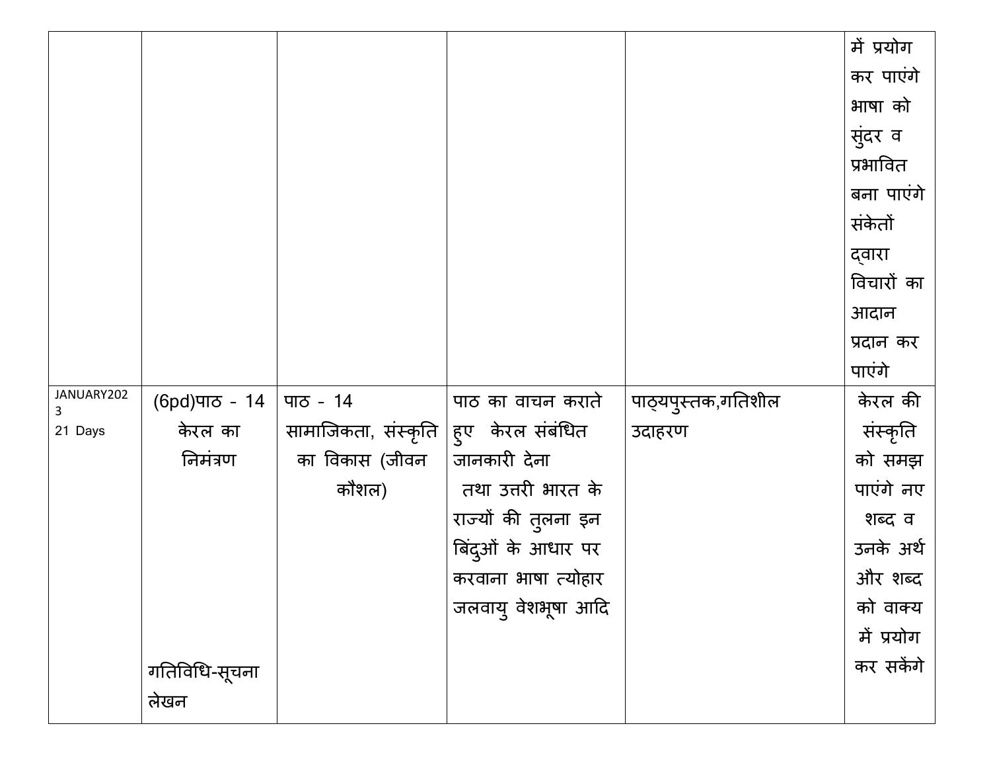|                 |               |                                      |                     |                    | में प्रयोग |
|-----------------|---------------|--------------------------------------|---------------------|--------------------|------------|
|                 |               |                                      |                     |                    | कर पाएंगे  |
|                 |               |                                      |                     |                    | भाषा को    |
|                 |               |                                      |                     |                    | सुंदर व    |
|                 |               |                                      |                     |                    | प्रभावित   |
|                 |               |                                      |                     |                    | बना पाएंगे |
|                 |               |                                      |                     |                    | संकेतों    |
|                 |               |                                      |                     |                    |            |
|                 |               |                                      |                     |                    | द्वारा     |
|                 |               |                                      |                     |                    | विचारों का |
|                 |               |                                      |                     |                    | आदान       |
|                 |               |                                      |                     |                    | प्रदान कर  |
|                 |               |                                      |                     |                    | पाएंगे     |
| JANUARY202<br>3 | (6pd)पाठ - 14 | पाठ - $14$                           | पाठ का वाचन कराते   | पाठ्यपुस्तक,गतिशील | केरल की    |
| 21 Days         | केरल का       | सामाजिकता, संस्कृति हुए केरल संबंधित |                     | उदाहरण             | संस्कृति   |
|                 | निमंत्रण      | का विकास (जीवन                       | जानकारी देना        |                    | को समझ     |
|                 |               | कौशल)                                | तथा उत्तरी भारत के  |                    | पाएंगे नए  |
|                 |               |                                      | राज्यों की तुलना इन |                    | शब्द व     |
|                 |               |                                      | बिंदुओं के आधार पर  |                    | उनके अर्थ  |
|                 |               |                                      | करवाना भाषा त्योहार |                    | और शब्द    |
|                 |               |                                      | जलवायु वेशभूषा आदि  |                    | को वाक्य   |
|                 |               |                                      |                     |                    | में प्रयोग |
|                 |               |                                      |                     |                    | कर सकेंगे  |
|                 | गतिविधि-सूचना |                                      |                     |                    |            |
|                 | लेखन          |                                      |                     |                    |            |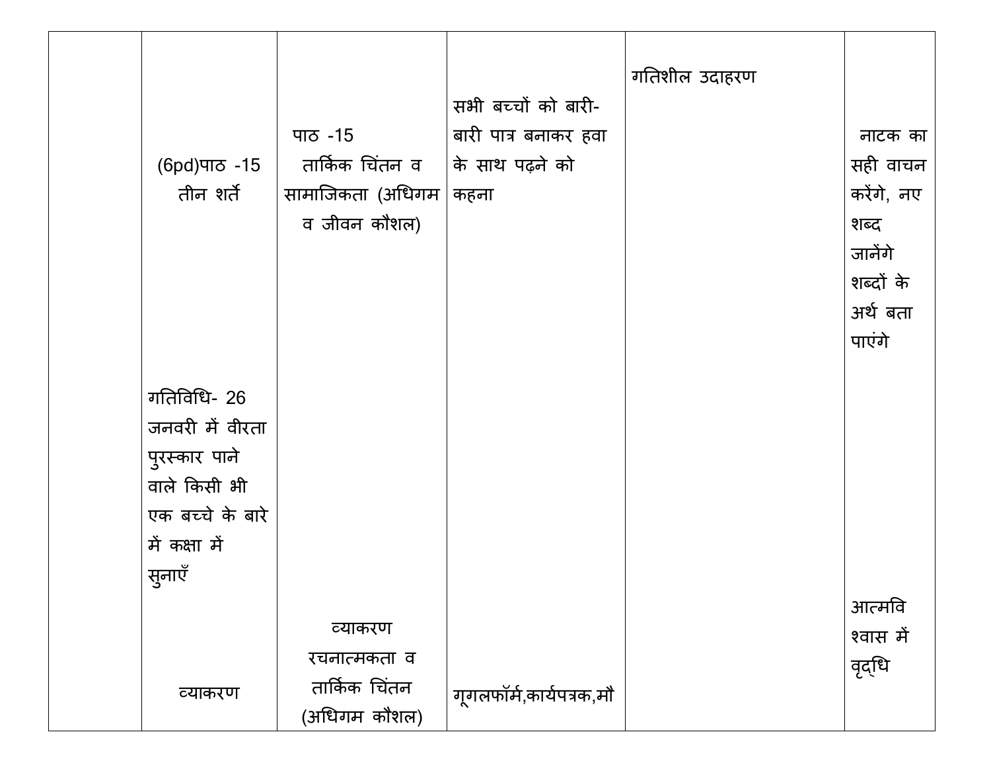| (6pd) ਧਾਠ -15<br>तीन शर्ते                                                                           | पाठ -15<br>तार्किक चिंतन व<br>सामाजिकता (अधिगम<br>व जीवन कौशल) | सभी बच्चों को बारी-<br>बारी पात्र बनाकर हवा<br>के साथ पढ़ने को<br>कहना | गतिशील उदाहरण | नाटक का<br>सही वाचन<br>करेंगे, नए<br>शब्द<br>जानेंगे<br>शब्दों के |
|------------------------------------------------------------------------------------------------------|----------------------------------------------------------------|------------------------------------------------------------------------|---------------|-------------------------------------------------------------------|
| गतिविधि- 26<br>जनवरी में वीरता<br>पुरस्कार पाने<br>वाले किसी भी<br>एक बच्चे के बारे<br>में कक्षा में |                                                                |                                                                        |               | अर्थ बता<br>पाएंगे                                                |
| सुनाएँ<br>व्याकरण                                                                                    | व्याकरण<br>रचनात्मकता व<br>तार्किक चिंतन<br>(अधिगम कौशल)       | गूगलफॉर्म,कार्यपत्रक,मौ                                                |               | आत्मवि<br>श्वास में<br>वृद्धि                                     |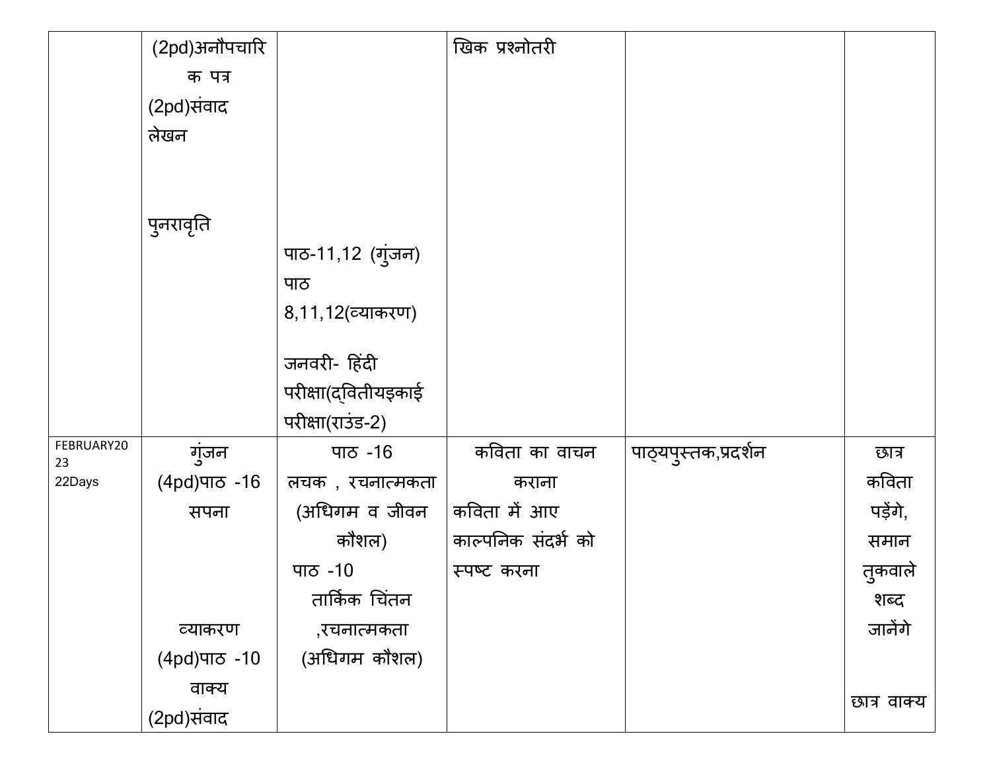|                  | (2pd)अनौपचारि   |                     | खिक प्रश्नोतरी     |                      |             |
|------------------|-----------------|---------------------|--------------------|----------------------|-------------|
|                  | क पत्र          |                     |                    |                      |             |
|                  | (2pd)संवाद      |                     |                    |                      |             |
|                  | लेखन            |                     |                    |                      |             |
|                  |                 |                     |                    |                      |             |
|                  |                 |                     |                    |                      |             |
|                  | पुनरावृति       |                     |                    |                      |             |
|                  |                 | पाठ-11,12 (गुंजन)   |                    |                      |             |
|                  |                 | पाठ                 |                    |                      |             |
|                  |                 | 8, 11, 12 (व्याकरण) |                    |                      |             |
|                  |                 |                     |                    |                      |             |
|                  |                 | जनवरी- हिंदी        |                    |                      |             |
|                  |                 | परीक्षा(द्वितीयइकाई |                    |                      |             |
|                  |                 | परीक्षा(राउंड-2)    |                    |                      |             |
| FEBRUARY20<br>23 | गुंजन           | <u>ਧਾਨ -16</u>      | कविता का वाचन      | पाठ्यपुस्तक,प्रदर्शन | छात्र       |
| 22Days           | (4pd)पाਠ -16    | लचक), रचनात्मकता    | कराना              |                      | कविता       |
|                  | सपना            | (अधिगम व जीवन)      | कविता में आए       |                      | पड़ेंगे,    |
|                  |                 | कौशल)               | काल्पनिक संदर्भ को |                      | समान        |
|                  |                 | <u>ਧਾਨ</u> -10      | स्पष्ट करना        |                      | तुकवाले     |
|                  |                 | तार्किक चिंतन       |                    |                      | शब्द        |
|                  | व्याकरण         | ,रचनात्मकता         |                    |                      | जानेंगे     |
|                  | $(4pd)$ ਧਾਠ -10 | (अधिगम कौशल)        |                    |                      |             |
|                  | वाक्य           |                     |                    |                      |             |
|                  | (2pd)संवाद      |                     |                    |                      | छात्र वाक्य |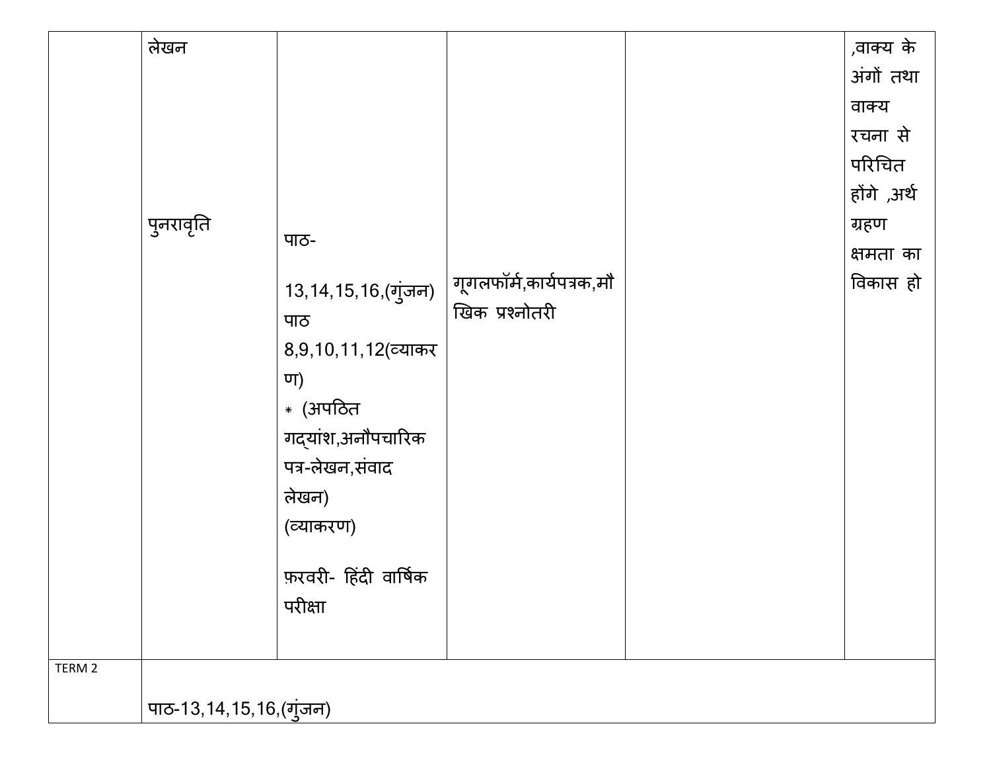|        | लेखन                    |                          |                         | ,वाक्य के   |
|--------|-------------------------|--------------------------|-------------------------|-------------|
|        |                         |                          |                         | अंगों तथा   |
|        |                         |                          |                         | वाक्य       |
|        |                         |                          |                         | रचना से     |
|        |                         |                          |                         | परिचित      |
|        |                         |                          |                         | होंगे ,अर्थ |
|        | पुनरावृति               |                          |                         | ग्रहण       |
|        |                         | पाठ-                     |                         | क्षमता का   |
|        |                         | 13,14,15,16,(गुंजन)      | गूगलफॉर्म,कार्यपत्रक,मौ | विकास हो    |
|        |                         | पाठ                      | खिक प्रश्नोतरी          |             |
|        |                         | 8, 9, 10, 11, 12 (व्याकर |                         |             |
|        |                         | ण)                       |                         |             |
|        |                         | * (अपठित                 |                         |             |
|        |                         | गद्यांश,अनौपचारिक        |                         |             |
|        |                         | पत्र-लेखन,संवाद          |                         |             |
|        |                         | लेखन)                    |                         |             |
|        |                         | (व्याकरण)                |                         |             |
|        |                         |                          |                         |             |
|        |                         | फ़रवरी- हिंदी वार्षिक    |                         |             |
|        |                         | परीक्षा                  |                         |             |
|        |                         |                          |                         |             |
| TERM 2 |                         |                          |                         |             |
|        | पाठ-13,14,15,16,(गुंजन) |                          |                         |             |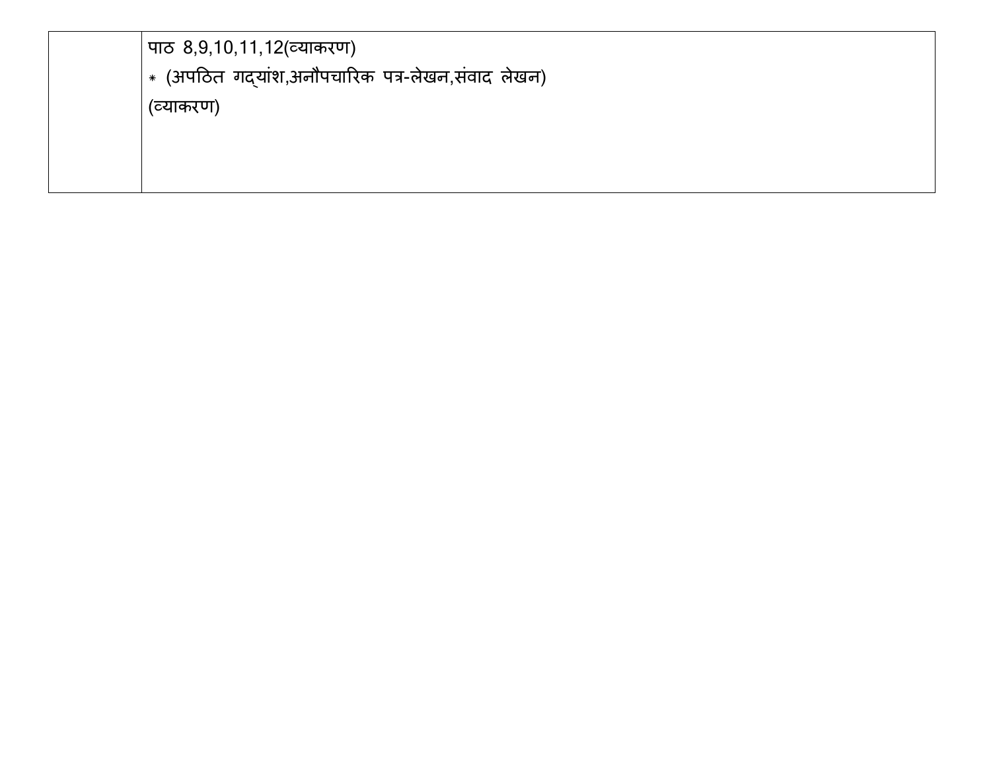| पाठ 8,9,10,11,12 (व्याकरण)                                  |
|-------------------------------------------------------------|
| $\vert * \>$ (अपठित गद्यांश,अनौपचारिक पत्र-लेखन,संवाद लेखन) |
| (व्याकरण)                                                   |
|                                                             |
|                                                             |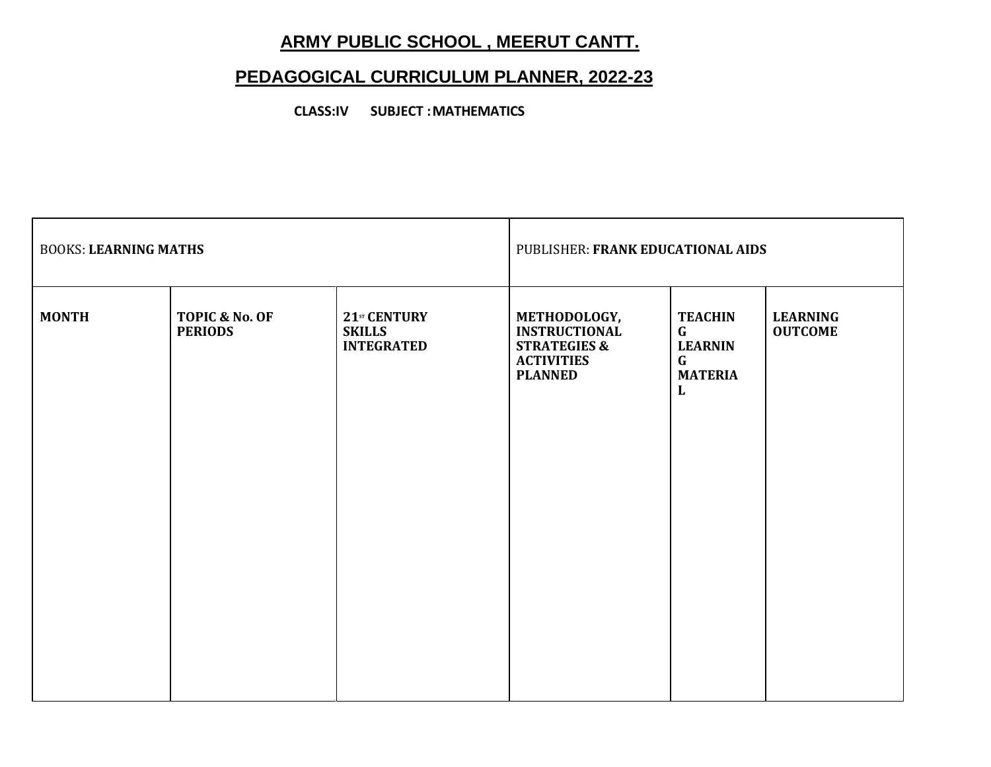# **ARMY PUBLIC SCHOOL , MEERUT CANTT.**

# **PEDAGOGICAL CURRICULUM PLANNER, 2022-23**

**CLASS:IV SUBJECT : MATHEMATICS**

| <b>BOOKS: LEARNING MATHS</b> |                                  |                                                    | PUBLISHER: FRANK EDUCATIONAL AIDS                                                                      |                                                                                         |                                   |
|------------------------------|----------------------------------|----------------------------------------------------|--------------------------------------------------------------------------------------------------------|-----------------------------------------------------------------------------------------|-----------------------------------|
| <b>MONTH</b>                 | TOPIC & No. OF<br><b>PERIODS</b> | 21sr CENTURY<br><b>SKILLS</b><br><b>INTEGRATED</b> | METHODOLOGY,<br><b>INSTRUCTIONAL</b><br><b>STRATEGIES &amp;</b><br><b>ACTIVITIES</b><br><b>PLANNED</b> | <b>TEACHIN</b><br>$\mathbf{G}$<br><b>LEARNIN</b><br>$\mathbf{G}$<br><b>MATERIA</b><br>L | <b>LEARNING</b><br><b>OUTCOME</b> |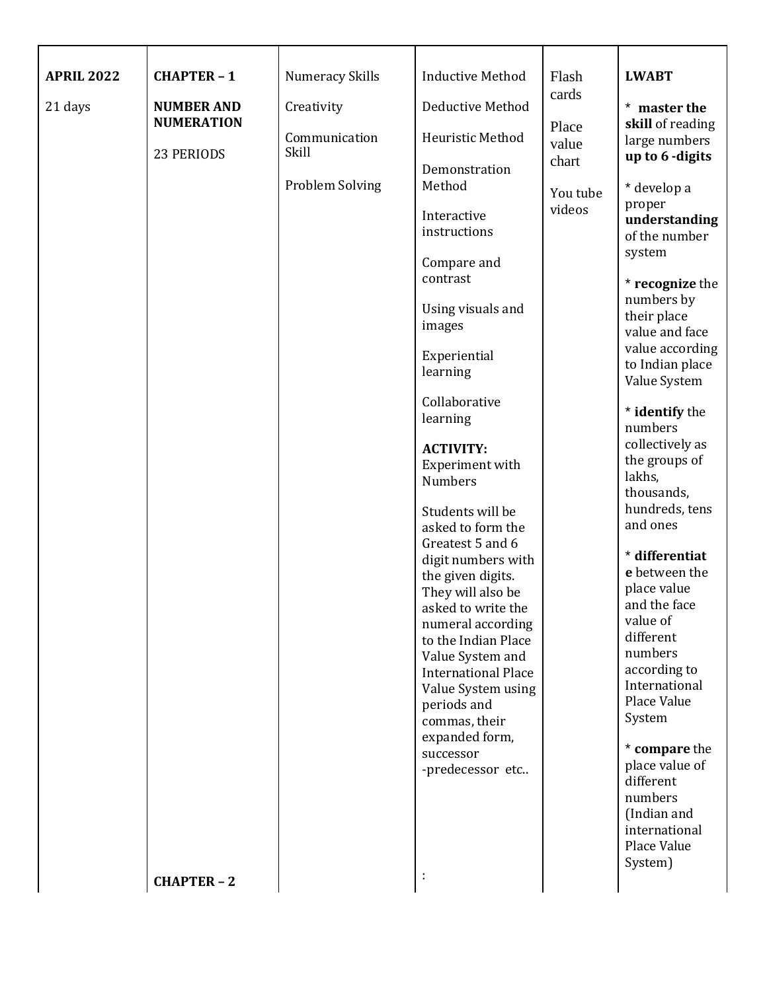| <b>APRIL 2022</b> | <b>CHAPTER-1</b>                | <b>Numeracy Skills</b>   | <b>Inductive Method</b>                                                                                                                                                                                                                                                                                                                                                                                                                                                                                                                                                                      | Flash<br>cards                       | <b>LWABT</b>                                                                                                                                                                                                                                                                                                                                                                                                                                                                                                                                                                                                                                 |
|-------------------|---------------------------------|--------------------------|----------------------------------------------------------------------------------------------------------------------------------------------------------------------------------------------------------------------------------------------------------------------------------------------------------------------------------------------------------------------------------------------------------------------------------------------------------------------------------------------------------------------------------------------------------------------------------------------|--------------------------------------|----------------------------------------------------------------------------------------------------------------------------------------------------------------------------------------------------------------------------------------------------------------------------------------------------------------------------------------------------------------------------------------------------------------------------------------------------------------------------------------------------------------------------------------------------------------------------------------------------------------------------------------------|
| 21 days           | <b>NUMBER AND</b>               | Creativity               | Deductive Method                                                                                                                                                                                                                                                                                                                                                                                                                                                                                                                                                                             |                                      | * master the                                                                                                                                                                                                                                                                                                                                                                                                                                                                                                                                                                                                                                 |
|                   |                                 | Communication            | Heuristic Method                                                                                                                                                                                                                                                                                                                                                                                                                                                                                                                                                                             | value                                | large numbers                                                                                                                                                                                                                                                                                                                                                                                                                                                                                                                                                                                                                                |
|                   | <b>NUMERATION</b><br>23 PERIODS | Skill<br>Problem Solving | Demonstration<br>Method<br>Interactive<br>instructions<br>Compare and<br>contrast<br>Using visuals and<br>images<br>Experiential<br>learning<br>Collaborative<br>learning<br><b>ACTIVITY:</b><br>Experiment with<br><b>Numbers</b><br>Students will be<br>asked to form the<br>Greatest 5 and 6<br>digit numbers with<br>the given digits.<br>They will also be<br>asked to write the<br>numeral according<br>to the Indian Place<br>Value System and<br><b>International Place</b><br>Value System using<br>periods and<br>commas, their<br>expanded form,<br>successor<br>-predecessor etc | Place<br>chart<br>You tube<br>videos | skill of reading<br>up to 6 -digits<br>* develop a<br>proper<br>understanding<br>of the number<br>system<br>* recognize the<br>numbers by<br>their place<br>value and face<br>value according<br>to Indian place<br>Value System<br>* identify the<br>numbers<br>collectively as<br>the groups of<br>lakhs,<br>thousands,<br>hundreds, tens<br>and ones<br>* differentiat<br>e between the<br>place value<br>and the face<br>value of<br>different<br>numbers<br>according to<br>International<br>Place Value<br>System<br>* compare the<br>place value of<br>different<br>numbers<br>(Indian and<br>international<br>Place Value<br>System) |
|                   | <b>CHAPTER-2</b>                |                          | ÷                                                                                                                                                                                                                                                                                                                                                                                                                                                                                                                                                                                            |                                      |                                                                                                                                                                                                                                                                                                                                                                                                                                                                                                                                                                                                                                              |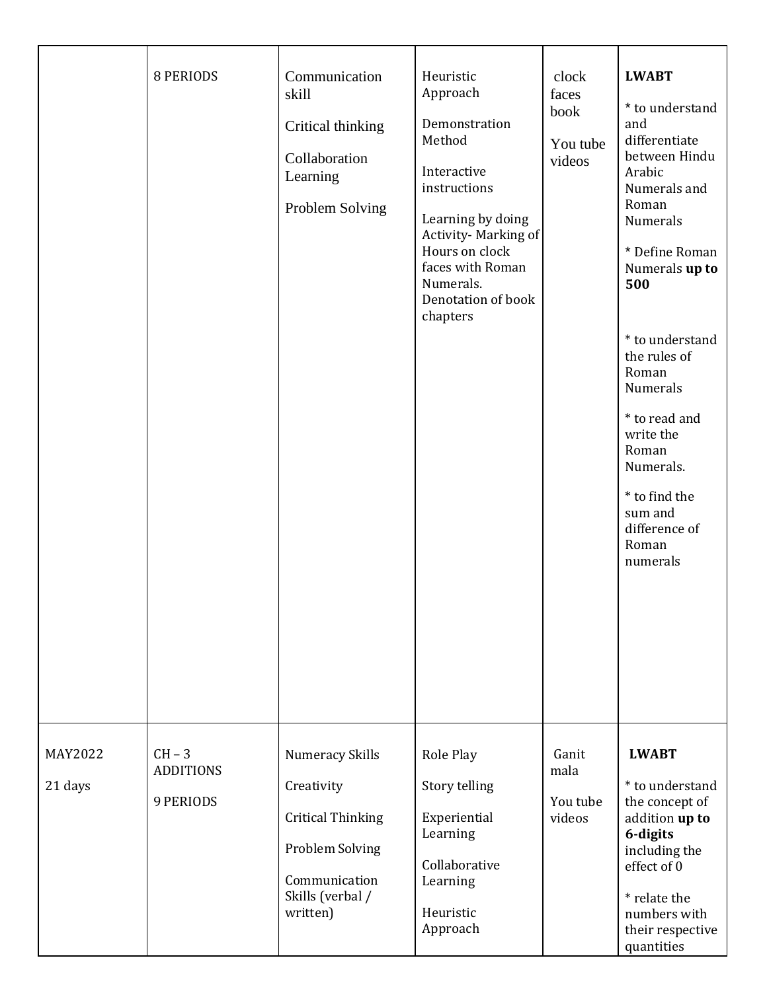|                    | <b>8 PERIODS</b>                                 | Communication<br>skill<br>Critical thinking<br>Collaboration<br>Learning<br>Problem Solving                                          | Heuristic<br>Approach<br>Demonstration<br>Method<br>Interactive<br>instructions<br>Learning by doing<br>Activity-Marking of<br>Hours on clock<br>faces with Roman<br>Numerals.<br>Denotation of book<br>chapters | clock<br>faces<br>book<br>You tube<br>videos | <b>LWABT</b><br>* to understand<br>and<br>differentiate<br>between Hindu<br>Arabic<br>Numerals and<br>Roman<br>Numerals<br>* Define Roman<br>Numerals up to<br>500<br>* to understand<br>the rules of<br>Roman<br>Numerals<br>* to read and<br>write the<br>Roman<br>Numerals.<br>* to find the<br>sum and<br>difference of<br>Roman<br>numerals |
|--------------------|--------------------------------------------------|--------------------------------------------------------------------------------------------------------------------------------------|------------------------------------------------------------------------------------------------------------------------------------------------------------------------------------------------------------------|----------------------------------------------|--------------------------------------------------------------------------------------------------------------------------------------------------------------------------------------------------------------------------------------------------------------------------------------------------------------------------------------------------|
| MAY2022<br>21 days | $CH - 3$<br><b>ADDITIONS</b><br><b>9 PERIODS</b> | Numeracy Skills<br>Creativity<br><b>Critical Thinking</b><br><b>Problem Solving</b><br>Communication<br>Skills (verbal /<br>written) | Role Play<br>Story telling<br>Experiential<br>Learning<br>Collaborative<br>Learning<br>Heuristic<br>Approach                                                                                                     | Ganit<br>mala<br>You tube<br>videos          | <b>LWABT</b><br>* to understand<br>the concept of<br>addition up to<br>6-digits<br>including the<br>effect of 0<br>* relate the<br>numbers with<br>their respective<br>quantities                                                                                                                                                                |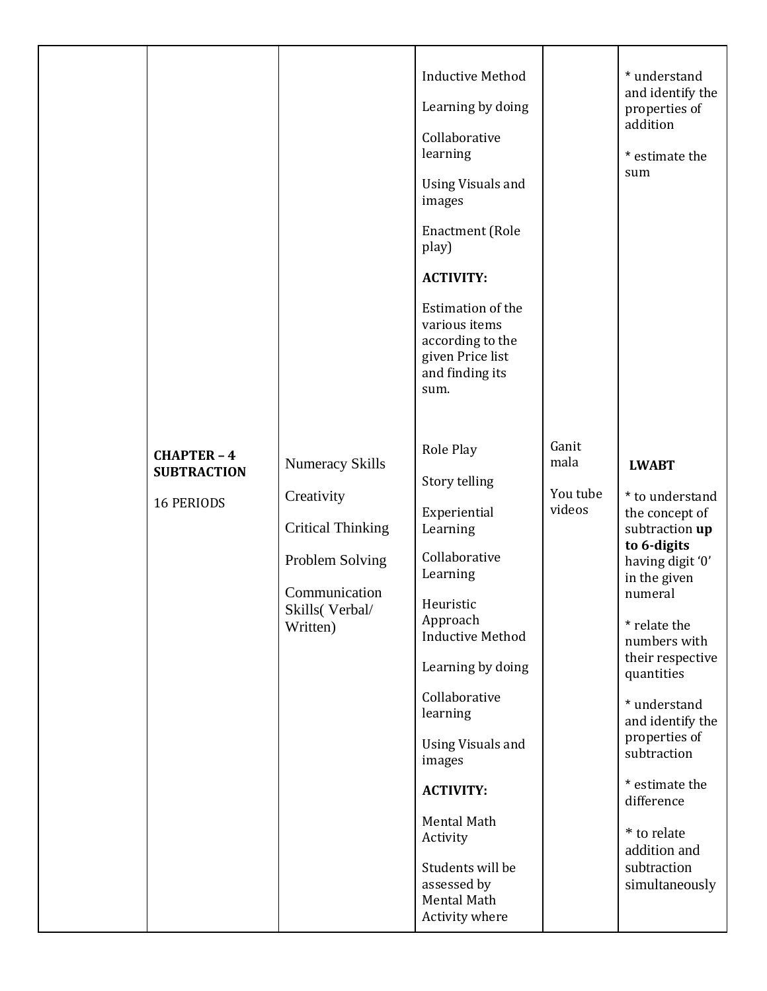|  | <b>CHAPTER - 4</b><br><b>SUBTRACTION</b><br><b>16 PERIODS</b> | <b>Numeracy Skills</b><br>Creativity<br><b>Critical Thinking</b><br>Problem Solving<br>Communication<br>Skills (Verbal/<br>Written) | <b>Inductive Method</b><br>Learning by doing<br>Collaborative<br>learning<br><b>Using Visuals and</b><br>images<br><b>Enactment</b> (Role<br>play)<br><b>ACTIVITY:</b><br>Estimation of the<br>various items<br>according to the<br>given Price list<br>and finding its<br>sum.<br>Role Play<br>Story telling<br>Experiential<br>Learning<br>Collaborative<br>Learning<br>Heuristic<br>Approach<br><b>Inductive Method</b><br>Learning by doing<br>Collaborative<br>learning<br><b>Using Visuals and</b><br>images<br><b>ACTIVITY:</b> | Ganit<br>mala<br>You tube<br>videos | * understand<br>and identify the<br>properties of<br>addition<br>* estimate the<br>sum<br><b>LWABT</b><br>* to understand<br>the concept of<br>subtraction up<br>to 6-digits<br>having digit '0'<br>in the given<br>numeral<br>* relate the<br>numbers with<br>their respective<br>quantities<br>* understand<br>and identify the<br>properties of<br>subtraction<br>* estimate the<br>difference |
|--|---------------------------------------------------------------|-------------------------------------------------------------------------------------------------------------------------------------|----------------------------------------------------------------------------------------------------------------------------------------------------------------------------------------------------------------------------------------------------------------------------------------------------------------------------------------------------------------------------------------------------------------------------------------------------------------------------------------------------------------------------------------|-------------------------------------|---------------------------------------------------------------------------------------------------------------------------------------------------------------------------------------------------------------------------------------------------------------------------------------------------------------------------------------------------------------------------------------------------|
|--|---------------------------------------------------------------|-------------------------------------------------------------------------------------------------------------------------------------|----------------------------------------------------------------------------------------------------------------------------------------------------------------------------------------------------------------------------------------------------------------------------------------------------------------------------------------------------------------------------------------------------------------------------------------------------------------------------------------------------------------------------------------|-------------------------------------|---------------------------------------------------------------------------------------------------------------------------------------------------------------------------------------------------------------------------------------------------------------------------------------------------------------------------------------------------------------------------------------------------|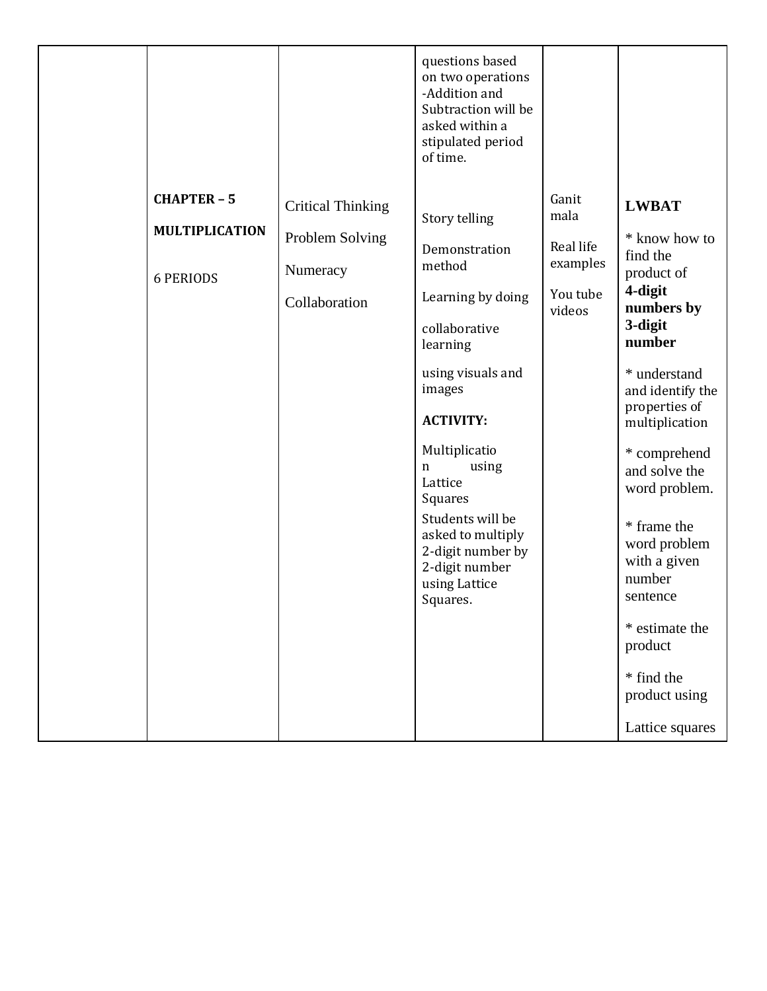|                                                                 |                                                                          | questions based<br>on two operations<br>-Addition and<br>Subtraction will be<br>asked within a<br>stipulated period<br>of time.                                                                                                                                                                                 |                                                              |                                                                                                                                                                                                                                                                                                     |
|-----------------------------------------------------------------|--------------------------------------------------------------------------|-----------------------------------------------------------------------------------------------------------------------------------------------------------------------------------------------------------------------------------------------------------------------------------------------------------------|--------------------------------------------------------------|-----------------------------------------------------------------------------------------------------------------------------------------------------------------------------------------------------------------------------------------------------------------------------------------------------|
| <b>CHAPTER - 5</b><br><b>MULTIPLICATION</b><br><b>6 PERIODS</b> | <b>Critical Thinking</b><br>Problem Solving<br>Numeracy<br>Collaboration | Story telling<br>Demonstration<br>method<br>Learning by doing<br>collaborative<br>learning<br>using visuals and<br>images<br><b>ACTIVITY:</b><br>Multiplicatio<br>using<br>n<br>Lattice<br>Squares<br>Students will be<br>asked to multiply<br>2-digit number by<br>2-digit number<br>using Lattice<br>Squares. | Ganit<br>mala<br>Real life<br>examples<br>You tube<br>videos | <b>LWBAT</b><br>* know how to<br>find the<br>product of<br>4-digit<br>numbers by<br>3-digit<br>number<br>* understand<br>and identify the<br>properties of<br>multiplication<br>* comprehend<br>and solve the<br>word problem.<br>* frame the<br>word problem<br>with a given<br>number<br>sentence |
|                                                                 |                                                                          |                                                                                                                                                                                                                                                                                                                 |                                                              | * estimate the<br>product<br>* find the<br>product using<br>Lattice squares                                                                                                                                                                                                                         |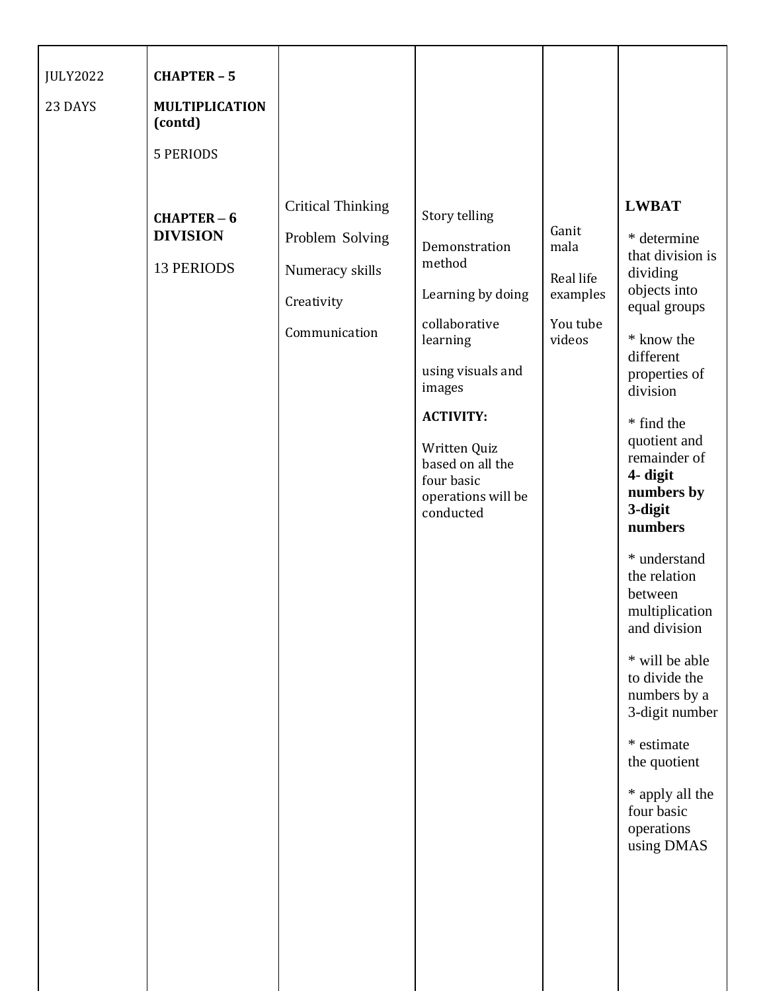| <b>JULY2022</b> | <b>CHAPTER - 5</b>                                  |                                                                                               |                                                                                                                                                                                                                                    |                                                              |                                                                                                                                                                                                                                                                                                                                                                                                                                                                                                |
|-----------------|-----------------------------------------------------|-----------------------------------------------------------------------------------------------|------------------------------------------------------------------------------------------------------------------------------------------------------------------------------------------------------------------------------------|--------------------------------------------------------------|------------------------------------------------------------------------------------------------------------------------------------------------------------------------------------------------------------------------------------------------------------------------------------------------------------------------------------------------------------------------------------------------------------------------------------------------------------------------------------------------|
| 23 DAYS         | <b>MULTIPLICATION</b><br>(contd)                    |                                                                                               |                                                                                                                                                                                                                                    |                                                              |                                                                                                                                                                                                                                                                                                                                                                                                                                                                                                |
|                 | <b>5 PERIODS</b>                                    |                                                                                               |                                                                                                                                                                                                                                    |                                                              |                                                                                                                                                                                                                                                                                                                                                                                                                                                                                                |
|                 | $CHAPTER-6$<br><b>DIVISION</b><br><b>13 PERIODS</b> | <b>Critical Thinking</b><br>Problem Solving<br>Numeracy skills<br>Creativity<br>Communication | Story telling<br>Demonstration<br>method<br>Learning by doing<br>collaborative<br>learning<br>using visuals and<br>images<br><b>ACTIVITY:</b><br>Written Quiz<br>based on all the<br>four basic<br>operations will be<br>conducted | Ganit<br>mala<br>Real life<br>examples<br>You tube<br>videos | <b>LWBAT</b><br>* determine<br>that division is<br>dividing<br>objects into<br>equal groups<br>* know the<br>different<br>properties of<br>division<br>* find the<br>quotient and<br>remainder of<br>4- digit<br>numbers by<br>3-digit<br>numbers<br>* understand<br>the relation<br>between<br>multiplication<br>and division<br>* will be able<br>to divide the<br>numbers by a<br>3-digit number<br>* estimate<br>the quotient<br>* apply all the<br>four basic<br>operations<br>using DMAS |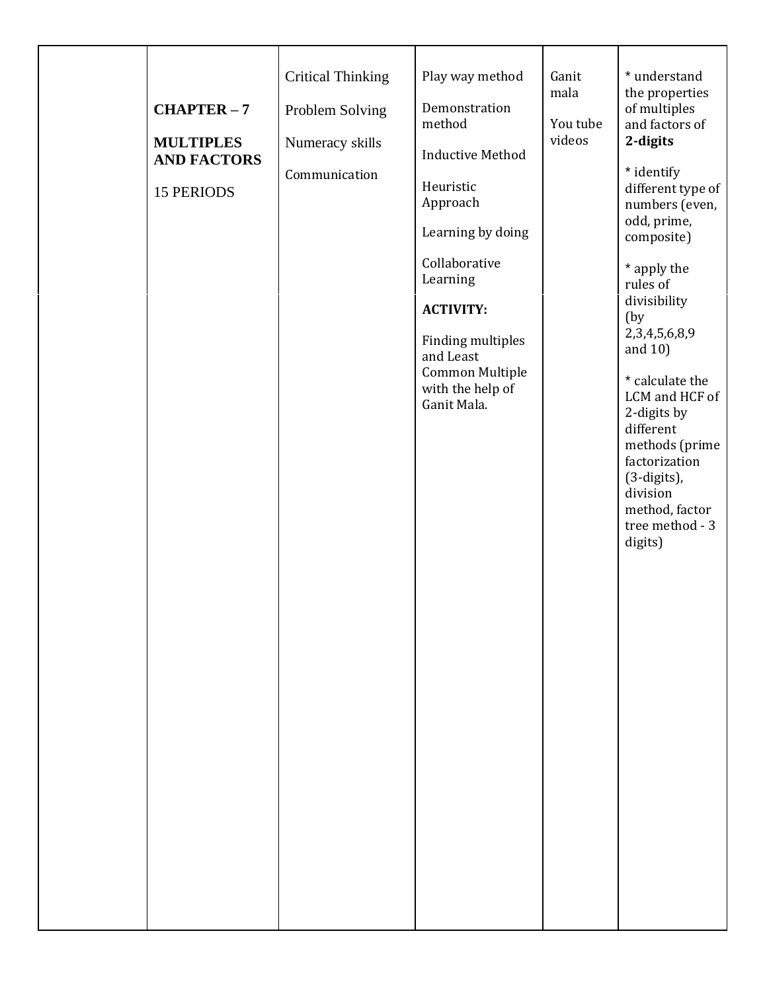| $CHAPTER-7$<br><b>MULTIPLES</b><br><b>AND FACTORS</b><br><b>15 PERIODS</b> | <b>Critical Thinking</b><br>Problem Solving<br>Numeracy skills<br>Communication | Play way method<br>Demonstration<br>method<br><b>Inductive Method</b><br>Heuristic<br>Approach<br>Learning by doing<br>Collaborative<br>Learning<br><b>ACTIVITY:</b><br><b>Finding multiples</b><br>and Least<br>Common Multiple<br>with the help of<br>Ganit Mala. | Ganit<br>mala<br>You tube<br>videos | * understand<br>the properties<br>of multiples<br>and factors of<br>2-digits<br>* identify<br>different type of<br>numbers (even,<br>odd, prime,<br>composite)<br>* apply the<br>rules of<br>divisibility<br>(by<br>2,3,4,5,6,8,9<br>and 10)<br>* calculate the<br>LCM and HCF of<br>2-digits by<br>different<br>methods (prime<br>factorization<br>(3-digits),<br>division<br>method, factor<br>tree method - 3<br>digits) |
|----------------------------------------------------------------------------|---------------------------------------------------------------------------------|---------------------------------------------------------------------------------------------------------------------------------------------------------------------------------------------------------------------------------------------------------------------|-------------------------------------|-----------------------------------------------------------------------------------------------------------------------------------------------------------------------------------------------------------------------------------------------------------------------------------------------------------------------------------------------------------------------------------------------------------------------------|
|----------------------------------------------------------------------------|---------------------------------------------------------------------------------|---------------------------------------------------------------------------------------------------------------------------------------------------------------------------------------------------------------------------------------------------------------------|-------------------------------------|-----------------------------------------------------------------------------------------------------------------------------------------------------------------------------------------------------------------------------------------------------------------------------------------------------------------------------------------------------------------------------------------------------------------------------|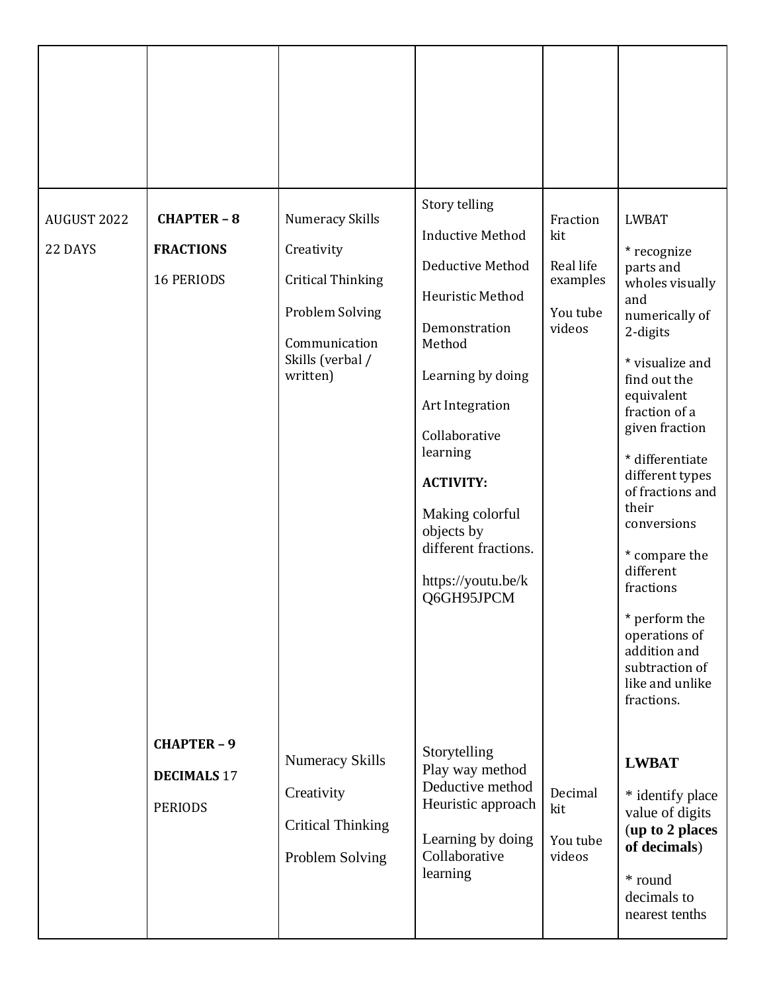| AUGUST 2022<br>22 DAYS | <b>CHAPTER-8</b><br><b>FRACTIONS</b><br><b>16 PERIODS</b>  | <b>Numeracy Skills</b><br>Creativity<br><b>Critical Thinking</b><br>Problem Solving<br>Communication<br>Skills (verbal /<br>written) | Story telling<br><b>Inductive Method</b><br>Deductive Method<br>Heuristic Method<br>Demonstration<br>Method<br>Learning by doing<br>Art Integration<br>Collaborative<br>learning<br><b>ACTIVITY:</b><br>Making colorful<br>objects by<br>different fractions.<br>https://youtu.be/k<br>Q6GH95JPCM | Fraction<br>kit<br>Real life<br>examples<br>You tube<br>videos | <b>LWBAT</b><br>* recognize<br>parts and<br>wholes visually<br>and<br>numerically of<br>2-digits<br>* visualize and<br>find out the<br>equivalent<br>fraction of a<br>given fraction<br>* differentiate<br>different types<br>of fractions and<br>their<br>conversions<br>* compare the<br>different<br>fractions<br>perform the<br>*<br>operations of<br>addition and<br>subtraction of<br>like and unlike<br>fractions. |
|------------------------|------------------------------------------------------------|--------------------------------------------------------------------------------------------------------------------------------------|---------------------------------------------------------------------------------------------------------------------------------------------------------------------------------------------------------------------------------------------------------------------------------------------------|----------------------------------------------------------------|---------------------------------------------------------------------------------------------------------------------------------------------------------------------------------------------------------------------------------------------------------------------------------------------------------------------------------------------------------------------------------------------------------------------------|
|                        | <b>CHAPTER - 9</b><br><b>DECIMALS 17</b><br><b>PERIODS</b> | <b>Numeracy Skills</b><br>Creativity<br><b>Critical Thinking</b><br>Problem Solving                                                  | Storytelling<br>Play way method<br>Deductive method<br>Heuristic approach<br>Learning by doing<br>Collaborative<br>learning                                                                                                                                                                       | Decimal<br>kit<br>You tube<br>videos                           | <b>LWBAT</b><br>* identify place<br>value of digits<br>(up to 2 places<br>of decimals)<br>* round<br>decimals to<br>nearest tenths                                                                                                                                                                                                                                                                                        |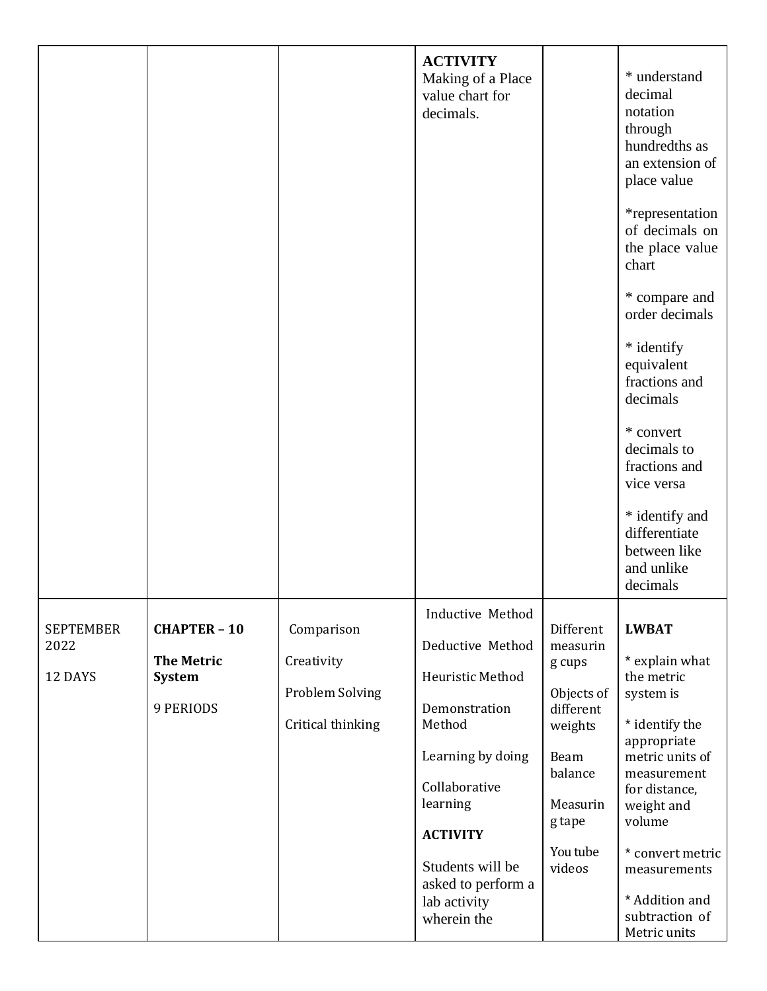|                                     |                                                                 |                                                                         | <b>ACTIVITY</b><br>Making of a Place<br>value chart for<br>decimals.                                                                                                                                                              |                                                                                                                                      | * understand<br>decimal<br>notation<br>through<br>hundredths as<br>an extension of<br>place value<br>*representation<br>of decimals on<br>the place value<br>chart<br>* compare and<br>order decimals<br>* identify<br>equivalent<br>fractions and<br>decimals<br>* convert<br>decimals to<br>fractions and<br>vice versa<br>* identify and<br>differentiate<br>between like<br>and unlike |
|-------------------------------------|-----------------------------------------------------------------|-------------------------------------------------------------------------|-----------------------------------------------------------------------------------------------------------------------------------------------------------------------------------------------------------------------------------|--------------------------------------------------------------------------------------------------------------------------------------|--------------------------------------------------------------------------------------------------------------------------------------------------------------------------------------------------------------------------------------------------------------------------------------------------------------------------------------------------------------------------------------------|
| <b>SEPTEMBER</b><br>2022<br>12 DAYS | <b>CHAPTER - 10</b><br><b>The Metric</b><br>System<br>9 PERIODS | Comparison<br>Creativity<br><b>Problem Solving</b><br>Critical thinking | Inductive Method<br>Deductive Method<br>Heuristic Method<br>Demonstration<br>Method<br>Learning by doing<br>Collaborative<br>learning<br><b>ACTIVITY</b><br>Students will be<br>asked to perform a<br>lab activity<br>wherein the | Different<br>measurin<br>g cups<br>Objects of<br>different<br>weights<br>Beam<br>balance<br>Measurin<br>g tape<br>You tube<br>videos | decimals<br><b>LWBAT</b><br>* explain what<br>the metric<br>system is<br>* identify the<br>appropriate<br>metric units of<br>measurement<br>for distance,<br>weight and<br>volume<br>* convert metric<br>measurements<br>* Addition and<br>subtraction of<br>Metric units                                                                                                                  |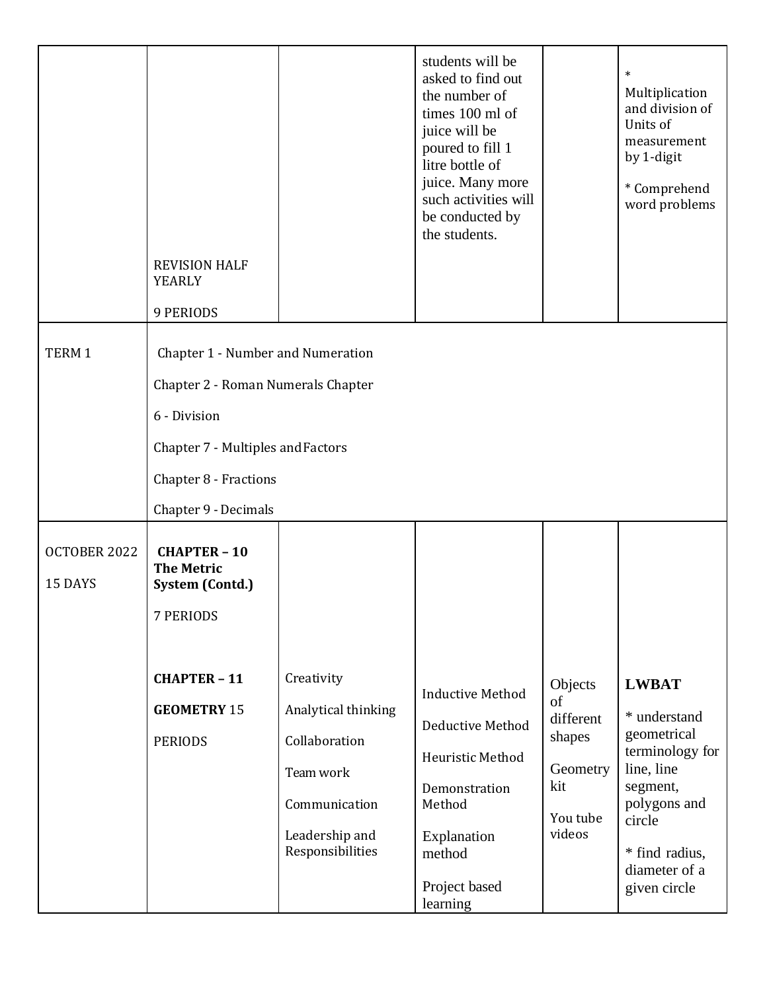|                         | <b>REVISION HALF</b><br><b>YEARLY</b><br>9 PERIODS          |                                    | students will be<br>asked to find out<br>the number of<br>times 100 ml of<br>juice will be<br>poured to fill 1<br>litre bottle of<br>juice. Many more<br>such activities will<br>be conducted by<br>the students. |                        | $\ast$<br>Multiplication<br>and division of<br>Units of<br>measurement<br>by 1-digit<br>* Comprehend<br>word problems |  |  |  |
|-------------------------|-------------------------------------------------------------|------------------------------------|-------------------------------------------------------------------------------------------------------------------------------------------------------------------------------------------------------------------|------------------------|-----------------------------------------------------------------------------------------------------------------------|--|--|--|
|                         |                                                             |                                    |                                                                                                                                                                                                                   |                        |                                                                                                                       |  |  |  |
| TERM 1                  | Chapter 1 - Number and Numeration                           |                                    |                                                                                                                                                                                                                   |                        |                                                                                                                       |  |  |  |
|                         | Chapter 2 - Roman Numerals Chapter                          |                                    |                                                                                                                                                                                                                   |                        |                                                                                                                       |  |  |  |
|                         | 6 - Division                                                |                                    |                                                                                                                                                                                                                   |                        |                                                                                                                       |  |  |  |
|                         | Chapter 7 - Multiples and Factors                           |                                    |                                                                                                                                                                                                                   |                        |                                                                                                                       |  |  |  |
|                         | Chapter 8 - Fractions                                       |                                    |                                                                                                                                                                                                                   |                        |                                                                                                                       |  |  |  |
|                         | Chapter 9 - Decimals                                        |                                    |                                                                                                                                                                                                                   |                        |                                                                                                                       |  |  |  |
| OCTOBER 2022<br>15 DAYS | <b>CHAPTER - 10</b><br><b>The Metric</b><br>System (Contd.) |                                    |                                                                                                                                                                                                                   |                        |                                                                                                                       |  |  |  |
|                         | 7 PERIODS                                                   |                                    |                                                                                                                                                                                                                   |                        |                                                                                                                       |  |  |  |
|                         |                                                             |                                    |                                                                                                                                                                                                                   |                        |                                                                                                                       |  |  |  |
|                         | <b>CHAPTER - 11</b>                                         | Creativity                         | <b>Inductive Method</b>                                                                                                                                                                                           | Objects<br>of          | <b>LWBAT</b>                                                                                                          |  |  |  |
|                         | <b>GEOMETRY 15</b>                                          | Analytical thinking                | Deductive Method                                                                                                                                                                                                  | different              | * understand                                                                                                          |  |  |  |
|                         | <b>PERIODS</b>                                              | Collaboration                      | Heuristic Method                                                                                                                                                                                                  | shapes                 | geometrical<br>terminology for                                                                                        |  |  |  |
|                         | Team work                                                   | Demonstration                      | Geometry<br>kit                                                                                                                                                                                                   | line, line<br>segment, |                                                                                                                       |  |  |  |
|                         |                                                             | Communication                      | Method                                                                                                                                                                                                            | You tube               | polygons and<br>circle                                                                                                |  |  |  |
|                         |                                                             | Leadership and<br>Responsibilities | Explanation<br>method                                                                                                                                                                                             | videos                 | * find radius,<br>diameter of a                                                                                       |  |  |  |
|                         |                                                             |                                    | Project based<br>learning                                                                                                                                                                                         |                        | given circle                                                                                                          |  |  |  |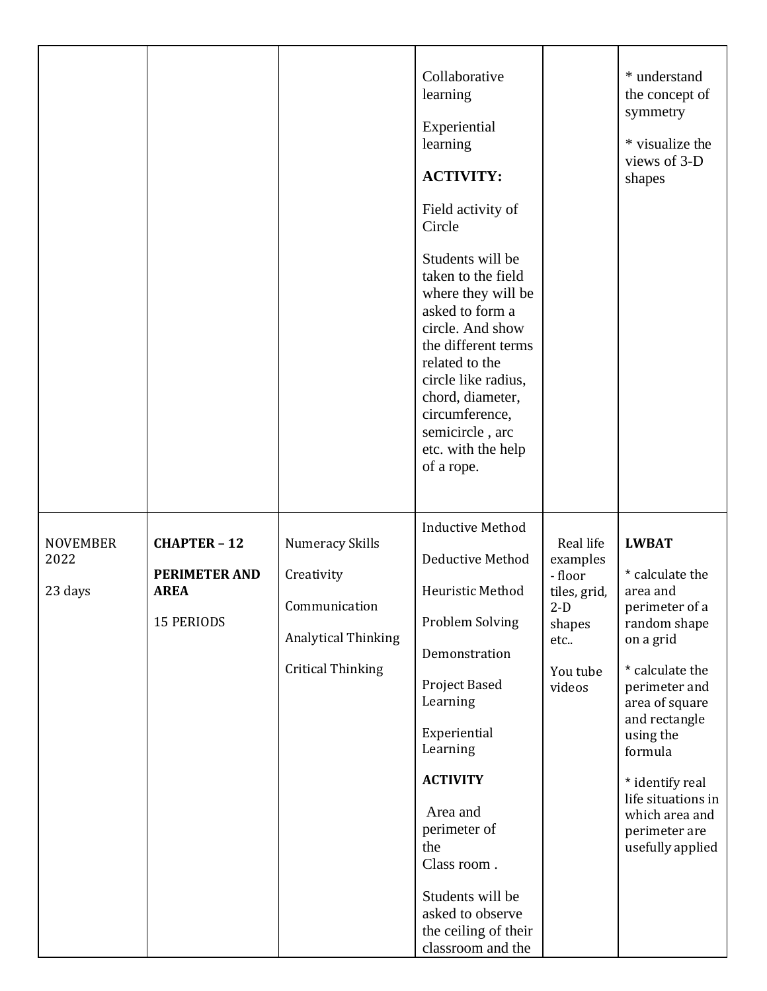|                                    |                                                                          |                                                                                                                 | Collaborative<br>learning<br>Experiential<br>learning<br><b>ACTIVITY:</b><br>Field activity of<br>Circle<br>Students will be<br>taken to the field<br>where they will be<br>asked to form a<br>circle. And show<br>the different terms<br>related to the<br>circle like radius,<br>chord, diameter,<br>circumference,<br>semicircle, arc<br>etc. with the help<br>of a rope. |                                                                                                  | * understand<br>the concept of<br>symmetry<br>* visualize the<br>views of 3-D<br>shapes                                                                                                                                                                                                   |
|------------------------------------|--------------------------------------------------------------------------|-----------------------------------------------------------------------------------------------------------------|------------------------------------------------------------------------------------------------------------------------------------------------------------------------------------------------------------------------------------------------------------------------------------------------------------------------------------------------------------------------------|--------------------------------------------------------------------------------------------------|-------------------------------------------------------------------------------------------------------------------------------------------------------------------------------------------------------------------------------------------------------------------------------------------|
| <b>NOVEMBER</b><br>2022<br>23 days | <b>CHAPTER - 12</b><br>PERIMETER AND<br><b>AREA</b><br><b>15 PERIODS</b> | <b>Numeracy Skills</b><br>Creativity<br>Communication<br><b>Analytical Thinking</b><br><b>Critical Thinking</b> | <b>Inductive Method</b><br>Deductive Method<br>Heuristic Method<br>Problem Solving<br>Demonstration<br>Project Based<br>Learning<br>Experiential<br>Learning<br><b>ACTIVITY</b><br>Area and<br>perimeter of<br>the<br>Class room.<br>Students will be<br>asked to observe<br>the ceiling of their<br>classroom and the                                                       | Real life<br>examples<br>- floor<br>tiles, grid,<br>$2-D$<br>shapes<br>etc<br>You tube<br>videos | <b>LWBAT</b><br>* calculate the<br>area and<br>perimeter of a<br>random shape<br>on a grid<br>* calculate the<br>perimeter and<br>area of square<br>and rectangle<br>using the<br>formula<br>* identify real<br>life situations in<br>which area and<br>perimeter are<br>usefully applied |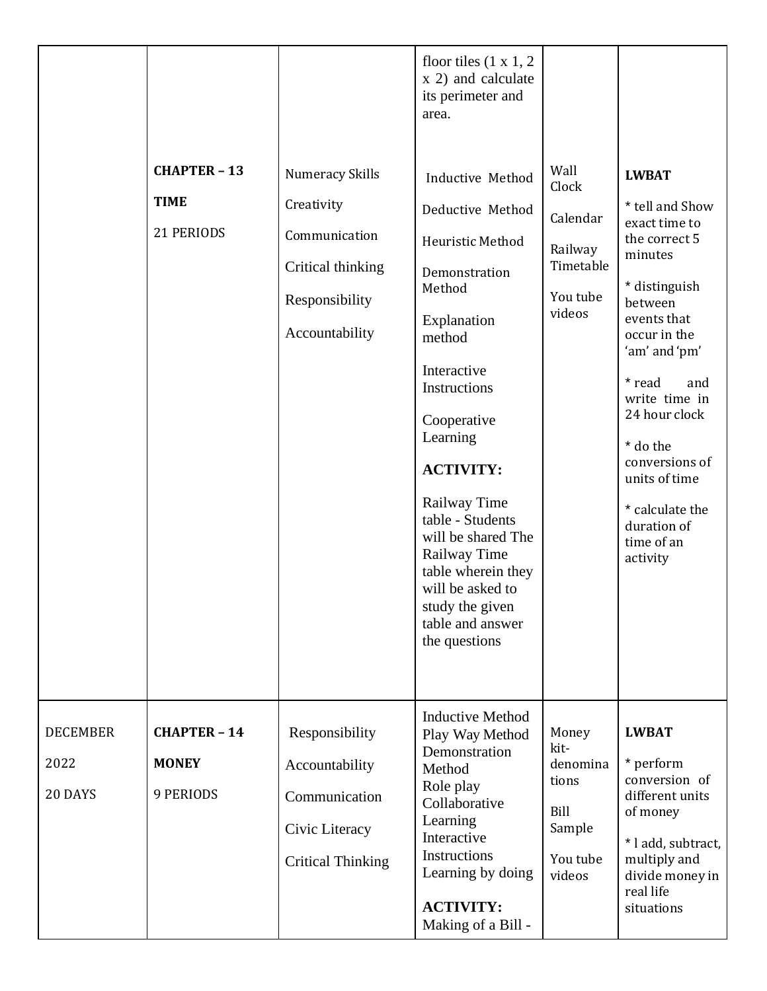|                                    | <b>CHAPTER - 13</b><br><b>TIME</b><br>21 PERIODS | <b>Numeracy Skills</b><br>Creativity<br>Communication<br>Critical thinking<br>Responsibility<br>Accountability | floor tiles $(1 x 1, 2)$<br>x 2) and calculate<br>its perimeter and<br>area.<br>Inductive Method<br>Deductive Method<br>Heuristic Method<br>Demonstration<br>Method<br>Explanation<br>method<br>Interactive<br>Instructions<br>Cooperative<br>Learning<br><b>ACTIVITY:</b><br>Railway Time<br>table - Students<br>will be shared The<br>Railway Time<br>table wherein they<br>will be asked to<br>study the given<br>table and answer<br>the questions | Wall<br>Clock<br>Calendar<br>Railway<br>Timetable<br>You tube<br>videos    | <b>LWBAT</b><br>* tell and Show<br>exact time to<br>the correct 5<br>minutes<br>* distinguish<br>between<br>events that<br>occur in the<br>'am' and 'pm'<br>* read<br>and<br>write time in<br>24 hour clock<br>* do the<br>conversions of<br>units of time<br>* calculate the<br>duration of<br>time of an<br>activity |
|------------------------------------|--------------------------------------------------|----------------------------------------------------------------------------------------------------------------|--------------------------------------------------------------------------------------------------------------------------------------------------------------------------------------------------------------------------------------------------------------------------------------------------------------------------------------------------------------------------------------------------------------------------------------------------------|----------------------------------------------------------------------------|------------------------------------------------------------------------------------------------------------------------------------------------------------------------------------------------------------------------------------------------------------------------------------------------------------------------|
| <b>DECEMBER</b><br>2022<br>20 DAYS | <b>CHAPTER - 14</b><br><b>MONEY</b><br>9 PERIODS | Responsibility<br>Accountability<br>Communication<br>Civic Literacy<br><b>Critical Thinking</b>                | <b>Inductive Method</b><br>Play Way Method<br>Demonstration<br>Method<br>Role play<br>Collaborative<br>Learning<br>Interactive<br>Instructions<br>Learning by doing<br><b>ACTIVITY:</b><br>Making of a Bill -                                                                                                                                                                                                                                          | Money<br>kit-<br>denomina<br>tions<br>Bill<br>Sample<br>You tube<br>videos | <b>LWBAT</b><br>* perform<br>conversion of<br>different units<br>of money<br>* l add, subtract,<br>multiply and<br>divide money in<br>real life<br>situations                                                                                                                                                          |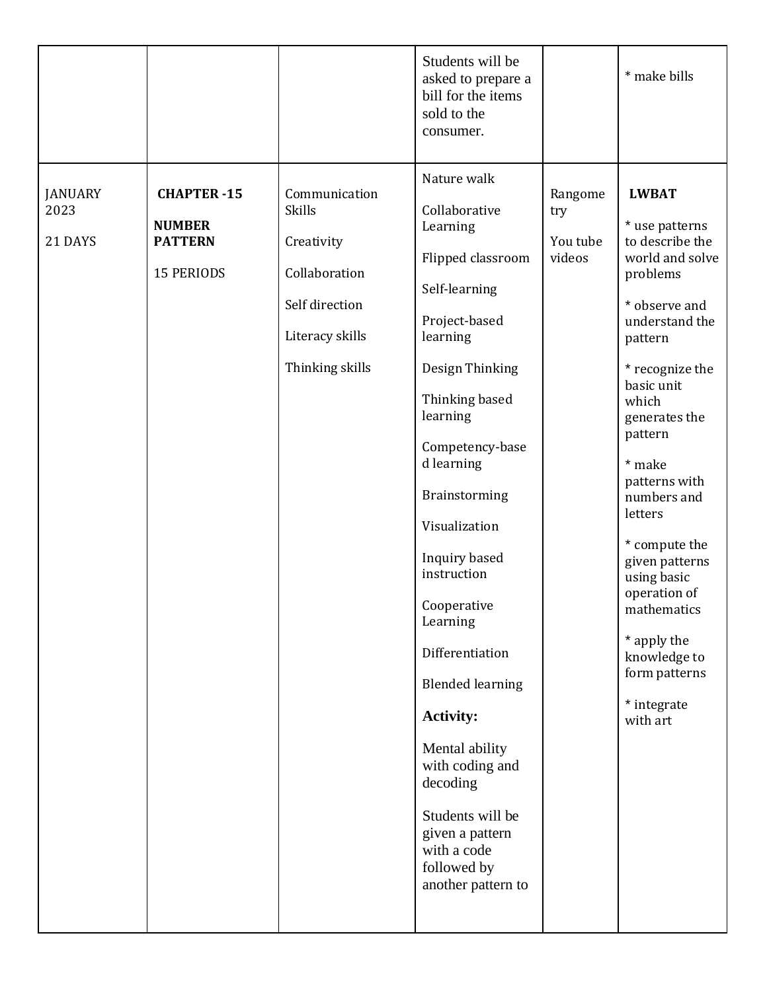|                                   |                                                                           |                                                                                                                       | Students will be<br>asked to prepare a<br>bill for the items<br>sold to the<br>consumer.                                                                                                                                                                                                                                                                                                                                                                                                                 |                                      | * make bills                                                                                                                                                                                                                                                                                                                                                                                                          |
|-----------------------------------|---------------------------------------------------------------------------|-----------------------------------------------------------------------------------------------------------------------|----------------------------------------------------------------------------------------------------------------------------------------------------------------------------------------------------------------------------------------------------------------------------------------------------------------------------------------------------------------------------------------------------------------------------------------------------------------------------------------------------------|--------------------------------------|-----------------------------------------------------------------------------------------------------------------------------------------------------------------------------------------------------------------------------------------------------------------------------------------------------------------------------------------------------------------------------------------------------------------------|
| <b>JANUARY</b><br>2023<br>21 DAYS | <b>CHAPTER-15</b><br><b>NUMBER</b><br><b>PATTERN</b><br><b>15 PERIODS</b> | Communication<br><b>Skills</b><br>Creativity<br>Collaboration<br>Self direction<br>Literacy skills<br>Thinking skills | Nature walk<br>Collaborative<br>Learning<br>Flipped classroom<br>Self-learning<br>Project-based<br>learning<br>Design Thinking<br>Thinking based<br>learning<br>Competency-base<br>d learning<br>Brainstorming<br>Visualization<br>Inquiry based<br>instruction<br>Cooperative<br>Learning<br>Differentiation<br><b>Blended learning</b><br><b>Activity:</b><br>Mental ability<br>with coding and<br>decoding<br>Students will be<br>given a pattern<br>with a code<br>followed by<br>another pattern to | Rangome<br>try<br>You tube<br>videos | <b>LWBAT</b><br>* use patterns<br>to describe the<br>world and solve<br>problems<br>* observe and<br>understand the<br>pattern<br>* recognize the<br>basic unit<br>which<br>generates the<br>pattern<br>* make<br>patterns with<br>numbers and<br>letters<br>* compute the<br>given patterns<br>using basic<br>operation of<br>mathematics<br>* apply the<br>knowledge to<br>form patterns<br>* integrate<br>with art |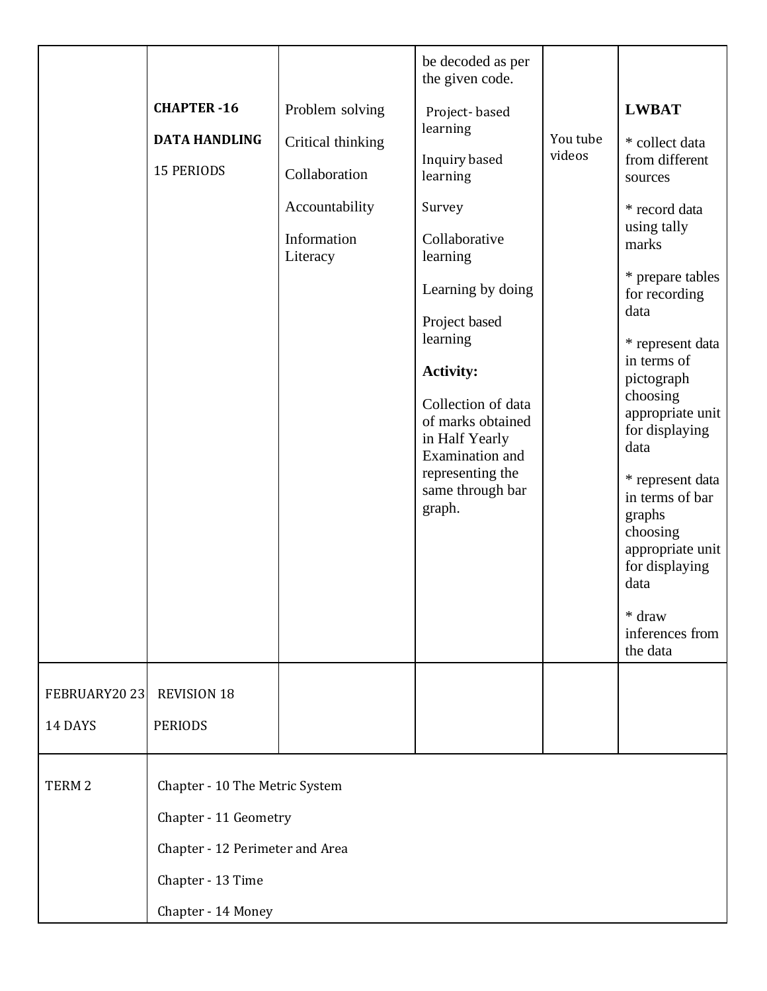|                         | <b>CHAPTER-16</b><br><b>DATA HANDLING</b><br><b>15 PERIODS</b>                                                                        | Problem solving<br>Critical thinking<br>Collaboration<br>Accountability<br>Information<br>Literacy | be decoded as per<br>the given code.<br>Project-based<br>learning<br>Inquiry based<br>learning<br>Survey<br>Collaborative<br>learning<br>Learning by doing<br>Project based<br>learning<br><b>Activity:</b><br>Collection of data<br>of marks obtained<br>in Half Yearly<br>Examination and<br>representing the<br>same through bar<br>graph. | You tube<br>videos | <b>LWBAT</b><br>* collect data<br>from different<br>sources<br>* record data<br>using tally<br>marks<br>* prepare tables<br>for recording<br>data<br>* represent data<br>in terms of<br>pictograph<br>choosing<br>appropriate unit<br>for displaying<br>data<br>* represent data<br>in terms of bar<br>graphs<br>choosing<br>appropriate unit<br>for displaying<br>data<br>* draw<br>inferences from |
|-------------------------|---------------------------------------------------------------------------------------------------------------------------------------|----------------------------------------------------------------------------------------------------|-----------------------------------------------------------------------------------------------------------------------------------------------------------------------------------------------------------------------------------------------------------------------------------------------------------------------------------------------|--------------------|------------------------------------------------------------------------------------------------------------------------------------------------------------------------------------------------------------------------------------------------------------------------------------------------------------------------------------------------------------------------------------------------------|
| FEBRUARY2023<br>14 DAYS | <b>REVISION 18</b><br><b>PERIODS</b>                                                                                                  |                                                                                                    |                                                                                                                                                                                                                                                                                                                                               |                    | the data                                                                                                                                                                                                                                                                                                                                                                                             |
| TERM <sub>2</sub>       | Chapter - 10 The Metric System<br>Chapter - 11 Geometry<br>Chapter - 12 Perimeter and Area<br>Chapter - 13 Time<br>Chapter - 14 Money |                                                                                                    |                                                                                                                                                                                                                                                                                                                                               |                    |                                                                                                                                                                                                                                                                                                                                                                                                      |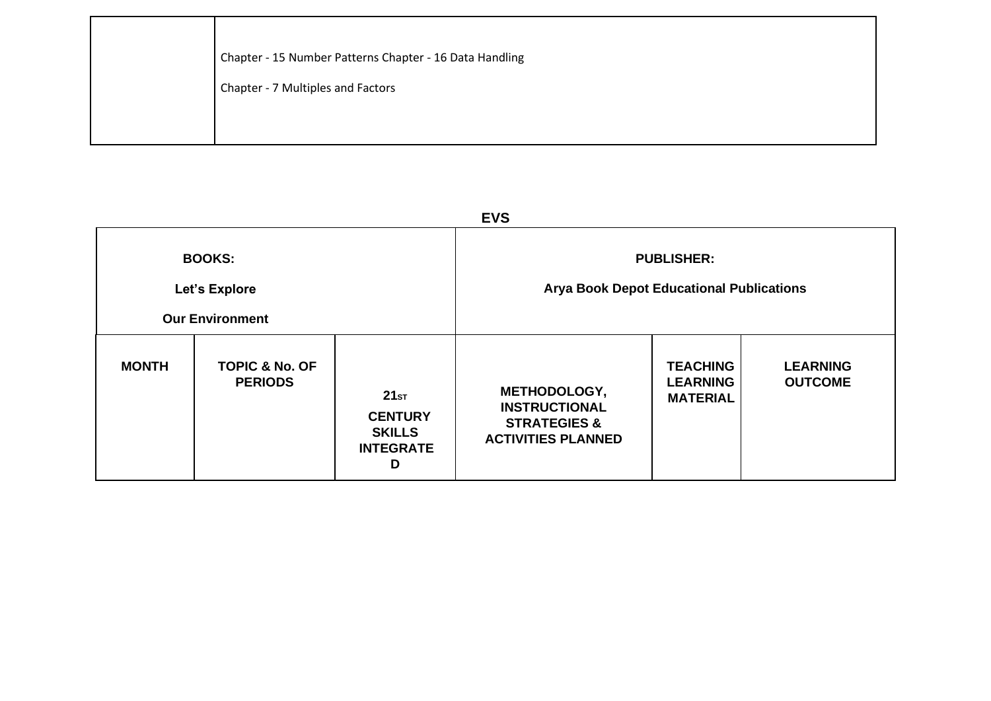| Chapter - 15 Number Patterns Chapter - 16 Data Handling |
|---------------------------------------------------------|
| Chapter - 7 Multiples and Factors                       |
|                                                         |
|                                                         |

| <b>EVS</b>                                               |                                             |                                                                  |                                                                                                     |                                                       |                                   |  |  |
|----------------------------------------------------------|---------------------------------------------|------------------------------------------------------------------|-----------------------------------------------------------------------------------------------------|-------------------------------------------------------|-----------------------------------|--|--|
| <b>BOOKS:</b><br>Let's Explore<br><b>Our Environment</b> |                                             |                                                                  | <b>PUBLISHER:</b><br><b>Arya Book Depot Educational Publications</b>                                |                                                       |                                   |  |  |
| <b>MONTH</b>                                             | <b>TOPIC &amp; No. OF</b><br><b>PERIODS</b> | 21sr<br><b>CENTURY</b><br><b>SKILLS</b><br><b>INTEGRATE</b><br>D | <b>METHODOLOGY,</b><br><b>INSTRUCTIONAL</b><br><b>STRATEGIES &amp;</b><br><b>ACTIVITIES PLANNED</b> | <b>TEACHING</b><br><b>LEARNING</b><br><b>MATERIAL</b> | <b>LEARNING</b><br><b>OUTCOME</b> |  |  |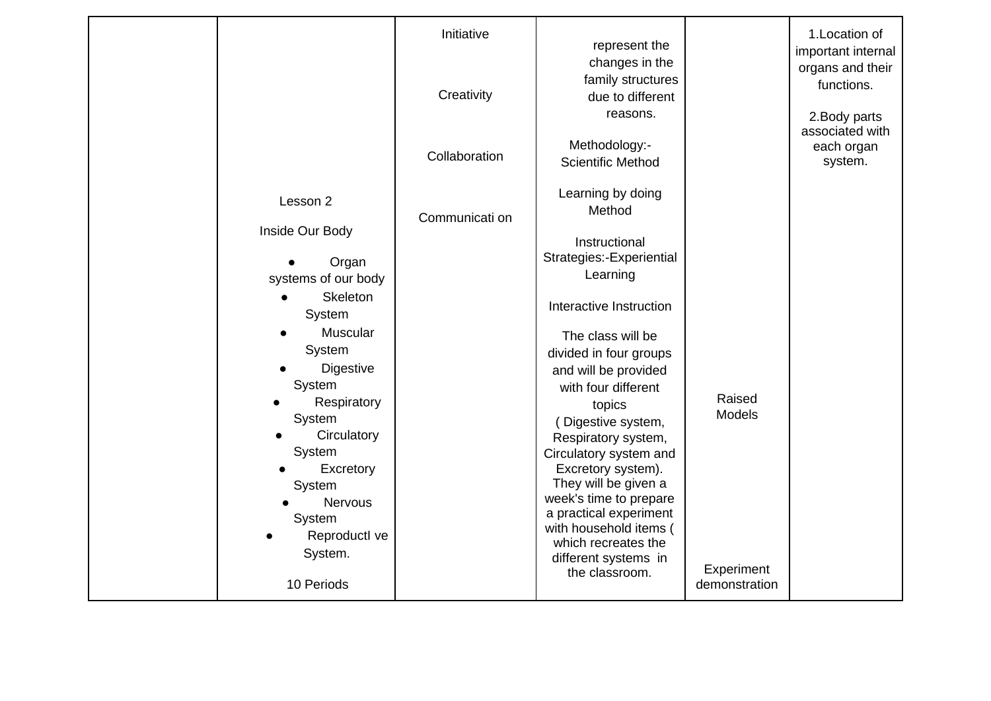|           |                                                                                                                                                                                                                                                                               | Initiative<br>Creativity | represent the<br>changes in the<br>family structures<br>due to different<br>reasons.                                                                                                                                                                                                                                                                                                                                                                                                        |                                                        | 1. Location of<br>important internal<br>organs and their<br>functions.<br>2. Body parts |
|-----------|-------------------------------------------------------------------------------------------------------------------------------------------------------------------------------------------------------------------------------------------------------------------------------|--------------------------|---------------------------------------------------------------------------------------------------------------------------------------------------------------------------------------------------------------------------------------------------------------------------------------------------------------------------------------------------------------------------------------------------------------------------------------------------------------------------------------------|--------------------------------------------------------|-----------------------------------------------------------------------------------------|
|           |                                                                                                                                                                                                                                                                               | Collaboration            | Methodology:-<br><b>Scientific Method</b>                                                                                                                                                                                                                                                                                                                                                                                                                                                   |                                                        | associated with<br>each organ<br>system.                                                |
| $\bullet$ | Lesson 2<br>Inside Our Body<br>Organ<br>systems of our body<br><b>Skeleton</b><br>System<br>Muscular<br>System<br>Digestive<br>System<br>Respiratory<br>System<br>Circulatory<br>System<br>Excretory<br>System<br>Nervous<br>System<br>Reproductl ve<br>System.<br>10 Periods | Communicati on           | Learning by doing<br>Method<br>Instructional<br>Strategies:-Experiential<br>Learning<br>Interactive Instruction<br>The class will be<br>divided in four groups<br>and will be provided<br>with four different<br>topics<br>(Digestive system,<br>Respiratory system,<br>Circulatory system and<br>Excretory system).<br>They will be given a<br>week's time to prepare<br>a practical experiment<br>with household items (<br>which recreates the<br>different systems in<br>the classroom. | Raised<br><b>Models</b><br>Experiment<br>demonstration |                                                                                         |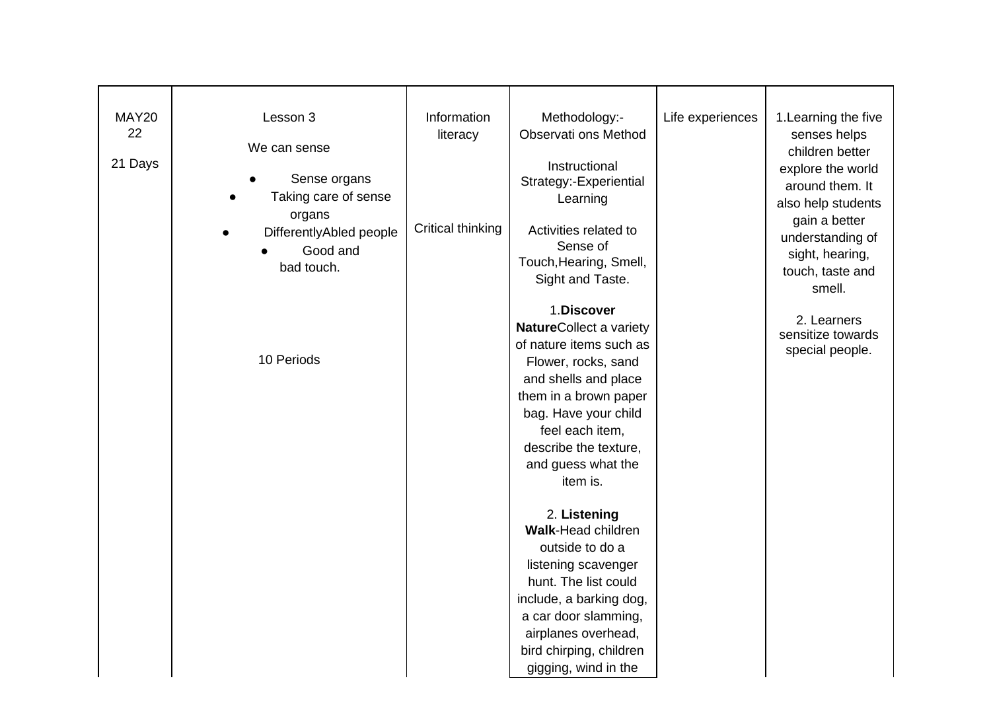| <b>MAY20</b><br>22<br>21 Days | Lesson 3<br>We can sense<br>Sense organs<br>Taking care of sense<br>organs<br>DifferentlyAbled people<br>Good and<br>bad touch. | Information<br>literacy<br>Critical thinking | Methodology:-<br>Observati ons Method<br>Instructional<br>Strategy:-Experiential<br>Learning<br>Activities related to<br>Sense of<br>Touch, Hearing, Smell,<br>Sight and Taste.                                                                | Life experiences | 1. Learning the five<br>senses helps<br>children better<br>explore the world<br>around them. It<br>also help students<br>gain a better<br>understanding of<br>sight, hearing,<br>touch, taste and<br>smell. |
|-------------------------------|---------------------------------------------------------------------------------------------------------------------------------|----------------------------------------------|------------------------------------------------------------------------------------------------------------------------------------------------------------------------------------------------------------------------------------------------|------------------|-------------------------------------------------------------------------------------------------------------------------------------------------------------------------------------------------------------|
|                               | 10 Periods                                                                                                                      |                                              | 1.Discover<br>NatureCollect a variety<br>of nature items such as<br>Flower, rocks, sand<br>and shells and place<br>them in a brown paper<br>bag. Have your child<br>feel each item,<br>describe the texture,<br>and guess what the<br>item is. |                  | 2. Learners<br>sensitize towards<br>special people.                                                                                                                                                         |
|                               |                                                                                                                                 |                                              | 2. Listening<br><b>Walk-Head children</b><br>outside to do a<br>listening scavenger<br>hunt. The list could<br>include, a barking dog,<br>a car door slamming,<br>airplanes overhead,<br>bird chirping, children<br>gigging, wind in the       |                  |                                                                                                                                                                                                             |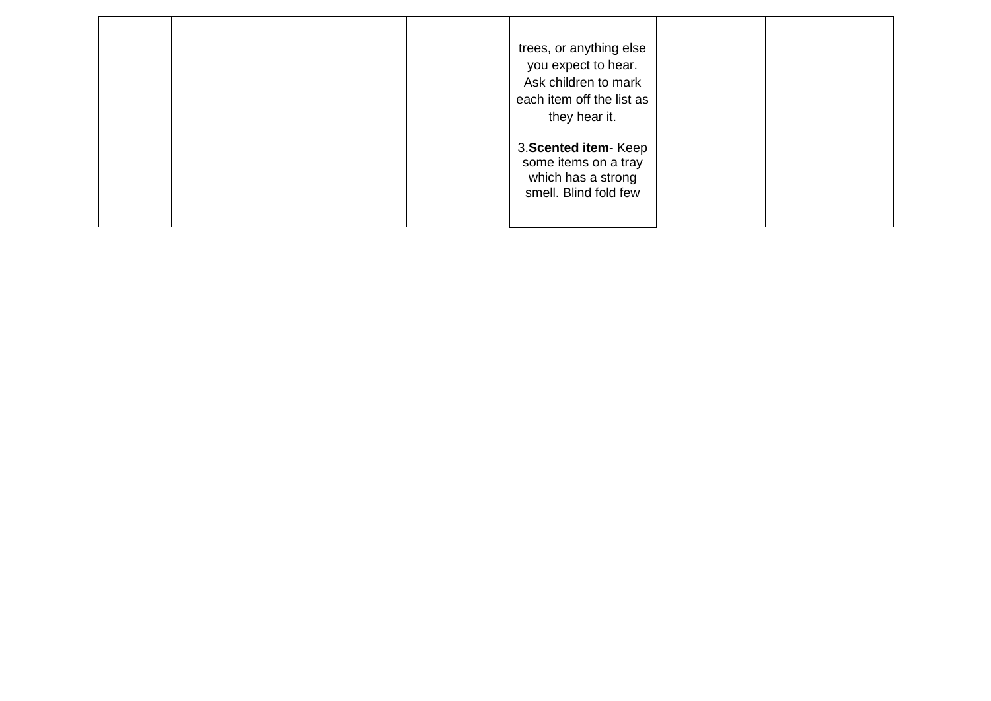|  | trees, or anything else<br>you expect to hear.<br>Ask children to mark<br>each item off the list as<br>they hear it. |  |
|--|----------------------------------------------------------------------------------------------------------------------|--|
|  | 3. Scented item-Keep<br>some items on a tray<br>which has a strong<br>smell. Blind fold few                          |  |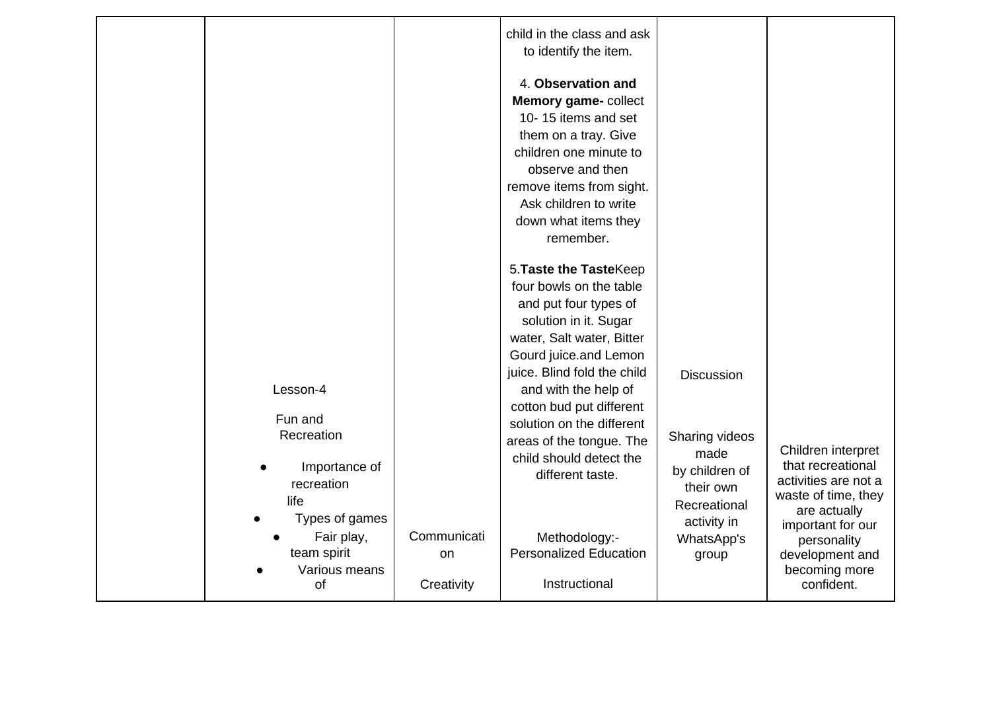|                                                                                                                        |                                            | child in the class and ask<br>to identify the item.<br>4. Observation and<br>Memory game- collect<br>10-15 items and set<br>them on a tray. Give                                                                                                                                                                                 |                                                                                   |                                                                                                                                                                        |
|------------------------------------------------------------------------------------------------------------------------|--------------------------------------------|----------------------------------------------------------------------------------------------------------------------------------------------------------------------------------------------------------------------------------------------------------------------------------------------------------------------------------|-----------------------------------------------------------------------------------|------------------------------------------------------------------------------------------------------------------------------------------------------------------------|
|                                                                                                                        |                                            | children one minute to<br>observe and then<br>remove items from sight.<br>Ask children to write<br>down what items they<br>remember.                                                                                                                                                                                             |                                                                                   |                                                                                                                                                                        |
| Lesson-4<br>Fun and<br>Recreation                                                                                      |                                            | 5. Taste the TasteKeep<br>four bowls on the table<br>and put four types of<br>solution in it. Sugar<br>water, Salt water, Bitter<br>Gourd juice.and Lemon<br>juice. Blind fold the child<br>and with the help of<br>cotton bud put different<br>solution on the different<br>areas of the tongue. The<br>child should detect the | <b>Discussion</b><br>Sharing videos<br>made                                       | Children interpret                                                                                                                                                     |
| Importance of<br>$\bullet$<br>recreation<br>life<br>Types of games<br>Fair play,<br>team spirit<br>Various means<br>of | Communicati<br><sub>on</sub><br>Creativity | different taste.<br>Methodology:-<br><b>Personalized Education</b><br>Instructional                                                                                                                                                                                                                                              | by children of<br>their own<br>Recreational<br>activity in<br>WhatsApp's<br>group | that recreational<br>activities are not a<br>waste of time, they<br>are actually<br>important for our<br>personality<br>development and<br>becoming more<br>confident. |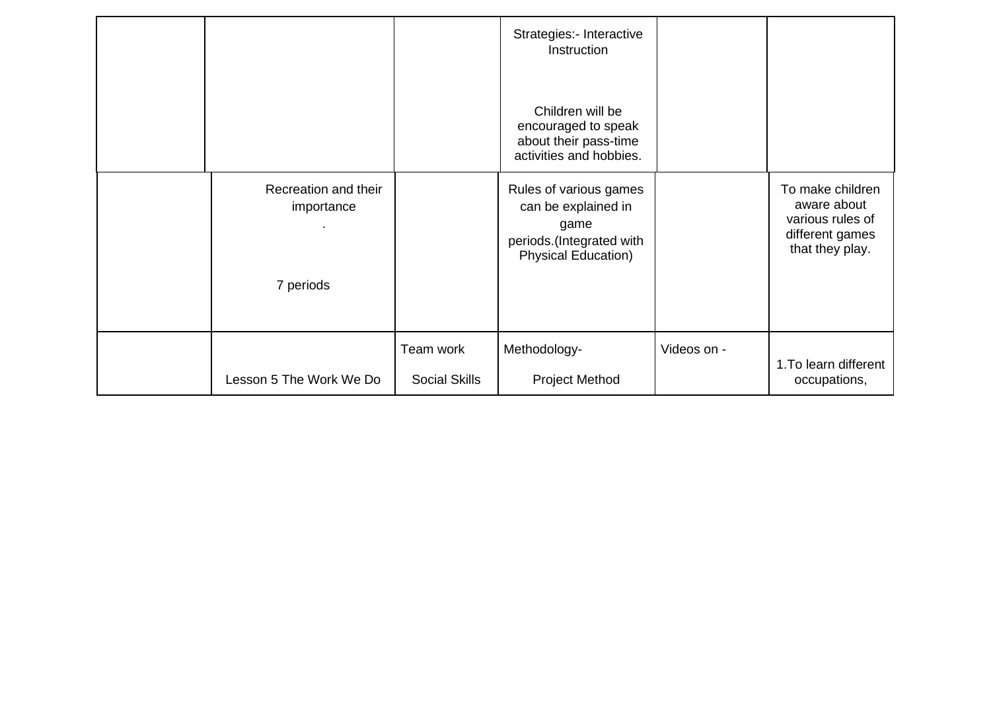|                                    |                                   | Strategies:- Interactive<br>Instruction                                                                         |             |                                                                                           |
|------------------------------------|-----------------------------------|-----------------------------------------------------------------------------------------------------------------|-------------|-------------------------------------------------------------------------------------------|
|                                    |                                   | Children will be<br>encouraged to speak<br>about their pass-time<br>activities and hobbies.                     |             |                                                                                           |
| Recreation and their<br>importance |                                   | Rules of various games<br>can be explained in<br>game<br>periods.(Integrated with<br><b>Physical Education)</b> |             | To make children<br>aware about<br>various rules of<br>different games<br>that they play. |
| 7 periods                          |                                   |                                                                                                                 |             |                                                                                           |
| Lesson 5 The Work We Do            | Team work<br><b>Social Skills</b> | Methodology-<br><b>Project Method</b>                                                                           | Videos on - | 1. To learn different<br>occupations,                                                     |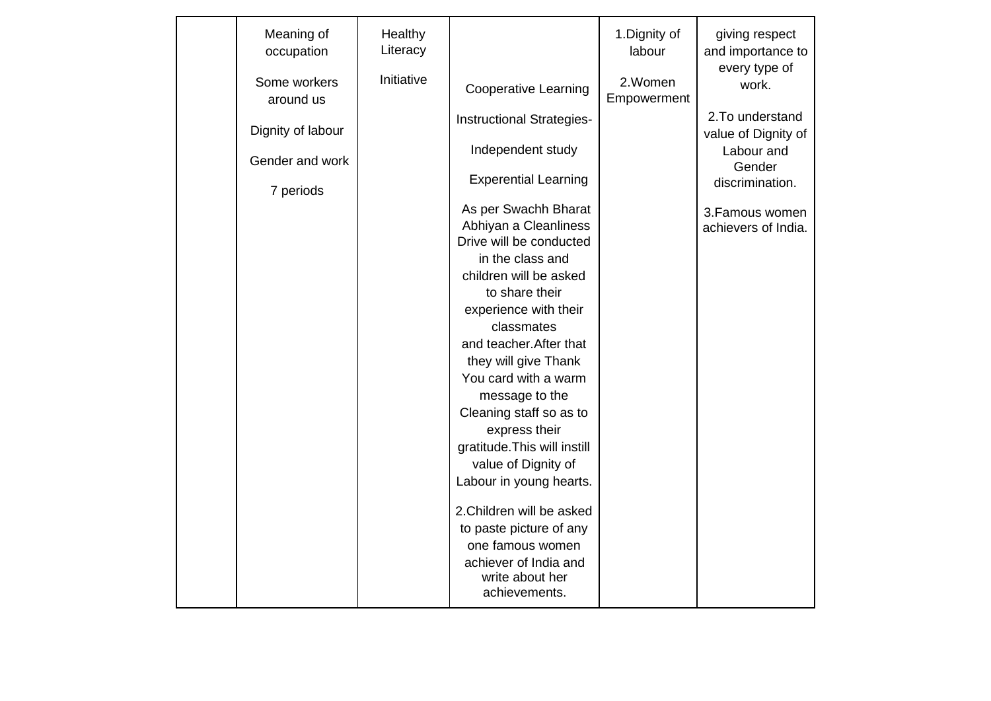| Meaning of<br>occupation  | Healthy<br>Literacy |                                                                                                                                                                                                                                                                                                                                                                                                                                                                    | 1. Dignity of<br>labour | giving respect<br>and importance to     |
|---------------------------|---------------------|--------------------------------------------------------------------------------------------------------------------------------------------------------------------------------------------------------------------------------------------------------------------------------------------------------------------------------------------------------------------------------------------------------------------------------------------------------------------|-------------------------|-----------------------------------------|
| Some workers<br>around us | Initiative          | Cooperative Learning                                                                                                                                                                                                                                                                                                                                                                                                                                               | 2.Women<br>Empowerment  | every type of<br>work.                  |
| Dignity of labour         |                     | Instructional Strategies-                                                                                                                                                                                                                                                                                                                                                                                                                                          |                         | 2. To understand<br>value of Dignity of |
| Gender and work           |                     | Independent study                                                                                                                                                                                                                                                                                                                                                                                                                                                  |                         | Labour and<br>Gender                    |
| 7 periods                 |                     | <b>Experential Learning</b>                                                                                                                                                                                                                                                                                                                                                                                                                                        |                         | discrimination.                         |
|                           |                     | As per Swachh Bharat<br>Abhiyan a Cleanliness<br>Drive will be conducted<br>in the class and<br>children will be asked<br>to share their<br>experience with their<br>classmates<br>and teacher. After that<br>they will give Thank<br>You card with a warm<br>message to the<br>Cleaning staff so as to<br>express their<br>gratitude. This will instill<br>value of Dignity of<br>Labour in young hearts.<br>2. Children will be asked<br>to paste picture of any |                         | 3. Famous women<br>achievers of India.  |
|                           |                     | one famous women<br>achiever of India and<br>write about her<br>achievements.                                                                                                                                                                                                                                                                                                                                                                                      |                         |                                         |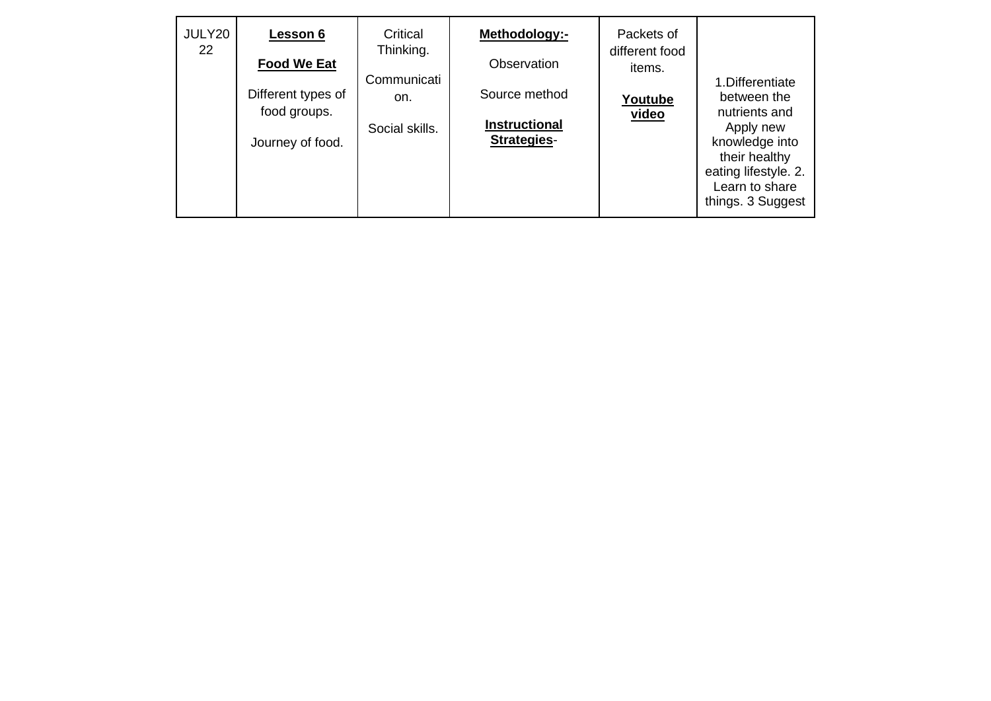| JULY20<br>22 | Lesson 6<br><b>Food We Eat</b><br>Different types of<br>food groups.<br>Journey of food. | Critical<br>Thinking.<br>Communicati<br>on.<br>Social skills. | Methodology:-<br>Observation<br>Source method<br><b>Instructional</b><br>Strategies- | Packets of<br>different food<br><i>items.</i><br>Youtube<br>video | 1. Differentiate<br>between the<br>nutrients and<br>Apply new<br>knowledge into<br>their healthy<br>eating lifestyle. 2. |
|--------------|------------------------------------------------------------------------------------------|---------------------------------------------------------------|--------------------------------------------------------------------------------------|-------------------------------------------------------------------|--------------------------------------------------------------------------------------------------------------------------|
|              |                                                                                          |                                                               |                                                                                      |                                                                   | Learn to share<br>things. 3 Suggest                                                                                      |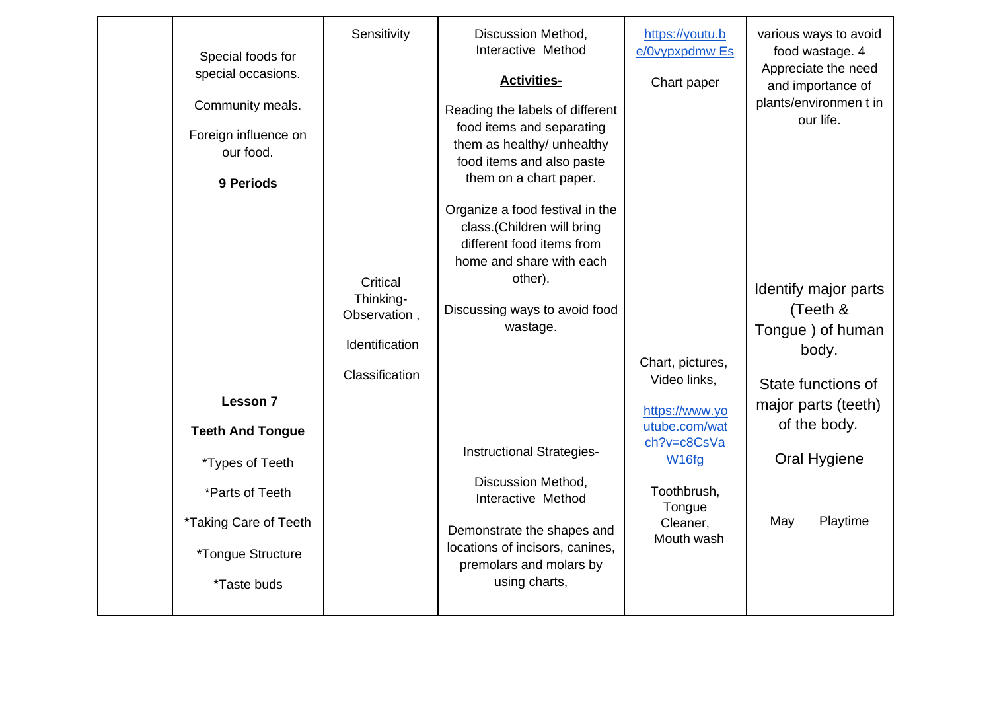|  | Special foods for<br>special occasions.<br>Community meals.<br>Foreign influence on<br>our food.<br>9 Periods<br><b>Lesson 7</b><br><b>Teeth And Tongue</b><br>*Types of Teeth<br>*Parts of Teeth<br>*Taking Care of Teeth<br><i>*Tongue Structure</i><br><i><b>*Taste buds</b></i> | Sensitivity<br>Critical<br>Thinking-<br>Observation,<br>Identification<br>Classification | Discussion Method,<br>Interactive Method<br><b>Activities-</b><br>Reading the labels of different<br>food items and separating<br>them as healthy/ unhealthy<br>food items and also paste<br>them on a chart paper.<br>Organize a food festival in the<br>class.(Children will bring<br>different food items from<br>home and share with each<br>other).<br>Discussing ways to avoid food<br>wastage.<br><b>Instructional Strategies-</b><br>Discussion Method,<br>Interactive Method<br>Demonstrate the shapes and<br>locations of incisors, canines,<br>premolars and molars by<br>using charts, | https://youtu.b<br>e/0vypxpdmw Es<br>Chart paper<br>Chart, pictures,<br>Video links,<br>https://www.yo<br>utube.com/wat<br>ch?v=c8CsVa<br>W <sub>16fg</sub><br>Toothbrush,<br>Tongue<br>Cleaner,<br>Mouth wash | various ways to avoid<br>food wastage. 4<br>Appreciate the need<br>and importance of<br>plants/environmen t in<br>our life.<br>Identify major parts<br>(Teeth &<br>Tongue ) of human<br>body.<br>State functions of<br>major parts (teeth)<br>of the body.<br>Oral Hygiene<br>Playtime<br>May |
|--|-------------------------------------------------------------------------------------------------------------------------------------------------------------------------------------------------------------------------------------------------------------------------------------|------------------------------------------------------------------------------------------|----------------------------------------------------------------------------------------------------------------------------------------------------------------------------------------------------------------------------------------------------------------------------------------------------------------------------------------------------------------------------------------------------------------------------------------------------------------------------------------------------------------------------------------------------------------------------------------------------|----------------------------------------------------------------------------------------------------------------------------------------------------------------------------------------------------------------|-----------------------------------------------------------------------------------------------------------------------------------------------------------------------------------------------------------------------------------------------------------------------------------------------|
|--|-------------------------------------------------------------------------------------------------------------------------------------------------------------------------------------------------------------------------------------------------------------------------------------|------------------------------------------------------------------------------------------|----------------------------------------------------------------------------------------------------------------------------------------------------------------------------------------------------------------------------------------------------------------------------------------------------------------------------------------------------------------------------------------------------------------------------------------------------------------------------------------------------------------------------------------------------------------------------------------------------|----------------------------------------------------------------------------------------------------------------------------------------------------------------------------------------------------------------|-----------------------------------------------------------------------------------------------------------------------------------------------------------------------------------------------------------------------------------------------------------------------------------------------|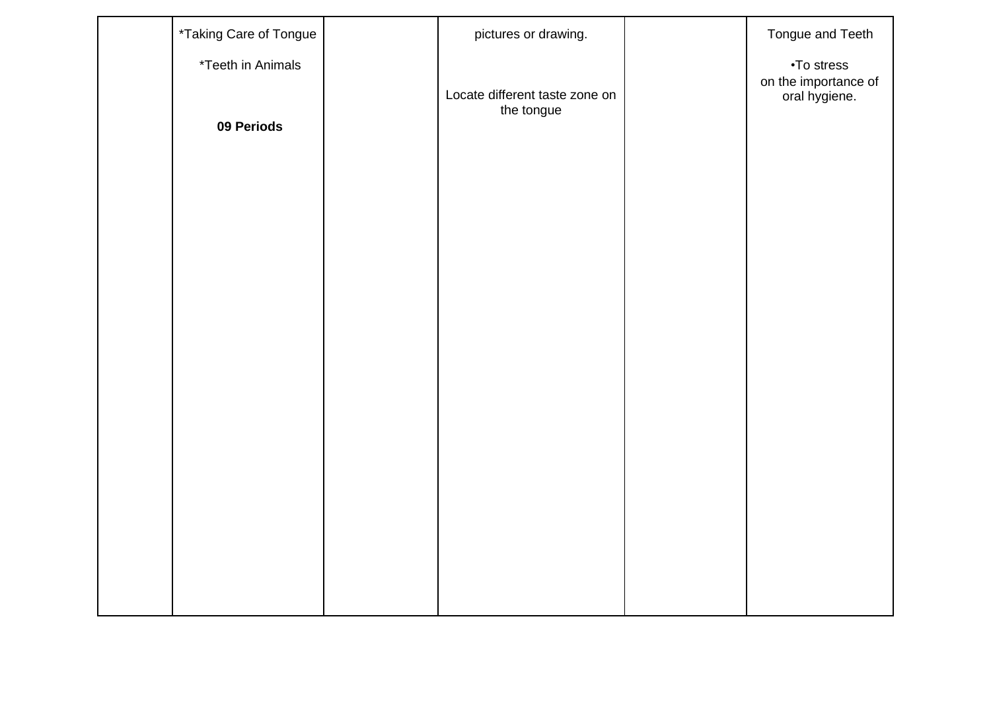| *Taking Care of Tongue                 | pictures or drawing.                         | Tongue and Teeth                                    |
|----------------------------------------|----------------------------------------------|-----------------------------------------------------|
| <i>*Teeth in Animals</i><br>09 Periods | Locate different taste zone on<br>the tongue | •To stress<br>on the importance of<br>oral hygiene. |
|                                        |                                              |                                                     |
|                                        |                                              |                                                     |
|                                        |                                              |                                                     |
|                                        |                                              |                                                     |
|                                        |                                              |                                                     |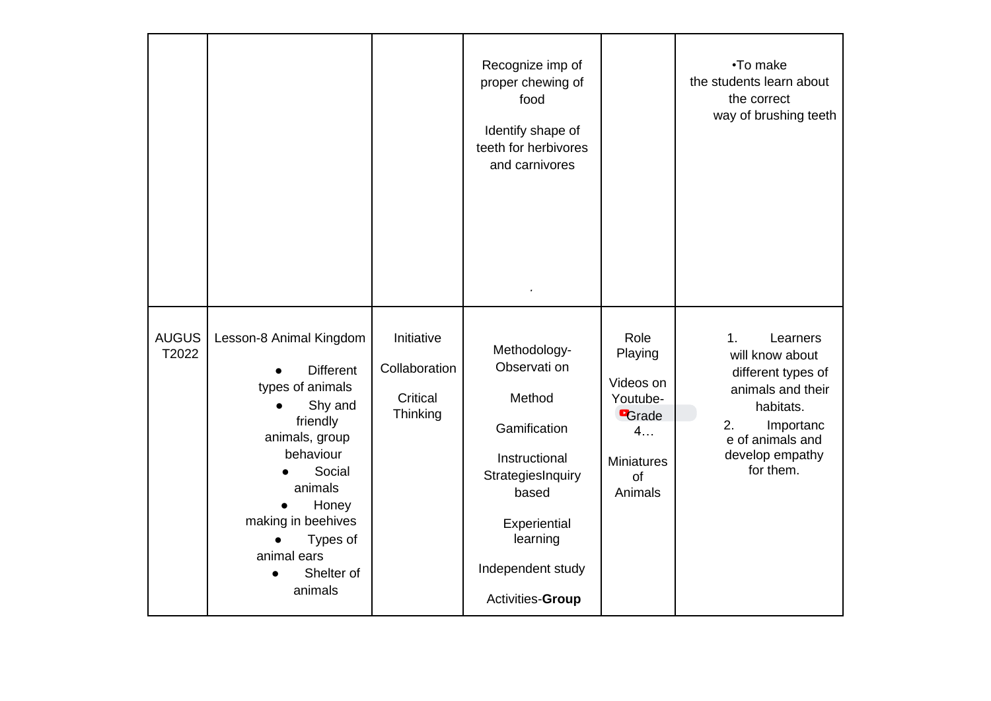|                       |                                                                                                                                                                                                                                                         |                                                     | Recognize imp of<br>proper chewing of<br>food<br>Identify shape of<br>teeth for herbivores<br>and carnivores                                                               |                                                                                                      | •To make<br>the students learn about<br>the correct<br>way of brushing teeth                                                                                                 |
|-----------------------|---------------------------------------------------------------------------------------------------------------------------------------------------------------------------------------------------------------------------------------------------------|-----------------------------------------------------|----------------------------------------------------------------------------------------------------------------------------------------------------------------------------|------------------------------------------------------------------------------------------------------|------------------------------------------------------------------------------------------------------------------------------------------------------------------------------|
| <b>AUGUS</b><br>T2022 | Lesson-8 Animal Kingdom<br><b>Different</b><br>types of animals<br>Shy and<br>$\bullet$<br>friendly<br>animals, group<br>behaviour<br>Social<br>animals<br>Honey<br>making in beehives<br>Types of<br>$\bullet$<br>animal ears<br>Shelter of<br>animals | Initiative<br>Collaboration<br>Critical<br>Thinking | Methodology-<br>Observati on<br>Method<br>Gamification<br>Instructional<br>StrategiesInquiry<br>based<br>Experiential<br>learning<br>Independent study<br>Activities-Group | Role<br>Playing<br>Videos on<br>Youtube-<br><b>B</b> rade<br>4<br><b>Miniatures</b><br>of<br>Animals | 1 <sub>1</sub><br>Learners<br>will know about<br>different types of<br>animals and their<br>habitats.<br>2.<br>Importanc<br>e of animals and<br>develop empathy<br>for them. |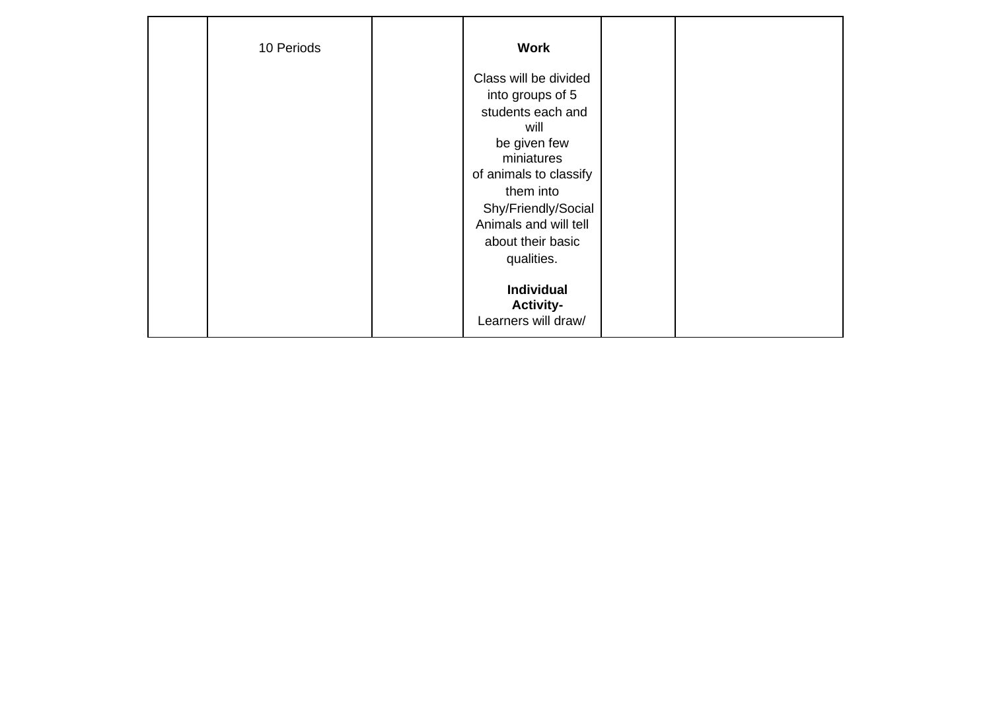| 10 Periods | <b>Work</b>                                                                                                                                                                                                                    |  |  |
|------------|--------------------------------------------------------------------------------------------------------------------------------------------------------------------------------------------------------------------------------|--|--|
|            | Class will be divided<br>into groups of 5<br>students each and<br>will<br>be given few<br>miniatures<br>of animals to classify<br>them into<br>Shy/Friendly/Social<br>Animals and will tell<br>about their basic<br>qualities. |  |  |
|            | Individual<br><b>Activity-</b><br>Learners will draw/                                                                                                                                                                          |  |  |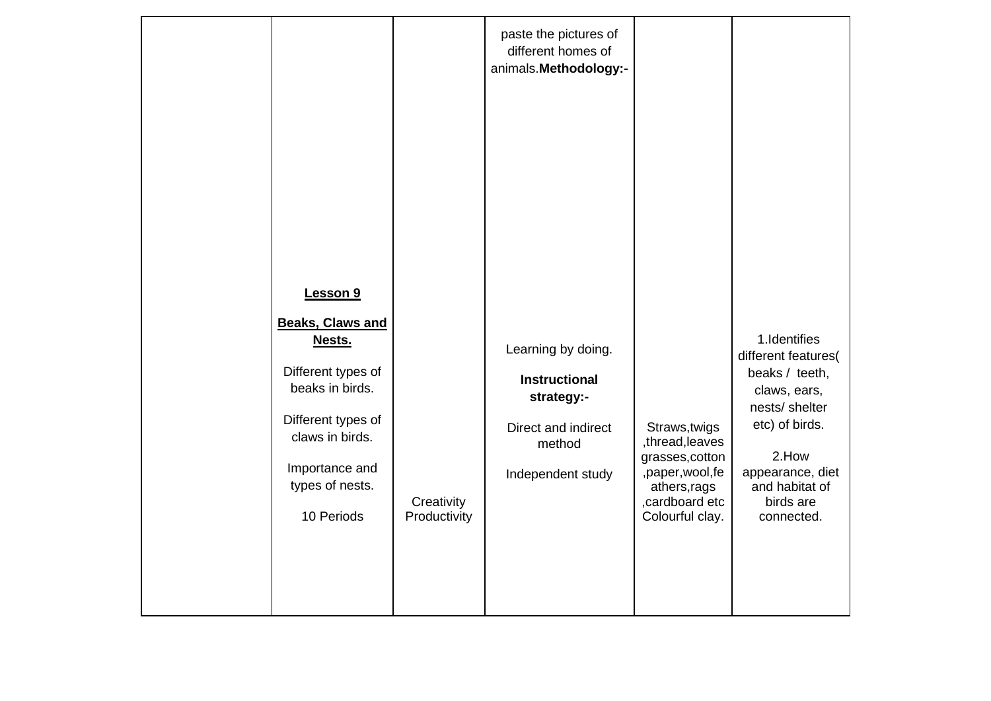| Lesson 9<br><b>Beaks, Claws and</b><br>Nests.<br>Different types of<br>beaks in birds.<br>Different types of<br>claws in birds.<br>Importance and<br>types of nests.<br>10 Periods | Creativity<br>Productivity | paste the pictures of<br>different homes of<br>animals. Methodology:-<br>Learning by doing.<br><b>Instructional</b><br>strategy:-<br>Direct and indirect<br>method<br>Independent study | Straws, twigs<br>,thread,leaves<br>grasses, cotton<br>,paper,wool,fe<br>athers, rags<br>, cardboard etc<br>Colourful clay. | 1.Identifies<br>different features(<br>beaks / teeth,<br>claws, ears,<br>nests/ shelter<br>etc) of birds.<br>2.How<br>appearance, diet<br>and habitat of<br>birds are<br>connected. |
|------------------------------------------------------------------------------------------------------------------------------------------------------------------------------------|----------------------------|-----------------------------------------------------------------------------------------------------------------------------------------------------------------------------------------|----------------------------------------------------------------------------------------------------------------------------|-------------------------------------------------------------------------------------------------------------------------------------------------------------------------------------|
|                                                                                                                                                                                    |                            |                                                                                                                                                                                         |                                                                                                                            |                                                                                                                                                                                     |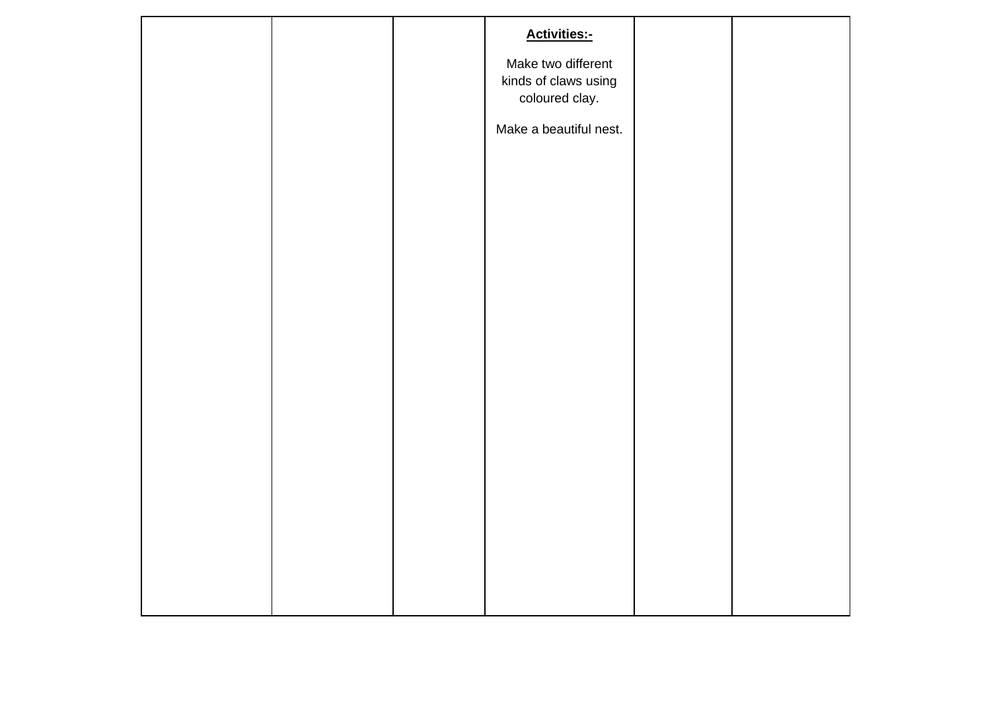|  | <b>Activities:-</b>                                          |  |
|--|--------------------------------------------------------------|--|
|  | Make two different<br>kinds of claws using<br>coloured clay. |  |
|  | Make a beautiful nest.                                       |  |
|  |                                                              |  |
|  |                                                              |  |
|  |                                                              |  |
|  |                                                              |  |
|  |                                                              |  |
|  |                                                              |  |
|  |                                                              |  |
|  |                                                              |  |
|  |                                                              |  |
|  |                                                              |  |
|  |                                                              |  |
|  |                                                              |  |
|  |                                                              |  |
|  |                                                              |  |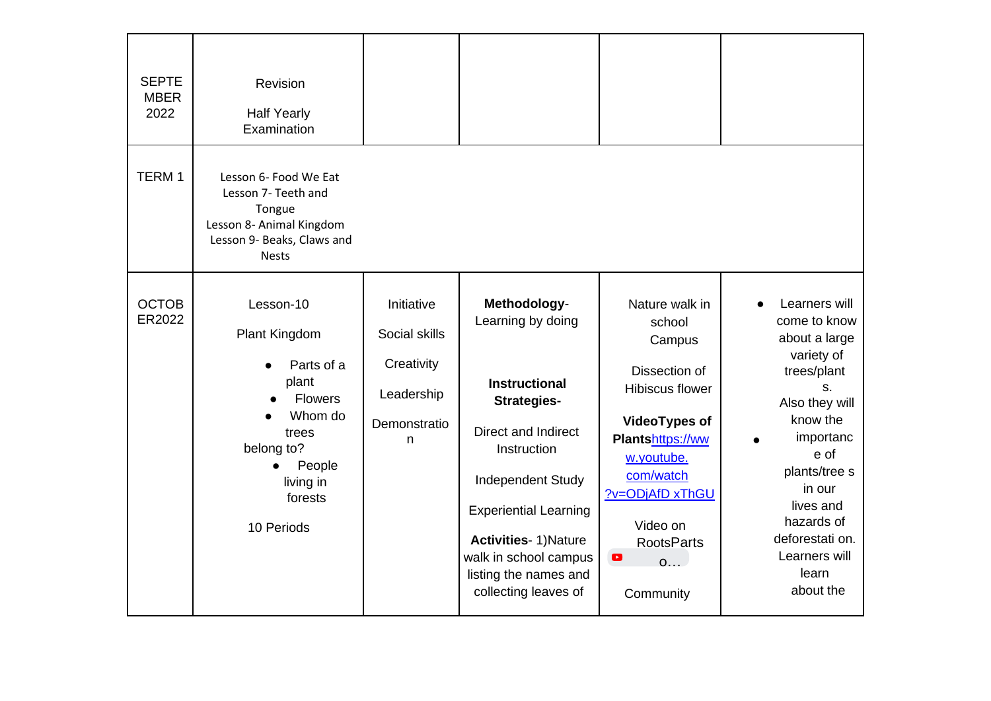| <b>SEPTE</b><br><b>MBER</b><br>2022 | Revision<br><b>Half Yearly</b><br>Examination                                                                                                               |                                                                              |                                                                                                                                                                                                                                                                                      |                                                                                                                                                                                                                                  |                                                                                                                                                                                                                                                      |
|-------------------------------------|-------------------------------------------------------------------------------------------------------------------------------------------------------------|------------------------------------------------------------------------------|--------------------------------------------------------------------------------------------------------------------------------------------------------------------------------------------------------------------------------------------------------------------------------------|----------------------------------------------------------------------------------------------------------------------------------------------------------------------------------------------------------------------------------|------------------------------------------------------------------------------------------------------------------------------------------------------------------------------------------------------------------------------------------------------|
| TERM <sub>1</sub>                   | Lesson 6- Food We Eat<br>Lesson 7- Teeth and<br>Tongue<br>Lesson 8- Animal Kingdom<br>Lesson 9- Beaks, Claws and<br><b>Nests</b>                            |                                                                              |                                                                                                                                                                                                                                                                                      |                                                                                                                                                                                                                                  |                                                                                                                                                                                                                                                      |
| <b>OCTOB</b><br>ER2022              | Lesson-10<br>Plant Kingdom<br>Parts of a<br>plant<br>Flowers<br>Whom do<br>trees<br>belong to?<br>People<br>$\bullet$<br>living in<br>forests<br>10 Periods | Initiative<br>Social skills<br>Creativity<br>Leadership<br>Demonstratio<br>n | Methodology-<br>Learning by doing<br><b>Instructional</b><br><b>Strategies-</b><br>Direct and Indirect<br>Instruction<br>Independent Study<br><b>Experiential Learning</b><br><b>Activities- 1) Nature</b><br>walk in school campus<br>listing the names and<br>collecting leaves of | Nature walk in<br>school<br>Campus<br>Dissection of<br>Hibiscus flower<br><b>VideoTypes of</b><br>Plantshttps://ww<br>w.youtube.<br>com/watch<br>?v=ODjAfD xThGU<br>Video on<br><b>RootsParts</b><br>$\bullet$<br>0<br>Community | Learners will<br>come to know<br>about a large<br>variety of<br>trees/plant<br>S.<br>Also they will<br>know the<br>importanc<br>e of<br>plants/tree s<br>in our<br>lives and<br>hazards of<br>deforestati on.<br>Learners will<br>learn<br>about the |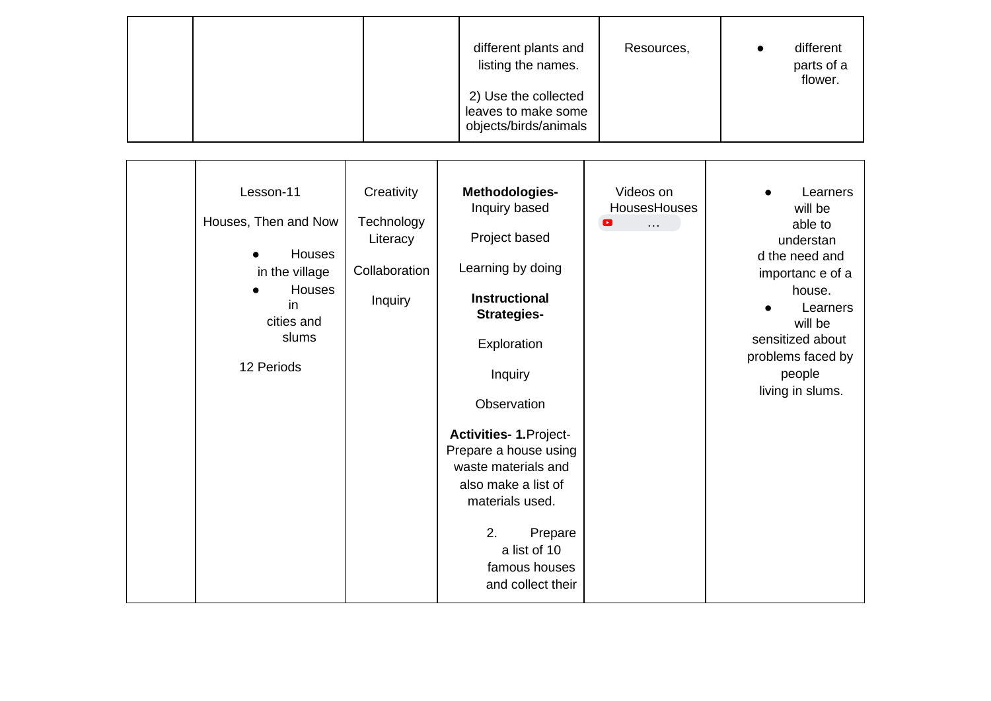| different plants and<br>listing the names.                           | Resources, | different<br>parts of a<br>flower. |
|----------------------------------------------------------------------|------------|------------------------------------|
| 2) Use the collected<br>leaves to make some<br>objects/birds/animals |            |                                    |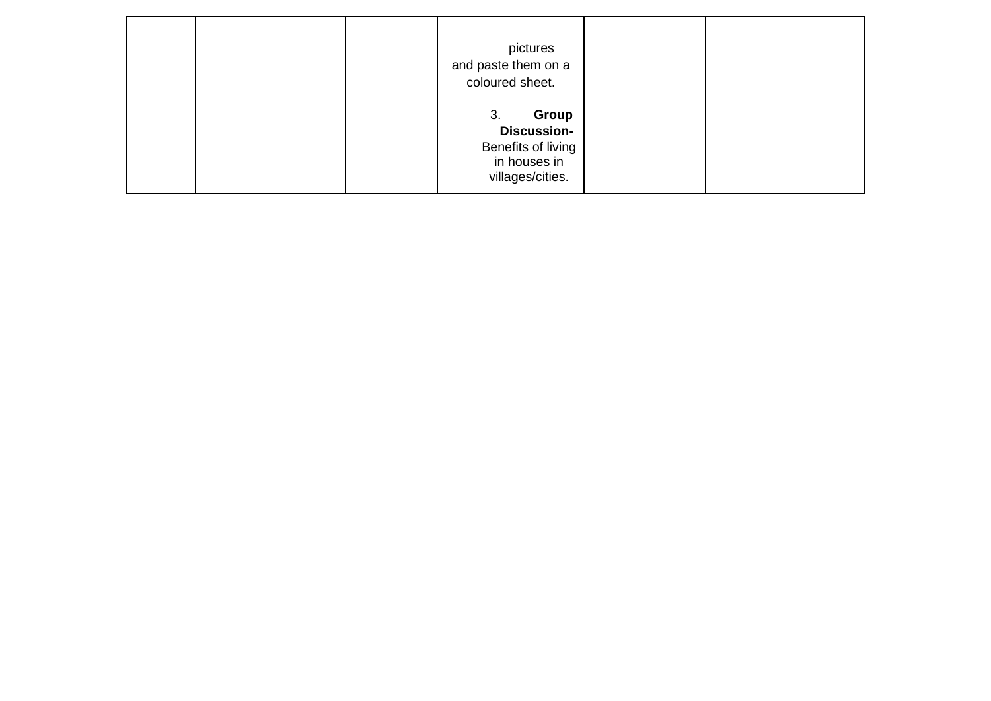|  | pictures<br>and paste them on a<br>coloured sheet.                                          |  |
|--|---------------------------------------------------------------------------------------------|--|
|  | Group<br>3.<br><b>Discussion-</b><br>Benefits of living<br>in houses in<br>villages/cities. |  |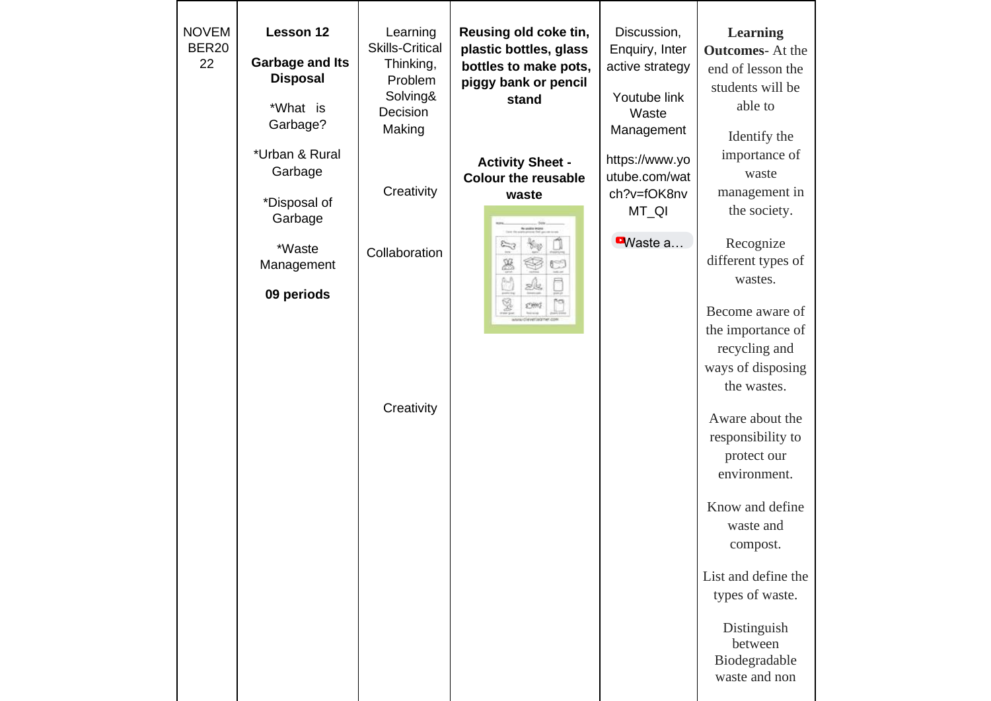| <b>NOVEM</b><br>Lesson 12<br><b>BER20</b><br><b>Garbage and Its</b><br>22<br><b>Disposal</b><br>*What is<br>Garbage? | Learning<br><b>Skills-Critical</b><br>Thinking,<br>Problem<br>Solving&<br>Decision<br>Making | Reusing old coke tin,<br>plastic bottles, glass<br>bottles to make pots,<br>piggy bank or pencil<br>stand                  | Discussion,<br>Enquiry, Inter<br>active strategy<br>Youtube link<br>Waste<br>Management | <b>Learning</b><br><b>Outcomes-At the</b><br>end of lesson the<br>students will be<br>able to<br>Identify the                                                                                                                                                                                                                                                                                                               |
|----------------------------------------------------------------------------------------------------------------------|----------------------------------------------------------------------------------------------|----------------------------------------------------------------------------------------------------------------------------|-----------------------------------------------------------------------------------------|-----------------------------------------------------------------------------------------------------------------------------------------------------------------------------------------------------------------------------------------------------------------------------------------------------------------------------------------------------------------------------------------------------------------------------|
| *Urban & Rural<br>Garbage<br>*Disposal of<br>Garbage<br>*Waste<br>Management<br>09 periods                           | Creativity<br>Collaboration<br>Creativity                                                    | <b>Activity Sheet -</b><br><b>Colour the reusable</b><br>waste<br><b>Re-unalise incor</b><br>Ž<br>墨<br>e<br>Ľ<br>Sk.<br>¥. | https://www.yo<br>utube.com/wat<br>ch?v=fOK8nv<br>MT_QI<br>$\blacksquare$ Waste a       | importance of<br>waste<br>management in<br>the society.<br>Recognize<br>different types of<br>wastes.<br>Become aware of<br>the importance of<br>recycling and<br>ways of disposing<br>the wastes.<br>Aware about the<br>responsibility to<br>protect our<br>environment.<br>Know and define<br>waste and<br>compost.<br>List and define the<br>types of waste.<br>Distinguish<br>between<br>Biodegradable<br>waste and non |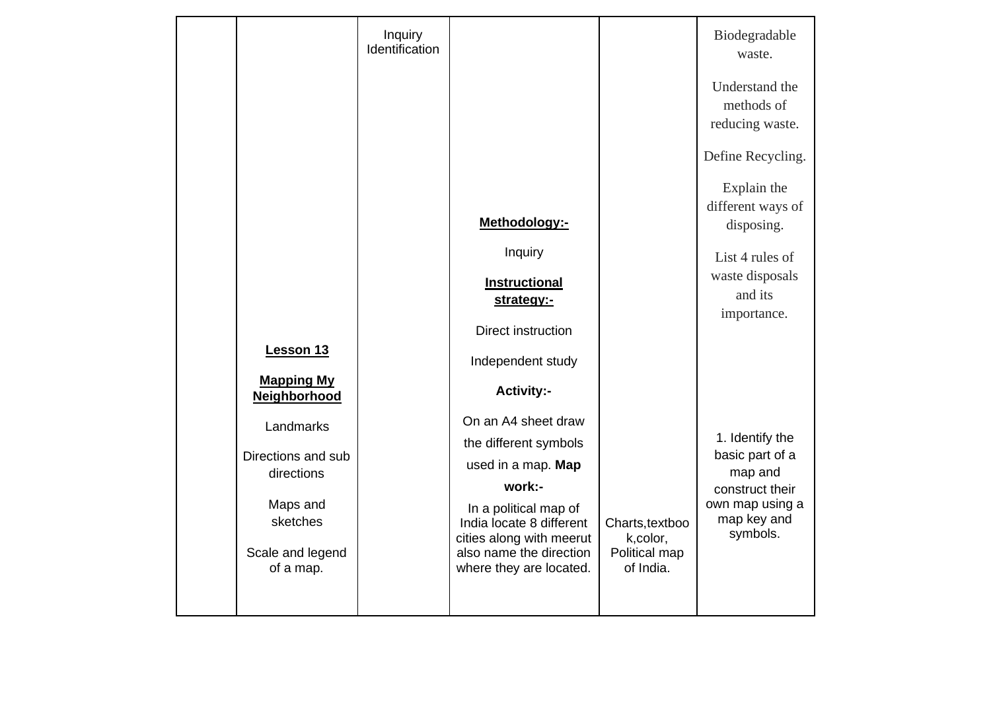|                                   | Inquiry<br>Identification |                                                      |                              | Biodegradable<br>waste.                         |
|-----------------------------------|---------------------------|------------------------------------------------------|------------------------------|-------------------------------------------------|
|                                   |                           |                                                      |                              | Understand the<br>methods of<br>reducing waste. |
|                                   |                           |                                                      |                              | Define Recycling.                               |
|                                   |                           |                                                      |                              | Explain the<br>different ways of                |
|                                   |                           | Methodology:-                                        |                              | disposing.                                      |
|                                   |                           | Inquiry                                              |                              | List 4 rules of                                 |
|                                   |                           | <b>Instructional</b>                                 |                              | waste disposals                                 |
|                                   |                           | strategy:-                                           |                              | and its                                         |
|                                   |                           | Direct instruction                                   |                              | importance.                                     |
| Lesson 13                         |                           | Independent study                                    |                              |                                                 |
| <b>Mapping My</b><br>Neighborhood |                           | <b>Activity:-</b>                                    |                              |                                                 |
| Landmarks                         |                           | On an A4 sheet draw                                  |                              |                                                 |
|                                   |                           | the different symbols                                |                              | 1. Identify the                                 |
| Directions and sub<br>directions  |                           | used in a map. Map                                   |                              | basic part of a<br>map and                      |
|                                   |                           | work:-                                               |                              | construct their                                 |
| Maps and                          |                           | In a political map of                                |                              | own map using a                                 |
| sketches                          |                           | India locate 8 different<br>cities along with meerut | Charts, textboo<br>k, color, | map key and<br>symbols.                         |
| Scale and legend<br>of a map.     |                           | also name the direction<br>where they are located.   | Political map<br>of India.   |                                                 |
|                                   |                           |                                                      |                              |                                                 |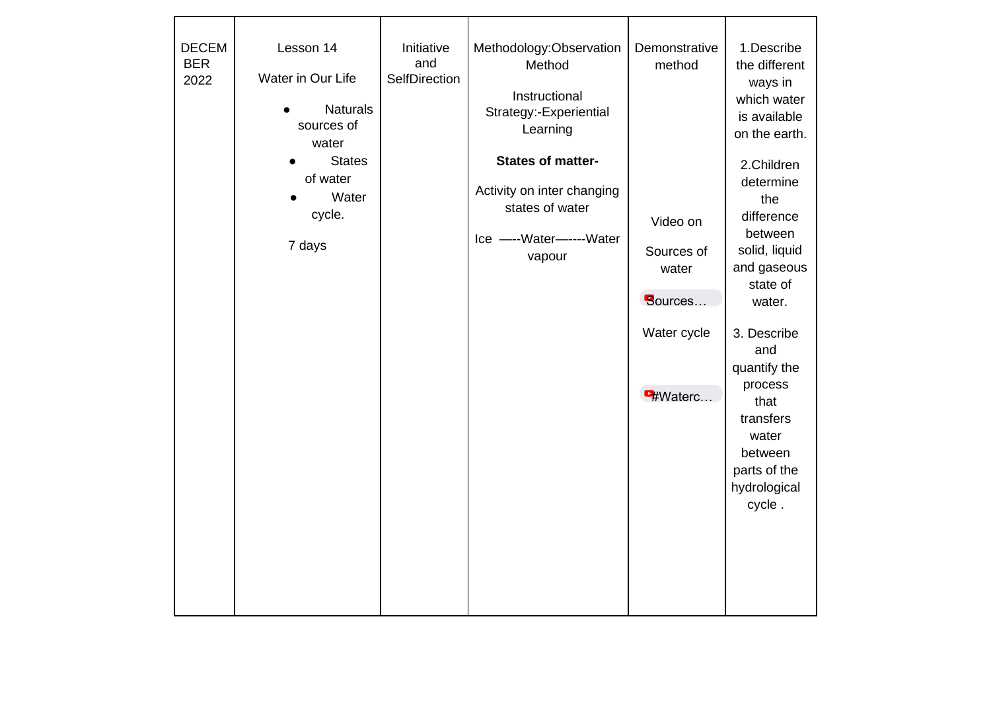| <b>DECEM</b><br><b>BER</b><br>2022 | Lesson 14<br>Water in Our Life<br><b>Naturals</b><br>sources of<br>water | Initiative<br>and<br>SelfDirection | Methodology:Observation<br>Method<br>Instructional<br>Strategy:-Experiential<br>Learning                         | Demonstrative<br>method                    | 1.Describe<br>the different<br>ways in<br>which water<br>is available<br>on the earth.                                           |
|------------------------------------|--------------------------------------------------------------------------|------------------------------------|------------------------------------------------------------------------------------------------------------------|--------------------------------------------|----------------------------------------------------------------------------------------------------------------------------------|
|                                    | <b>States</b><br>of water<br>Water<br>cycle.<br>7 days                   |                                    | <b>States of matter-</b><br>Activity on inter changing<br>states of water<br>Ice ----Water-------Water<br>vapour | Video on<br>Sources of<br>water<br>Sources | 2.Children<br>determine<br>the<br>difference<br>between<br>solid, liquid<br>and gaseous<br>state of<br>water.                    |
|                                    |                                                                          |                                    |                                                                                                                  | Water cycle<br><b>H</b> Waterc             | 3. Describe<br>and<br>quantify the<br>process<br>that<br>transfers<br>water<br>between<br>parts of the<br>hydrological<br>cycle. |
|                                    |                                                                          |                                    |                                                                                                                  |                                            |                                                                                                                                  |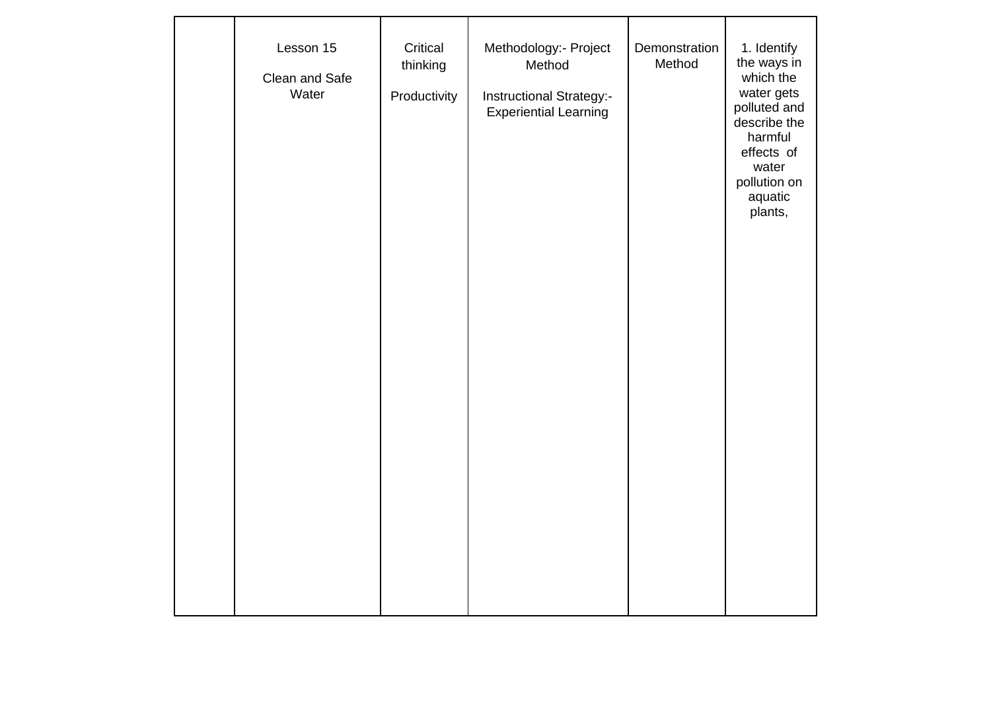| Lesson 15<br>Clean and Safe<br>Water | Critical<br>thinking<br>Productivity | Methodology:- Project<br>Method<br>Instructional Strategy:-<br><b>Experiential Learning</b> | Demonstration<br>Method | 1. Identify<br>the ways in<br>which the<br>water gets<br>polluted and<br>describe the<br>harmful<br>effects of<br>water<br>pollution on<br>aquatic<br>plants, |
|--------------------------------------|--------------------------------------|---------------------------------------------------------------------------------------------|-------------------------|---------------------------------------------------------------------------------------------------------------------------------------------------------------|
|                                      |                                      |                                                                                             |                         |                                                                                                                                                               |
|                                      |                                      |                                                                                             |                         |                                                                                                                                                               |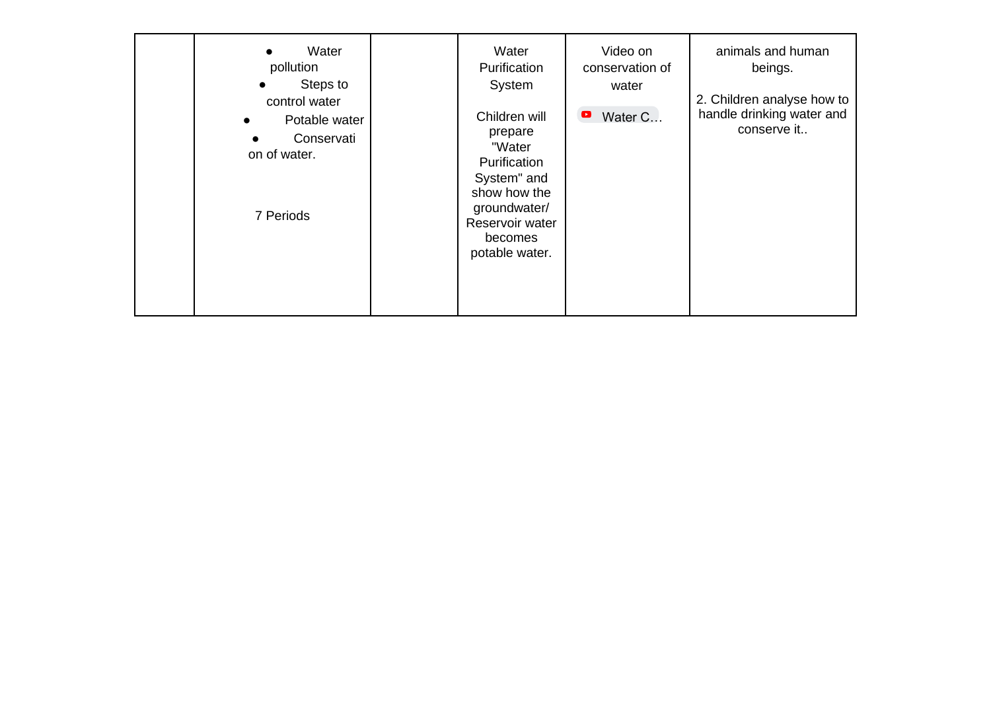| Water<br>$\bullet$<br>pollution<br>Steps to<br>$\bullet$<br>control water<br>Potable water<br>Conservati<br>on of water.<br>7 Periods | Water<br>Purification<br>System<br>Children will<br>prepare<br>"Water<br>Purification<br>System" and<br>show how the<br>groundwater/<br>Reservoir water<br>becomes<br>potable water. | Video on<br>conservation of<br>water<br>Water C<br>$\bullet$ | animals and human<br>beings.<br>2. Children analyse how to<br>handle drinking water and<br>conserve it |
|---------------------------------------------------------------------------------------------------------------------------------------|--------------------------------------------------------------------------------------------------------------------------------------------------------------------------------------|--------------------------------------------------------------|--------------------------------------------------------------------------------------------------------|
|---------------------------------------------------------------------------------------------------------------------------------------|--------------------------------------------------------------------------------------------------------------------------------------------------------------------------------------|--------------------------------------------------------------|--------------------------------------------------------------------------------------------------------|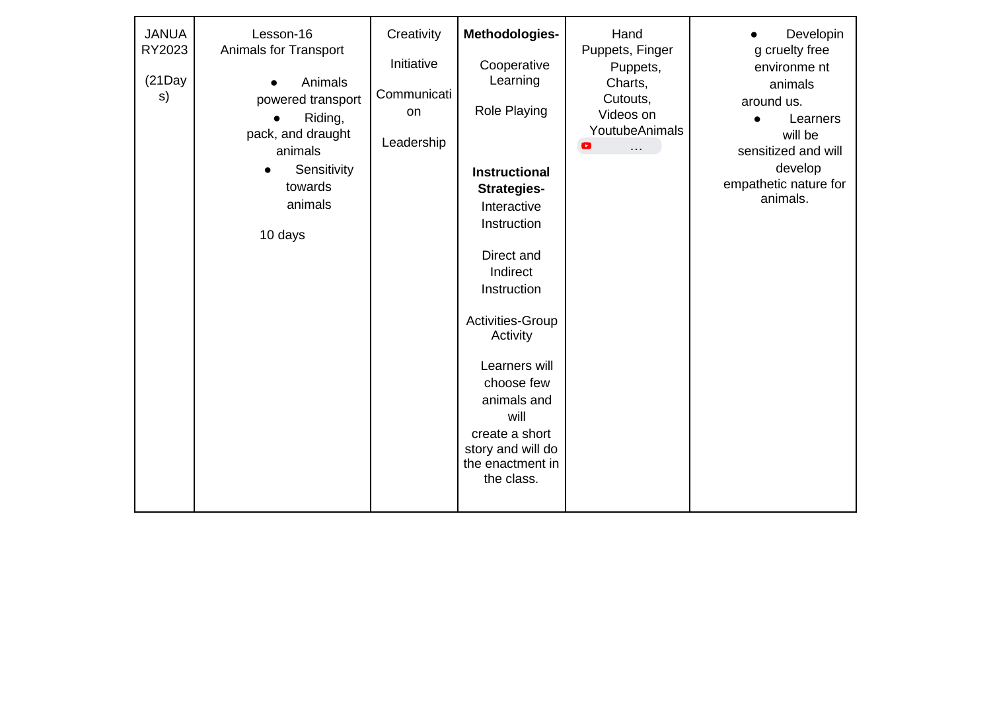| <b>JANUA</b><br>RY2023<br>$(21$ Day<br>s) | Lesson-16<br>Animals for Transport<br>Animals<br>powered transport<br>Riding,<br>pack, and draught<br>animals<br>Sensitivity<br>$\bullet$<br>towards<br>animals<br>10 days | Creativity<br>Initiative<br>Communicati<br>on<br>Leadership | Methodologies-<br>Cooperative<br>Learning<br>Role Playing<br><b>Instructional</b><br><b>Strategies-</b><br>Interactive<br>Instruction<br>Direct and<br>Indirect<br>Instruction<br>Activities-Group<br>Activity<br>Learners will<br>choose few<br>animals and<br>will<br>create a short<br>story and will do<br>the enactment in<br>the class. | Hand<br>Puppets, Finger<br>Puppets,<br>Charts,<br>Cutouts,<br>Videos on<br>YoutubeAnimals<br>$\blacktriangleright$<br>. | Developin<br>g cruelty free<br>environme nt<br>animals<br>around us.<br>Learners<br>will be<br>sensitized and will<br>develop<br>empathetic nature for<br>animals. |
|-------------------------------------------|----------------------------------------------------------------------------------------------------------------------------------------------------------------------------|-------------------------------------------------------------|-----------------------------------------------------------------------------------------------------------------------------------------------------------------------------------------------------------------------------------------------------------------------------------------------------------------------------------------------|-------------------------------------------------------------------------------------------------------------------------|--------------------------------------------------------------------------------------------------------------------------------------------------------------------|
|-------------------------------------------|----------------------------------------------------------------------------------------------------------------------------------------------------------------------------|-------------------------------------------------------------|-----------------------------------------------------------------------------------------------------------------------------------------------------------------------------------------------------------------------------------------------------------------------------------------------------------------------------------------------|-------------------------------------------------------------------------------------------------------------------------|--------------------------------------------------------------------------------------------------------------------------------------------------------------------|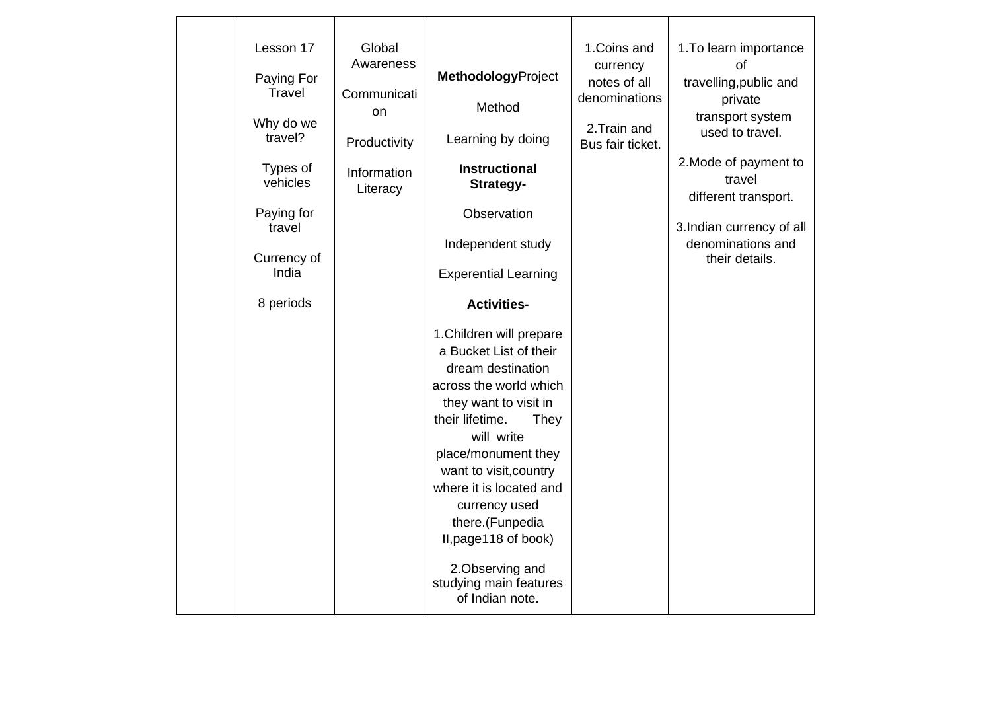| Lesson 17             | Global<br>Awareness      |                                                                                                                                                                                                                                                                                                                                                                               | 1.Coins and                               | 1. To learn importance<br>οf                                    |
|-----------------------|--------------------------|-------------------------------------------------------------------------------------------------------------------------------------------------------------------------------------------------------------------------------------------------------------------------------------------------------------------------------------------------------------------------------|-------------------------------------------|-----------------------------------------------------------------|
| Paying For<br>Travel  | Communicati<br><b>on</b> | <b>MethodologyProject</b><br>Method                                                                                                                                                                                                                                                                                                                                           | currency<br>notes of all<br>denominations | travelling, public and<br>private                               |
| Why do we<br>travel?  | Productivity             | Learning by doing                                                                                                                                                                                                                                                                                                                                                             | 2. Train and<br>Bus fair ticket.          | transport system<br>used to travel.                             |
| Types of<br>vehicles  | Information<br>Literacy  | <b>Instructional</b><br>Strategy-                                                                                                                                                                                                                                                                                                                                             |                                           | 2. Mode of payment to<br>travel<br>different transport.         |
| Paying for            |                          | Observation                                                                                                                                                                                                                                                                                                                                                                   |                                           |                                                                 |
| travel<br>Currency of |                          | Independent study                                                                                                                                                                                                                                                                                                                                                             |                                           | 3.Indian currency of all<br>denominations and<br>their details. |
| India                 |                          | <b>Experential Learning</b>                                                                                                                                                                                                                                                                                                                                                   |                                           |                                                                 |
| 8 periods             |                          | <b>Activities-</b>                                                                                                                                                                                                                                                                                                                                                            |                                           |                                                                 |
|                       |                          | 1. Children will prepare<br>a Bucket List of their<br>dream destination<br>across the world which<br>they want to visit in<br>their lifetime.<br>They<br>will write<br>place/monument they<br>want to visit, country<br>where it is located and<br>currency used<br>there.(Funpedia<br>II, page 118 of book)<br>2. Observing and<br>studying main features<br>of Indian note. |                                           |                                                                 |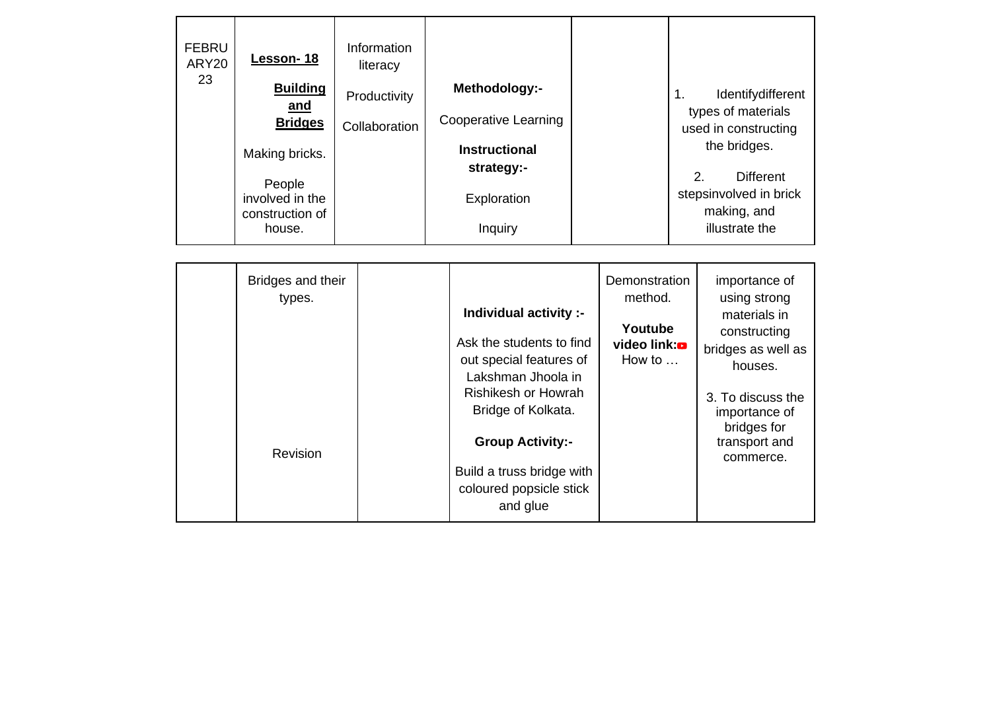| <b>FEBRU</b><br>ARY20<br>23 | Lesson-18<br><b>Building</b><br>and<br><b>Bridges</b><br>Making bricks.<br>People<br>involved in the<br>construction of<br>house. | Information<br>literacy<br>Productivity<br>Collaboration | Methodology:-<br><b>Cooperative Learning</b><br><b>Instructional</b><br>strategy:-<br>Exploration<br>Inquiry |                                                                                       | 1. | Identifydifferent<br>types of materials<br>used in constructing<br>the bridges.<br>2.<br><b>Different</b><br>stepsinvolved in brick<br>making, and<br>illustrate the |
|-----------------------------|-----------------------------------------------------------------------------------------------------------------------------------|----------------------------------------------------------|--------------------------------------------------------------------------------------------------------------|---------------------------------------------------------------------------------------|----|----------------------------------------------------------------------------------------------------------------------------------------------------------------------|
|                             |                                                                                                                                   |                                                          |                                                                                                              |                                                                                       |    |                                                                                                                                                                      |
|                             | Bridges and their<br>types.                                                                                                       |                                                          | Individual activity :-<br>Ask the students to find<br>out special features of<br>Lakshman Jhoola in          | <b>Demonstration</b><br>method.<br>Youtube<br>video link: <b>o</b><br>How to $\ldots$ |    | importance of<br>using strong<br>materials in<br>constructing<br>bridges as well as<br>houses.                                                                       |

Rishikesh or Howrah Bridge of Kolkata.

3. To discuss the importance of bridges for transport and commerce.

**Group Activity:-**

Build a truss bridge with coloured popsicle stick and glue

Revision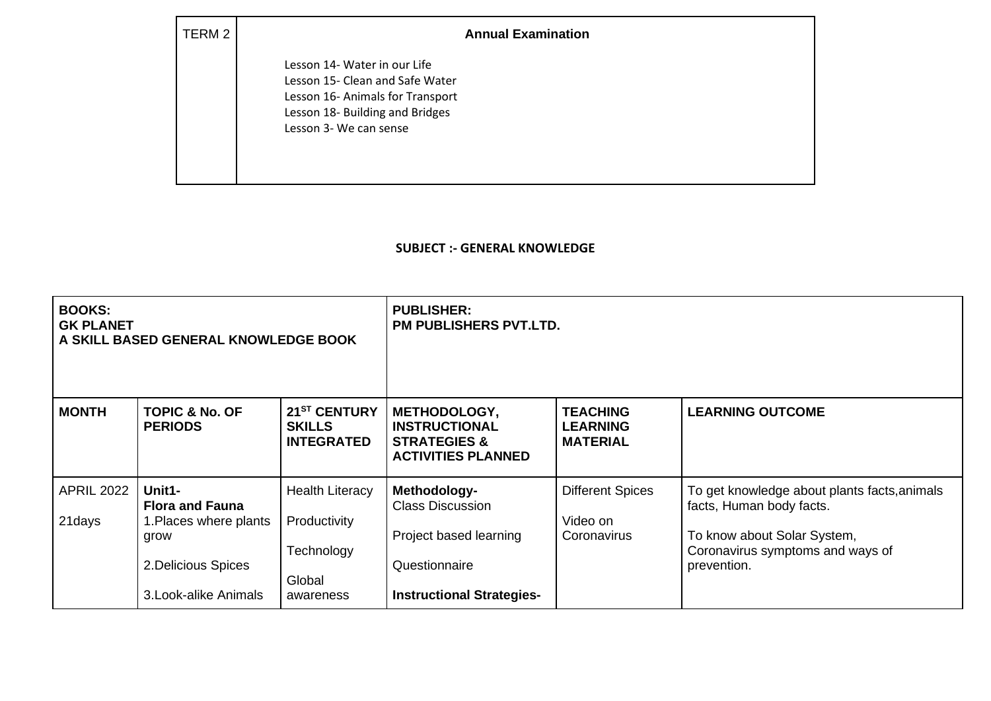2 **Annual Examination** 

Lesson 14- Water in our Life Lesson 15- Clean and Safe Water Lesson 16- Animals for Transport Lesson 18- Building and Bridges Lesson 3- We can sense

## **SUBJECT :- GENERAL KNOWLEDGE**

| <b>BOOKS:</b><br><b>GK PLANET</b><br>A SKILL BASED GENERAL KNOWLEDGE BOOK |                                                                                                                    |                                                                             | <b>PUBLISHER:</b><br><b>PM PUBLISHERS PVT.LTD.</b>                                                                     |                                                       |                                                                                                                                                            |
|---------------------------------------------------------------------------|--------------------------------------------------------------------------------------------------------------------|-----------------------------------------------------------------------------|------------------------------------------------------------------------------------------------------------------------|-------------------------------------------------------|------------------------------------------------------------------------------------------------------------------------------------------------------------|
| <b>MONTH</b>                                                              | <b>TOPIC &amp; No. OF</b><br><b>PERIODS</b>                                                                        | 21 <sup>ST</sup> CENTURY<br><b>SKILLS</b><br><b>INTEGRATED</b>              | <b>METHODOLOGY,</b><br><b>INSTRUCTIONAL</b><br><b>STRATEGIES &amp;</b><br><b>ACTIVITIES PLANNED</b>                    | <b>TEACHING</b><br><b>LEARNING</b><br><b>MATERIAL</b> | <b>LEARNING OUTCOME</b>                                                                                                                                    |
| <b>APRIL 2022</b><br>21days                                               | Unit1-<br><b>Flora and Fauna</b><br>1. Places where plants<br>grow<br>2. Delicious Spices<br>3. Look-alike Animals | <b>Health Literacy</b><br>Productivity<br>Technology<br>Global<br>awareness | Methodology-<br><b>Class Discussion</b><br>Project based learning<br>Questionnaire<br><b>Instructional Strategies-</b> | <b>Different Spices</b><br>Video on<br>Coronavirus    | To get knowledge about plants facts, animals<br>facts, Human body facts.<br>To know about Solar System,<br>Coronavirus symptoms and ways of<br>prevention. |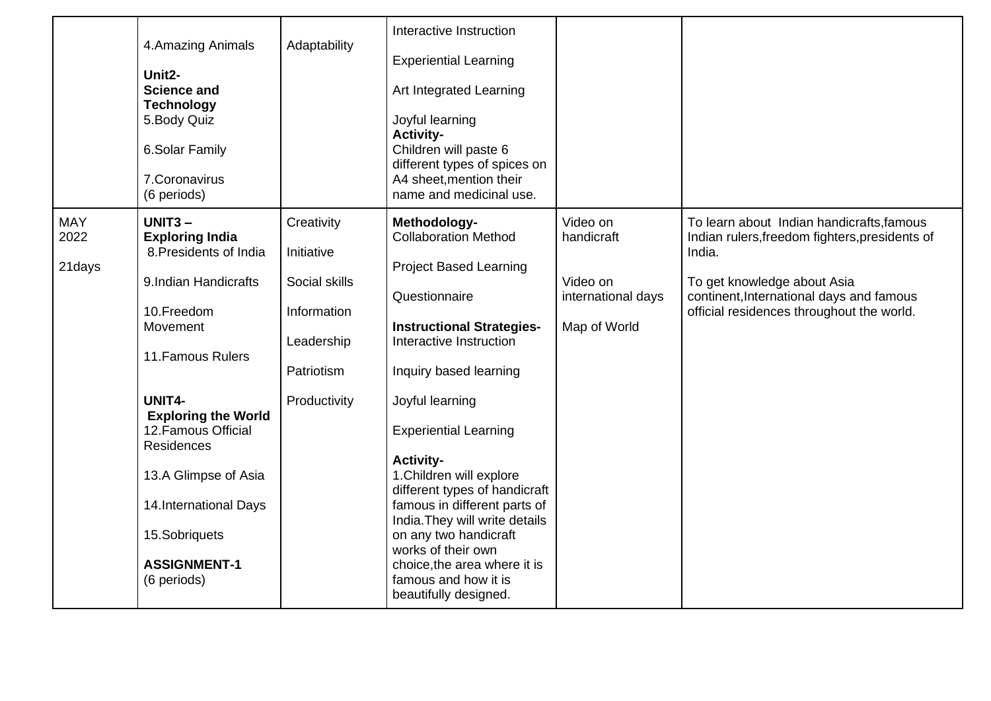|                              | 4. Amazing Animals<br>Unit <sub>2</sub> -<br><b>Science and</b><br><b>Technology</b><br>5. Body Quiz<br>6.Solar Family<br>7. Coronavirus<br>(6 periods)                                                                                                                                                                           | Adaptability                                                                                         | Interactive Instruction<br><b>Experiential Learning</b><br>Art Integrated Learning<br>Joyful learning<br><b>Activity-</b><br>Children will paste 6<br>different types of spices on<br>A4 sheet, mention their<br>name and medicinal use.                                                                                                                                                                                                                                                                                     |                                                                          |                                                                                                                                                                                                                               |
|------------------------------|-----------------------------------------------------------------------------------------------------------------------------------------------------------------------------------------------------------------------------------------------------------------------------------------------------------------------------------|------------------------------------------------------------------------------------------------------|------------------------------------------------------------------------------------------------------------------------------------------------------------------------------------------------------------------------------------------------------------------------------------------------------------------------------------------------------------------------------------------------------------------------------------------------------------------------------------------------------------------------------|--------------------------------------------------------------------------|-------------------------------------------------------------------------------------------------------------------------------------------------------------------------------------------------------------------------------|
| <b>MAY</b><br>2022<br>21days | $UNIT3 -$<br><b>Exploring India</b><br>8. Presidents of India<br>9.Indian Handicrafts<br>10.Freedom<br>Movement<br>11. Famous Rulers<br>UNIT4-<br><b>Exploring the World</b><br>12. Famous Official<br><b>Residences</b><br>13.A Glimpse of Asia<br>14. International Days<br>15.Sobriquets<br><b>ASSIGNMENT-1</b><br>(6 periods) | Creativity<br>Initiative<br>Social skills<br>Information<br>Leadership<br>Patriotism<br>Productivity | Methodology-<br><b>Collaboration Method</b><br><b>Project Based Learning</b><br>Questionnaire<br><b>Instructional Strategies-</b><br>Interactive Instruction<br>Inquiry based learning<br>Joyful learning<br><b>Experiential Learning</b><br><b>Activity-</b><br>1. Children will explore<br>different types of handicraft<br>famous in different parts of<br>India. They will write details<br>on any two handicraft<br>works of their own<br>choice, the area where it is<br>famous and how it is<br>beautifully designed. | Video on<br>handicraft<br>Video on<br>international days<br>Map of World | To learn about Indian handicrafts, famous<br>Indian rulers, freedom fighters, presidents of<br>India.<br>To get knowledge about Asia<br>continent, International days and famous<br>official residences throughout the world. |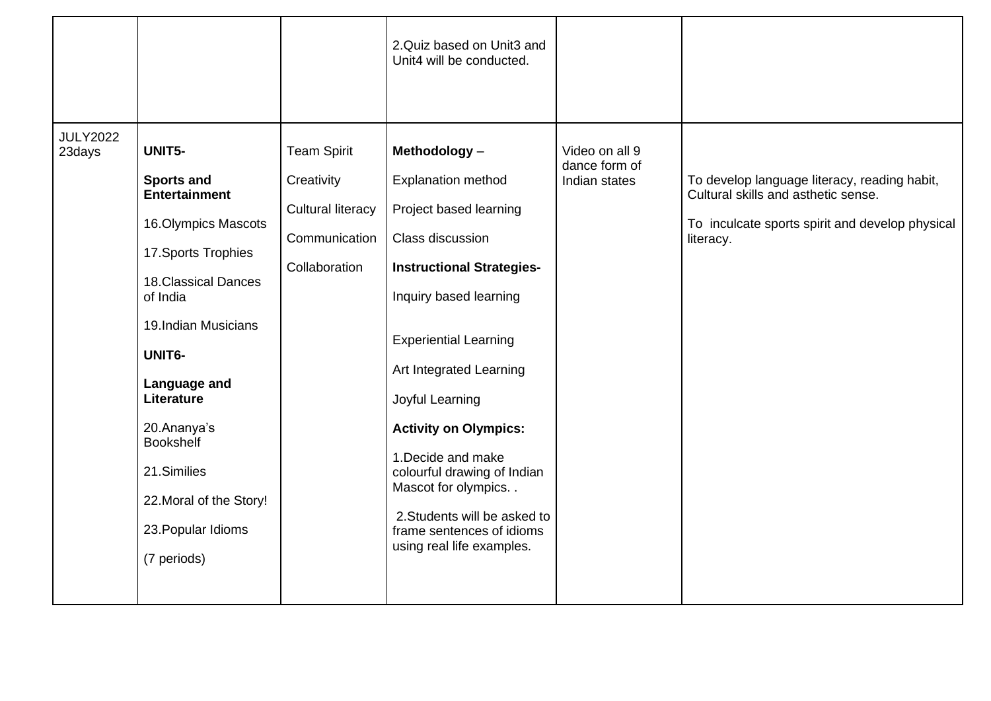|                           |                                                                                                                                                                                                                                                                                                                                |                                                                                                | 2. Quiz based on Unit3 and<br>Unit4 will be conducted.                                                                                                                                                                                                                                                                                                                                                                                       |                                                  |                                                                                                                                                     |
|---------------------------|--------------------------------------------------------------------------------------------------------------------------------------------------------------------------------------------------------------------------------------------------------------------------------------------------------------------------------|------------------------------------------------------------------------------------------------|----------------------------------------------------------------------------------------------------------------------------------------------------------------------------------------------------------------------------------------------------------------------------------------------------------------------------------------------------------------------------------------------------------------------------------------------|--------------------------------------------------|-----------------------------------------------------------------------------------------------------------------------------------------------------|
| <b>JULY2022</b><br>23days | UNIT5-<br><b>Sports and</b><br><b>Entertainment</b><br>16. Olympics Mascots<br>17. Sports Trophies<br><b>18. Classical Dances</b><br>of India<br>19.Indian Musicians<br>UNIT6-<br>Language and<br>Literature<br>20.Ananya's<br><b>Bookshelf</b><br>21.Similies<br>22. Moral of the Story!<br>23. Popular Idioms<br>(7 periods) | <b>Team Spirit</b><br>Creativity<br><b>Cultural literacy</b><br>Communication<br>Collaboration | Methodology-<br><b>Explanation method</b><br>Project based learning<br>Class discussion<br><b>Instructional Strategies-</b><br>Inquiry based learning<br><b>Experiential Learning</b><br>Art Integrated Learning<br>Joyful Learning<br><b>Activity on Olympics:</b><br>1. Decide and make<br>colourful drawing of Indian<br>Mascot for olympics. .<br>2. Students will be asked to<br>frame sentences of idioms<br>using real life examples. | Video on all 9<br>dance form of<br>Indian states | To develop language literacy, reading habit,<br>Cultural skills and asthetic sense.<br>To inculcate sports spirit and develop physical<br>literacy. |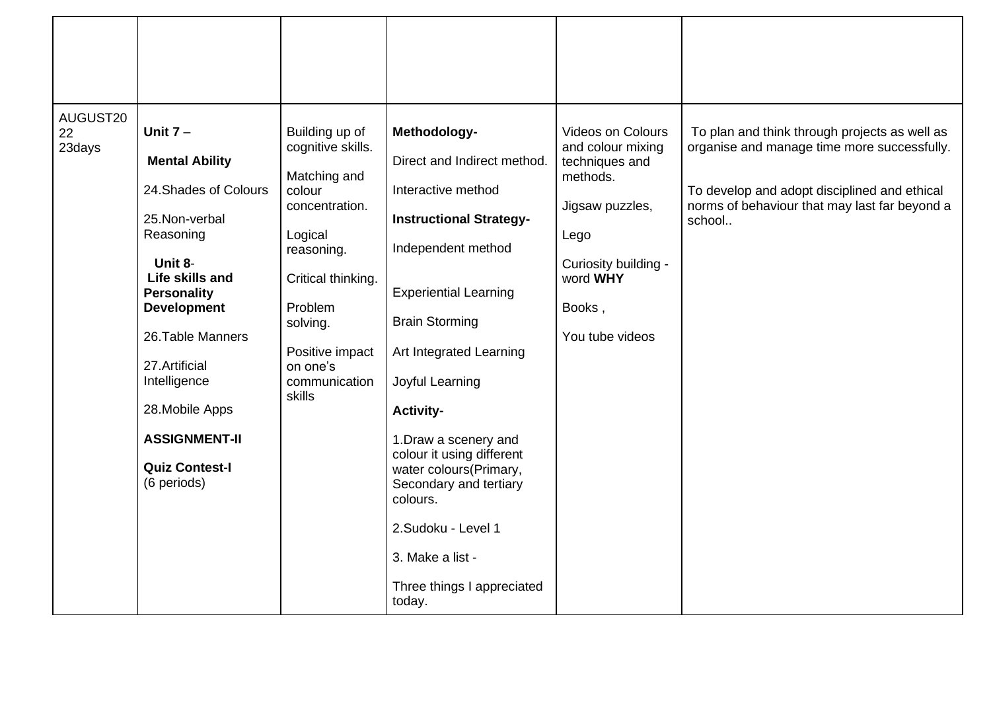| AUGUST20<br>22<br>23days | Unit $7 -$<br><b>Mental Ability</b><br>24. Shades of Colours<br>25. Non-verbal<br>Reasoning<br>Unit 8-<br>Life skills and<br><b>Personality</b><br><b>Development</b><br>26. Table Manners<br>27.Artificial<br>Intelligence<br>28. Mobile Apps<br><b>ASSIGNMENT-II</b><br><b>Quiz Contest-I</b><br>(6 periods) | Building up of<br>cognitive skills.<br>Matching and<br>colour<br>concentration.<br>Logical<br>reasoning.<br>Critical thinking.<br>Problem<br>solving.<br>Positive impact<br>on one's<br>communication<br>skills | Methodology-<br>Direct and Indirect method.<br>Interactive method<br><b>Instructional Strategy-</b><br>Independent method<br><b>Experiential Learning</b><br><b>Brain Storming</b><br>Art Integrated Learning<br>Joyful Learning<br><b>Activity-</b><br>1. Draw a scenery and<br>colour it using different<br>water colours(Primary,<br>Secondary and tertiary<br>colours.<br>2.Sudoku - Level 1<br>3. Make a list -<br>Three things I appreciated<br>today. | Videos on Colours<br>and colour mixing<br>techniques and<br>methods.<br>Jigsaw puzzles,<br>Lego<br>Curiosity building -<br>word WHY<br>Books,<br>You tube videos | To plan and think through projects as well as<br>organise and manage time more successfully.<br>To develop and adopt disciplined and ethical<br>norms of behaviour that may last far beyond a<br>school |
|--------------------------|----------------------------------------------------------------------------------------------------------------------------------------------------------------------------------------------------------------------------------------------------------------------------------------------------------------|-----------------------------------------------------------------------------------------------------------------------------------------------------------------------------------------------------------------|--------------------------------------------------------------------------------------------------------------------------------------------------------------------------------------------------------------------------------------------------------------------------------------------------------------------------------------------------------------------------------------------------------------------------------------------------------------|------------------------------------------------------------------------------------------------------------------------------------------------------------------|---------------------------------------------------------------------------------------------------------------------------------------------------------------------------------------------------------|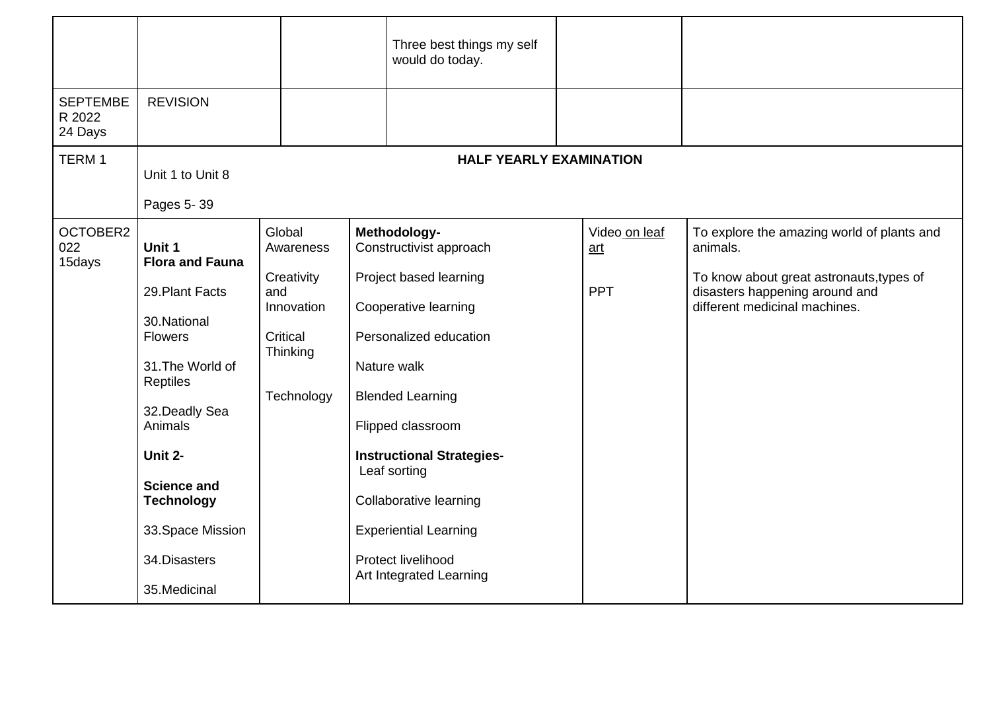|                                      |                                                                                                                                                                                                                                                               |                                                                                              |  | Three best things my self<br>would do today.                                                                                                                                                                                                                                                                                                      |  |                                    |                                                                                                                                                                       |
|--------------------------------------|---------------------------------------------------------------------------------------------------------------------------------------------------------------------------------------------------------------------------------------------------------------|----------------------------------------------------------------------------------------------|--|---------------------------------------------------------------------------------------------------------------------------------------------------------------------------------------------------------------------------------------------------------------------------------------------------------------------------------------------------|--|------------------------------------|-----------------------------------------------------------------------------------------------------------------------------------------------------------------------|
| <b>SEPTEMBE</b><br>R 2022<br>24 Days | <b>REVISION</b>                                                                                                                                                                                                                                               |                                                                                              |  |                                                                                                                                                                                                                                                                                                                                                   |  |                                    |                                                                                                                                                                       |
| TERM <sub>1</sub>                    | <b>HALF YEARLY EXAMINATION</b><br>Unit 1 to Unit 8<br>Pages 5-39                                                                                                                                                                                              |                                                                                              |  |                                                                                                                                                                                                                                                                                                                                                   |  |                                    |                                                                                                                                                                       |
| OCTOBER2<br>022<br>15days            | Unit 1<br><b>Flora and Fauna</b><br>29. Plant Facts<br>30. National<br><b>Flowers</b><br>31. The World of<br>Reptiles<br>32. Deadly Sea<br>Animals<br>Unit 2-<br><b>Science and</b><br><b>Technology</b><br>33. Space Mission<br>34.Disasters<br>35.Medicinal | Global<br>Awareness<br>Creativity<br>and<br>Innovation<br>Critical<br>Thinking<br>Technology |  | Methodology-<br>Constructivist approach<br>Project based learning<br>Cooperative learning<br>Personalized education<br>Nature walk<br><b>Blended Learning</b><br>Flipped classroom<br><b>Instructional Strategies-</b><br>Leaf sorting<br>Collaborative learning<br><b>Experiential Learning</b><br>Protect livelihood<br>Art Integrated Learning |  | Video on leaf<br>art<br><b>PPT</b> | To explore the amazing world of plants and<br>animals.<br>To know about great astronauts, types of<br>disasters happening around and<br>different medicinal machines. |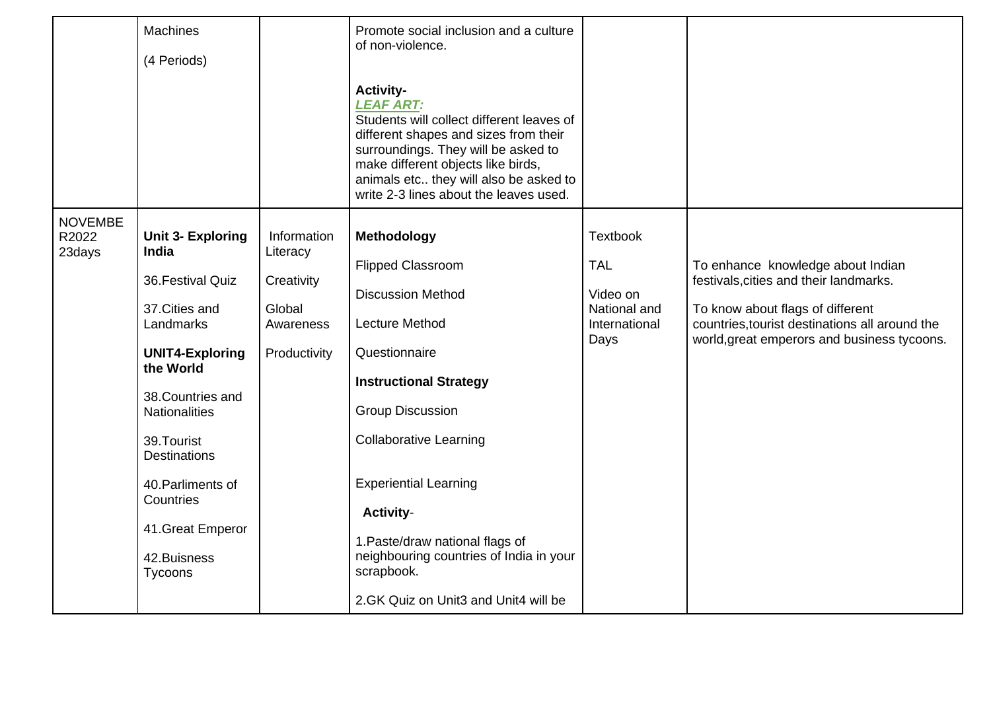|                                   | <b>Machines</b><br>(4 Periods)                                                                                                                                                                                                                                                                           |                                                                              | Promote social inclusion and a culture<br>of non-violence.<br><b>Activity-</b><br><b>LEAF ART:</b><br>Students will collect different leaves of<br>different shapes and sizes from their<br>surroundings. They will be asked to<br>make different objects like birds,<br>animals etc they will also be asked to<br>write 2-3 lines about the leaves used.                                          |                                                                                    |                                                                                                                                                                                                                  |
|-----------------------------------|----------------------------------------------------------------------------------------------------------------------------------------------------------------------------------------------------------------------------------------------------------------------------------------------------------|------------------------------------------------------------------------------|----------------------------------------------------------------------------------------------------------------------------------------------------------------------------------------------------------------------------------------------------------------------------------------------------------------------------------------------------------------------------------------------------|------------------------------------------------------------------------------------|------------------------------------------------------------------------------------------------------------------------------------------------------------------------------------------------------------------|
| <b>NOVEMBE</b><br>R2022<br>23days | <b>Unit 3- Exploring</b><br><b>India</b><br>36. Festival Quiz<br>37. Cities and<br>Landmarks<br><b>UNIT4-Exploring</b><br>the World<br>38. Countries and<br><b>Nationalities</b><br>39. Tourist<br><b>Destinations</b><br>40. Parliments of<br>Countries<br>41. Great Emperor<br>42. Buisness<br>Tycoons | Information<br>Literacy<br>Creativity<br>Global<br>Awareness<br>Productivity | Methodology<br><b>Flipped Classroom</b><br><b>Discussion Method</b><br><b>Lecture Method</b><br>Questionnaire<br><b>Instructional Strategy</b><br><b>Group Discussion</b><br><b>Collaborative Learning</b><br><b>Experiential Learning</b><br><b>Activity-</b><br>1. Paste/draw national flags of<br>neighbouring countries of India in your<br>scrapbook.<br>2.GK Quiz on Unit3 and Unit4 will be | <b>Textbook</b><br><b>TAL</b><br>Video on<br>National and<br>International<br>Days | To enhance knowledge about Indian<br>festivals, cities and their landmarks.<br>To know about flags of different<br>countries, tourist destinations all around the<br>world, great emperors and business tycoons. |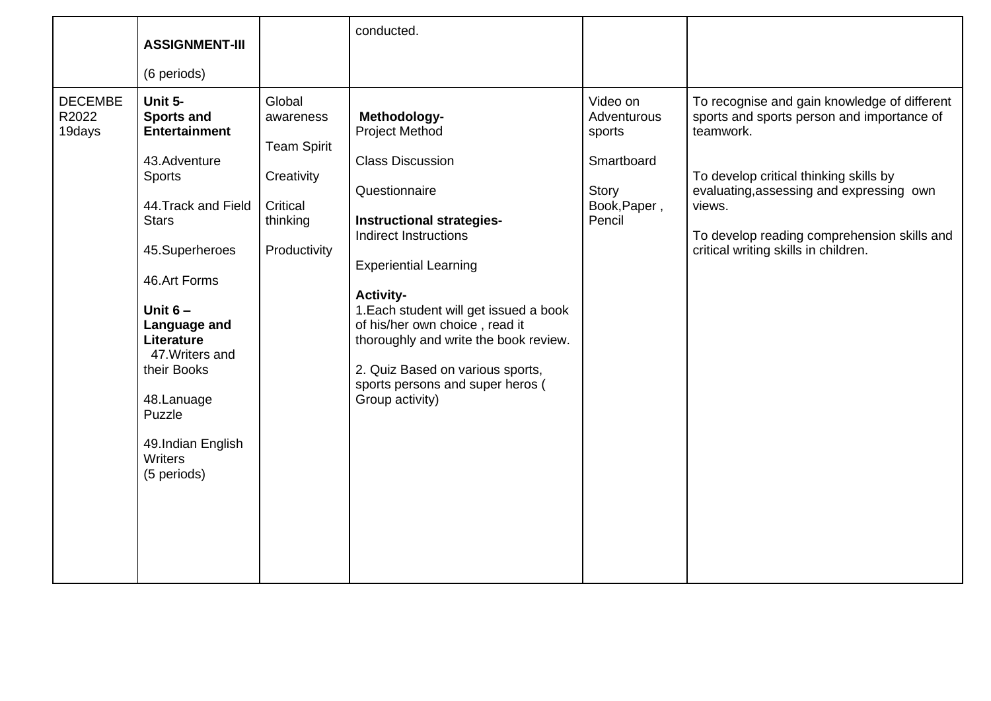|                                   | <b>ASSIGNMENT-III</b>                                                                                                                                                                                                                                                                                                     |                                                                                                 | conducted.                                                                                                                                                                                                                                                                                                                                                                                                                |                                                                                    |                                                                                                                                                                                                                                                                                                |
|-----------------------------------|---------------------------------------------------------------------------------------------------------------------------------------------------------------------------------------------------------------------------------------------------------------------------------------------------------------------------|-------------------------------------------------------------------------------------------------|---------------------------------------------------------------------------------------------------------------------------------------------------------------------------------------------------------------------------------------------------------------------------------------------------------------------------------------------------------------------------------------------------------------------------|------------------------------------------------------------------------------------|------------------------------------------------------------------------------------------------------------------------------------------------------------------------------------------------------------------------------------------------------------------------------------------------|
|                                   | (6 periods)                                                                                                                                                                                                                                                                                                               |                                                                                                 |                                                                                                                                                                                                                                                                                                                                                                                                                           |                                                                                    |                                                                                                                                                                                                                                                                                                |
| <b>DECEMBE</b><br>R2022<br>19days | Unit 5-<br><b>Sports and</b><br><b>Entertainment</b><br>43.Adventure<br><b>Sports</b><br>44. Track and Field<br><b>Stars</b><br>45.Superheroes<br>46.Art Forms<br>Unit $6-$<br>Language and<br>Literature<br>47. Writers and<br>their Books<br>48.Lanuage<br>Puzzle<br>49.Indian English<br><b>Writers</b><br>(5 periods) | Global<br>awareness<br><b>Team Spirit</b><br>Creativity<br>Critical<br>thinking<br>Productivity | Methodology-<br><b>Project Method</b><br><b>Class Discussion</b><br>Questionnaire<br><b>Instructional strategies-</b><br><b>Indirect Instructions</b><br><b>Experiential Learning</b><br><b>Activity-</b><br>1. Each student will get issued a book<br>of his/her own choice, read it<br>thoroughly and write the book review.<br>2. Quiz Based on various sports,<br>sports persons and super heros (<br>Group activity) | Video on<br>Adventurous<br>sports<br>Smartboard<br>Story<br>Book, Paper,<br>Pencil | To recognise and gain knowledge of different<br>sports and sports person and importance of<br>teamwork.<br>To develop critical thinking skills by<br>evaluating, assessing and expressing own<br>views.<br>To develop reading comprehension skills and<br>critical writing skills in children. |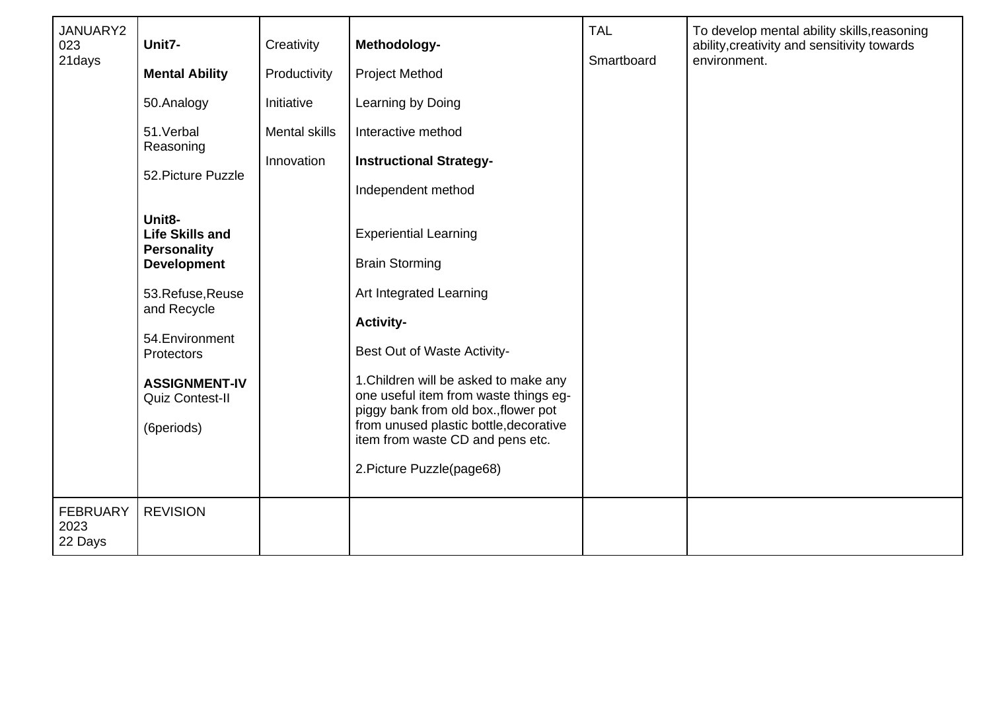| JANUARY2<br>023<br>21days          | Unit7-<br><b>Mental Ability</b><br>50.Analogy<br>51.Verbal<br>Reasoning<br>52. Picture Puzzle<br>Unit8-<br><b>Life Skills and</b><br><b>Personality</b><br><b>Development</b><br>53.Refuse,Reuse<br>and Recycle<br>54. Environment<br>Protectors<br><b>ASSIGNMENT-IV</b><br>Quiz Contest-II<br>(6periods) | Creativity<br>Productivity<br>Initiative<br><b>Mental skills</b><br>Innovation | Methodology-<br><b>Project Method</b><br>Learning by Doing<br>Interactive method<br><b>Instructional Strategy-</b><br>Independent method<br><b>Experiential Learning</b><br><b>Brain Storming</b><br>Art Integrated Learning<br><b>Activity-</b><br>Best Out of Waste Activity-<br>1. Children will be asked to make any<br>one useful item from waste things eg-<br>piggy bank from old box., flower pot<br>from unused plastic bottle, decorative<br>item from waste CD and pens etc.<br>2. Picture Puzzle(page68) | <b>TAL</b><br>Smartboard | To develop mental ability skills, reasoning<br>ability, creativity and sensitivity towards<br>environment. |
|------------------------------------|-----------------------------------------------------------------------------------------------------------------------------------------------------------------------------------------------------------------------------------------------------------------------------------------------------------|--------------------------------------------------------------------------------|----------------------------------------------------------------------------------------------------------------------------------------------------------------------------------------------------------------------------------------------------------------------------------------------------------------------------------------------------------------------------------------------------------------------------------------------------------------------------------------------------------------------|--------------------------|------------------------------------------------------------------------------------------------------------|
| <b>FEBRUARY</b><br>2023<br>22 Days | <b>REVISION</b>                                                                                                                                                                                                                                                                                           |                                                                                |                                                                                                                                                                                                                                                                                                                                                                                                                                                                                                                      |                          |                                                                                                            |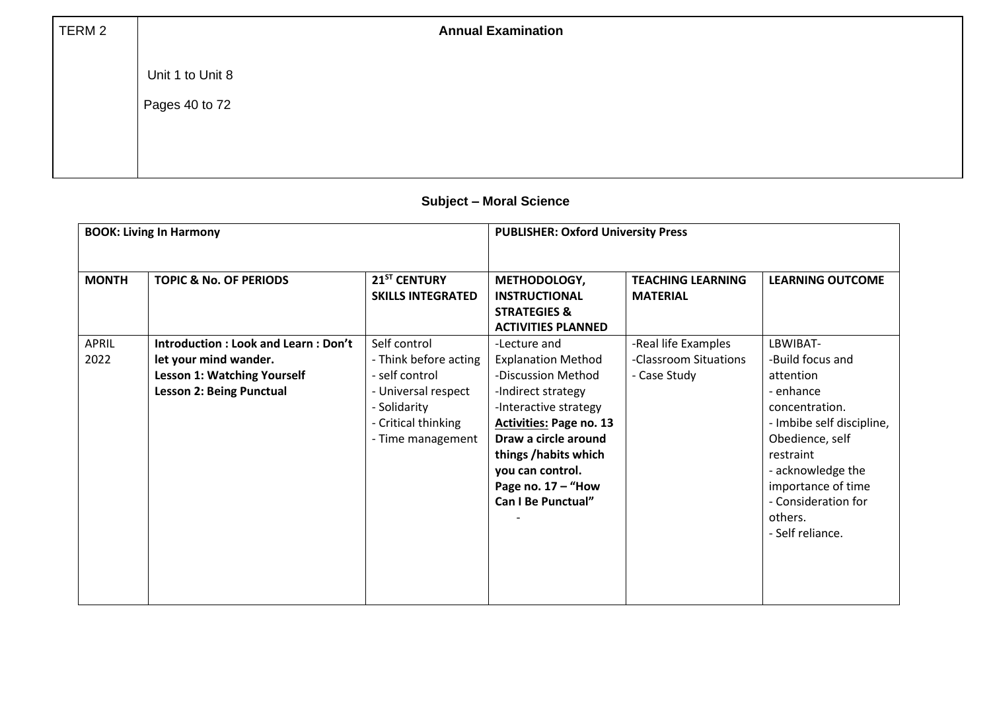| TERM 2 | <b>Annual Examination</b> |
|--------|---------------------------|
|        | Unit 1 to Unit 8          |
|        | Pages 40 to 72            |
|        |                           |
|        |                           |

# **Subject – Moral Science**

|              | <b>BOOK: Living In Harmony</b>      |                          | <b>PUBLISHER: Oxford University Press</b> |                          |                           |  |
|--------------|-------------------------------------|--------------------------|-------------------------------------------|--------------------------|---------------------------|--|
|              |                                     |                          |                                           |                          |                           |  |
| <b>MONTH</b> | <b>TOPIC &amp; No. OF PERIODS</b>   | 21 <sup>ST</sup> CENTURY | METHODOLOGY,                              | <b>TEACHING LEARNING</b> | <b>LEARNING OUTCOME</b>   |  |
|              |                                     | <b>SKILLS INTEGRATED</b> | <b>INSTRUCTIONAL</b>                      | <b>MATERIAL</b>          |                           |  |
|              |                                     |                          | <b>STRATEGIES &amp;</b>                   |                          |                           |  |
|              |                                     |                          | <b>ACTIVITIES PLANNED</b>                 |                          |                           |  |
| <b>APRIL</b> | Introduction: Look and Learn: Don't | Self control             | -Lecture and                              | -Real life Examples      | LBWIBAT-                  |  |
| 2022         | let your mind wander.               | - Think before acting    | <b>Explanation Method</b>                 | -Classroom Situations    | -Build focus and          |  |
|              | <b>Lesson 1: Watching Yourself</b>  | - self control           | -Discussion Method                        | - Case Study             | attention                 |  |
|              | <b>Lesson 2: Being Punctual</b>     | - Universal respect      | -Indirect strategy                        |                          | - enhance                 |  |
|              |                                     | - Solidarity             | -Interactive strategy                     |                          | concentration.            |  |
|              |                                     | - Critical thinking      | <b>Activities: Page no. 13</b>            |                          | - Imbibe self discipline, |  |
|              |                                     | - Time management        | Draw a circle around                      |                          | Obedience, self           |  |
|              |                                     |                          | things /habits which                      |                          | restraint                 |  |
|              |                                     |                          | you can control.                          |                          | - acknowledge the         |  |
|              |                                     |                          | Page no. $17 -$ "How                      |                          | importance of time        |  |
|              |                                     |                          | Can I Be Punctual"                        |                          | - Consideration for       |  |
|              |                                     |                          |                                           |                          | others.                   |  |
|              |                                     |                          |                                           |                          | - Self reliance.          |  |
|              |                                     |                          |                                           |                          |                           |  |
|              |                                     |                          |                                           |                          |                           |  |
|              |                                     |                          |                                           |                          |                           |  |
|              |                                     |                          |                                           |                          |                           |  |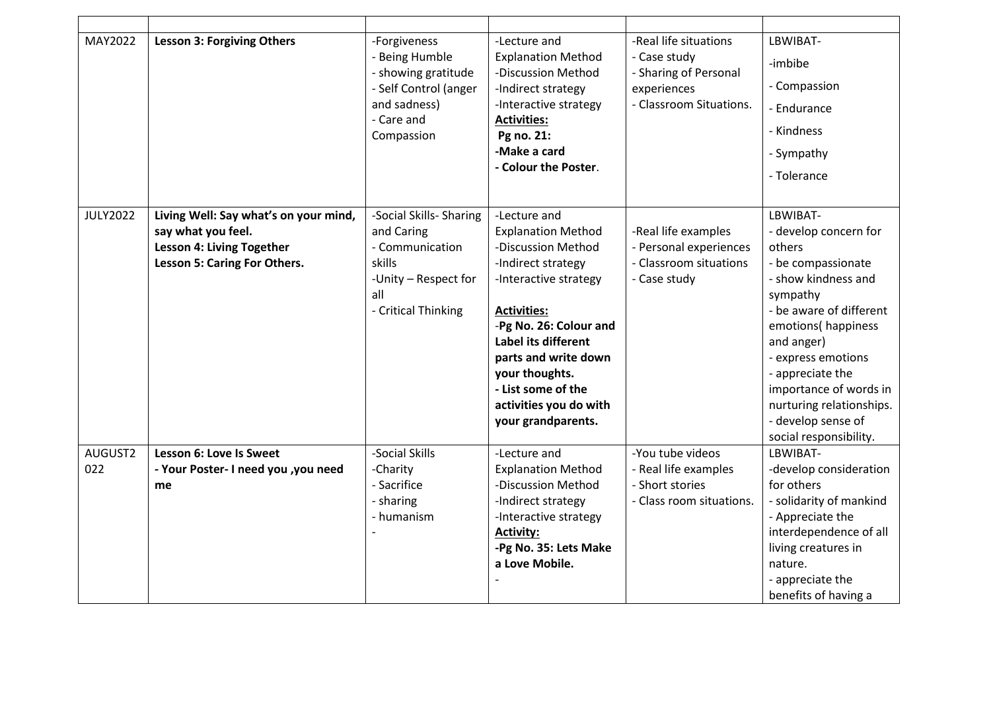| MAY2022         | <b>Lesson 3: Forgiving Others</b>                                                                                               | -Forgiveness<br>- Being Humble<br>- showing gratitude<br>- Self Control (anger<br>and sadness)<br>- Care and<br>Compassion | -Lecture and<br><b>Explanation Method</b><br>-Discussion Method<br>-Indirect strategy<br>-Interactive strategy<br><b>Activities:</b><br>Pg no. 21:<br>-Make a card<br>- Colour the Poster.                                                                                                                   | -Real life situations<br>- Case study<br>- Sharing of Personal<br>experiences<br>- Classroom Situations. | LBWIBAT-<br>-imbibe<br>- Compassion<br>- Endurance<br>- Kindness<br>- Sympathy<br>- Tolerance                                                                                                                                                                                                                       |
|-----------------|---------------------------------------------------------------------------------------------------------------------------------|----------------------------------------------------------------------------------------------------------------------------|--------------------------------------------------------------------------------------------------------------------------------------------------------------------------------------------------------------------------------------------------------------------------------------------------------------|----------------------------------------------------------------------------------------------------------|---------------------------------------------------------------------------------------------------------------------------------------------------------------------------------------------------------------------------------------------------------------------------------------------------------------------|
| <b>JULY2022</b> | Living Well: Say what's on your mind,<br>say what you feel.<br><b>Lesson 4: Living Together</b><br>Lesson 5: Caring For Others. | -Social Skills- Sharing<br>and Caring<br>- Communication<br>skills<br>-Unity - Respect for<br>all<br>- Critical Thinking   | -Lecture and<br><b>Explanation Method</b><br>-Discussion Method<br>-Indirect strategy<br>-Interactive strategy<br><b>Activities:</b><br>-Pg No. 26: Colour and<br><b>Label its different</b><br>parts and write down<br>your thoughts.<br>- List some of the<br>activities you do with<br>your grandparents. | -Real life examples<br>- Personal experiences<br>- Classroom situations<br>- Case study                  | LBWIBAT-<br>- develop concern for<br>others<br>- be compassionate<br>- show kindness and<br>sympathy<br>- be aware of different<br>emotions(happiness<br>and anger)<br>- express emotions<br>- appreciate the<br>importance of words in<br>nurturing relationships.<br>- develop sense of<br>social responsibility. |
| AUGUST2         | Lesson 6: Love Is Sweet                                                                                                         | -Social Skills                                                                                                             | -Lecture and                                                                                                                                                                                                                                                                                                 | -You tube videos                                                                                         | LBWIBAT-                                                                                                                                                                                                                                                                                                            |
| 022             | - Your Poster- I need you , you need<br>me                                                                                      | -Charity<br>- Sacrifice<br>- sharing<br>- humanism                                                                         | <b>Explanation Method</b><br>-Discussion Method<br>-Indirect strategy<br>-Interactive strategy<br><b>Activity:</b><br>-Pg No. 35: Lets Make<br>a Love Mobile.                                                                                                                                                | - Real life examples<br>- Short stories<br>- Class room situations.                                      | -develop consideration<br>for others<br>- solidarity of mankind<br>- Appreciate the<br>interdependence of all<br>living creatures in<br>nature.<br>- appreciate the<br>benefits of having a                                                                                                                         |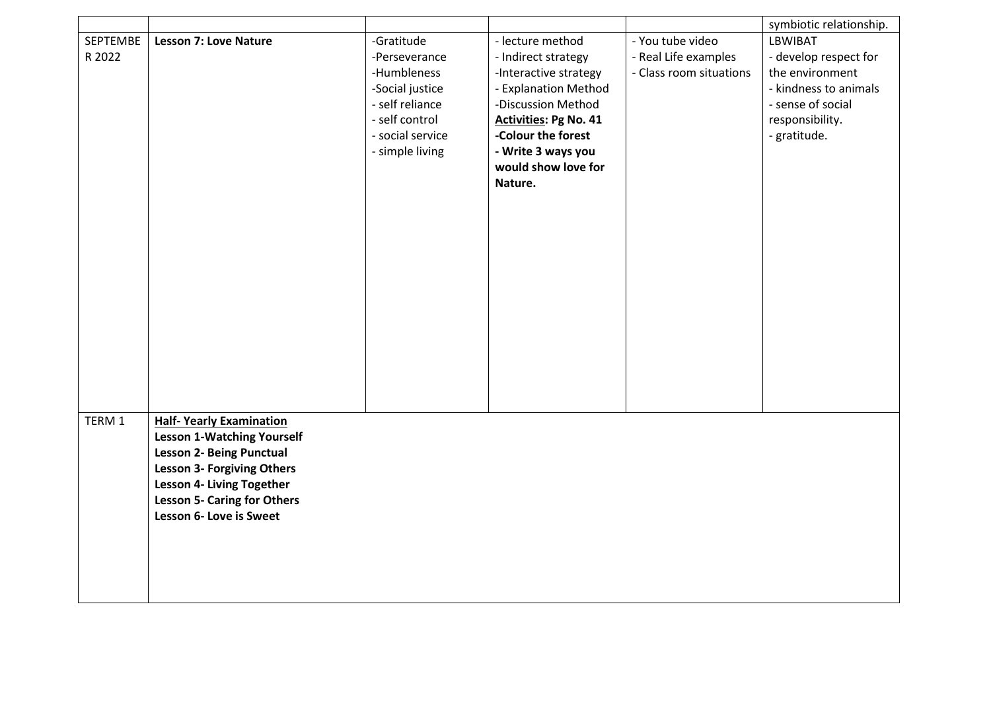|          |                                    |                  |                              |                         | symbiotic relationship. |
|----------|------------------------------------|------------------|------------------------------|-------------------------|-------------------------|
| SEPTEMBE | <b>Lesson 7: Love Nature</b>       | -Gratitude       | - lecture method             | - You tube video        | LBWIBAT                 |
| R 2022   |                                    | -Perseverance    | - Indirect strategy          | - Real Life examples    | - develop respect for   |
|          |                                    | -Humbleness      | -Interactive strategy        | - Class room situations | the environment         |
|          |                                    | -Social justice  | - Explanation Method         |                         | - kindness to animals   |
|          |                                    | - self reliance  | -Discussion Method           |                         | - sense of social       |
|          |                                    | - self control   | <b>Activities: Pg No. 41</b> |                         | responsibility.         |
|          |                                    | - social service | -Colour the forest           |                         | - gratitude.            |
|          |                                    | - simple living  | - Write 3 ways you           |                         |                         |
|          |                                    |                  | would show love for          |                         |                         |
|          |                                    |                  | Nature.                      |                         |                         |
|          |                                    |                  |                              |                         |                         |
|          |                                    |                  |                              |                         |                         |
|          |                                    |                  |                              |                         |                         |
|          |                                    |                  |                              |                         |                         |
|          |                                    |                  |                              |                         |                         |
|          |                                    |                  |                              |                         |                         |
|          |                                    |                  |                              |                         |                         |
|          |                                    |                  |                              |                         |                         |
|          |                                    |                  |                              |                         |                         |
|          |                                    |                  |                              |                         |                         |
|          |                                    |                  |                              |                         |                         |
|          |                                    |                  |                              |                         |                         |
|          |                                    |                  |                              |                         |                         |
| TERM 1   | <b>Half- Yearly Examination</b>    |                  |                              |                         |                         |
|          | <b>Lesson 1-Watching Yourself</b>  |                  |                              |                         |                         |
|          | <b>Lesson 2- Being Punctual</b>    |                  |                              |                         |                         |
|          | <b>Lesson 3- Forgiving Others</b>  |                  |                              |                         |                         |
|          | <b>Lesson 4- Living Together</b>   |                  |                              |                         |                         |
|          | <b>Lesson 5- Caring for Others</b> |                  |                              |                         |                         |
|          | Lesson 6- Love is Sweet            |                  |                              |                         |                         |
|          |                                    |                  |                              |                         |                         |
|          |                                    |                  |                              |                         |                         |
|          |                                    |                  |                              |                         |                         |
|          |                                    |                  |                              |                         |                         |
|          |                                    |                  |                              |                         |                         |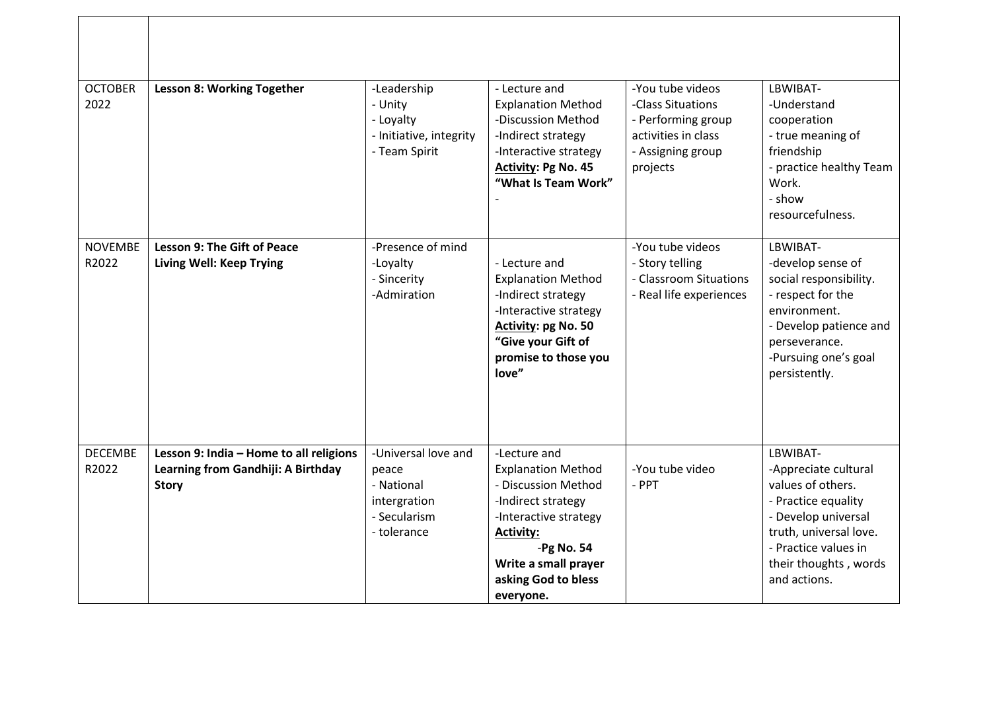| <b>OCTOBER</b><br>2022  | <b>Lesson 8: Working Together</b>                                                             | -Leadership<br>- Unity<br>- Loyalty<br>- Initiative, integrity<br>- Team Spirit           | - Lecture and<br><b>Explanation Method</b><br>-Discussion Method<br>-Indirect strategy<br>-Interactive strategy<br><b>Activity: Pg No. 45</b><br>"What Is Team Work"                                            | -You tube videos<br>-Class Situations<br>- Performing group<br>activities in class<br>- Assigning group<br>projects | LBWIBAT-<br>-Understand<br>cooperation<br>- true meaning of<br>friendship<br>- practice healthy Team<br>Work.<br>- show<br>resourcefulness.                                                    |
|-------------------------|-----------------------------------------------------------------------------------------------|-------------------------------------------------------------------------------------------|-----------------------------------------------------------------------------------------------------------------------------------------------------------------------------------------------------------------|---------------------------------------------------------------------------------------------------------------------|------------------------------------------------------------------------------------------------------------------------------------------------------------------------------------------------|
| <b>NOVEMBE</b><br>R2022 | <b>Lesson 9: The Gift of Peace</b><br><b>Living Well: Keep Trying</b>                         | -Presence of mind<br>-Loyalty<br>- Sincerity<br>-Admiration                               | - Lecture and<br><b>Explanation Method</b><br>-Indirect strategy<br>-Interactive strategy<br>Activity: pg No. 50<br>"Give your Gift of<br>promise to those you<br>love"                                         | -You tube videos<br>- Story telling<br>- Classroom Situations<br>- Real life experiences                            | LBWIBAT-<br>-develop sense of<br>social responsibility.<br>- respect for the<br>environment.<br>- Develop patience and<br>perseverance.<br>-Pursuing one's goal<br>persistently.               |
| <b>DECEMBE</b><br>R2022 | Lesson 9: India - Home to all religions<br>Learning from Gandhiji: A Birthday<br><b>Story</b> | -Universal love and<br>peace<br>- National<br>intergration<br>- Secularism<br>- tolerance | -Lecture and<br><b>Explanation Method</b><br>- Discussion Method<br>-Indirect strategy<br>-Interactive strategy<br><b>Activity:</b><br>$-Pg$ No. 54<br>Write a small prayer<br>asking God to bless<br>everyone. | -You tube video<br>- PPT                                                                                            | LBWIBAT-<br>-Appreciate cultural<br>values of others.<br>- Practice equality<br>- Develop universal<br>truth, universal love.<br>- Practice values in<br>their thoughts, words<br>and actions. |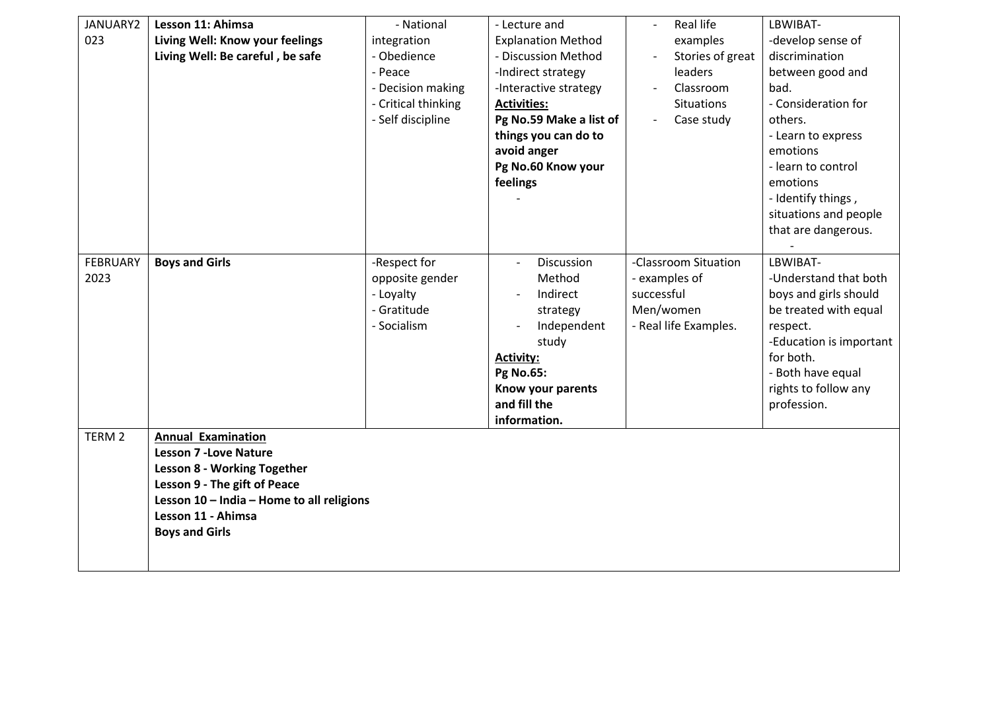| JANUARY2          | Lesson 11: Ahimsa                         | - National          | - Lecture and             | Real life                          | LBWIBAT-                |
|-------------------|-------------------------------------------|---------------------|---------------------------|------------------------------------|-------------------------|
| 023               | Living Well: Know your feelings           | integration         | <b>Explanation Method</b> | examples                           | -develop sense of       |
|                   | Living Well: Be careful, be safe          | - Obedience         | - Discussion Method       | Stories of great<br>$\overline{a}$ | discrimination          |
|                   |                                           | - Peace             | -Indirect strategy        | leaders                            | between good and        |
|                   |                                           | - Decision making   | -Interactive strategy     | Classroom                          | bad.                    |
|                   |                                           | - Critical thinking | <b>Activities:</b>        | Situations                         | - Consideration for     |
|                   |                                           | - Self discipline   | Pg No.59 Make a list of   | Case study                         | others.                 |
|                   |                                           |                     | things you can do to      |                                    | - Learn to express      |
|                   |                                           |                     | avoid anger               |                                    | emotions                |
|                   |                                           |                     | Pg No.60 Know your        |                                    | - learn to control      |
|                   |                                           |                     | feelings                  |                                    | emotions                |
|                   |                                           |                     |                           |                                    | - Identify things,      |
|                   |                                           |                     |                           |                                    | situations and people   |
|                   |                                           |                     |                           |                                    | that are dangerous.     |
|                   |                                           |                     |                           |                                    |                         |
| <b>FEBRUARY</b>   | <b>Boys and Girls</b>                     | -Respect for        | Discussion                | -Classroom Situation               | LBWIBAT-                |
| 2023              |                                           | opposite gender     | Method                    | - examples of                      | -Understand that both   |
|                   |                                           | - Loyalty           | Indirect                  | successful                         | boys and girls should   |
|                   |                                           | - Gratitude         | strategy                  | Men/women                          | be treated with equal   |
|                   |                                           | - Socialism         | Independent               | - Real life Examples.              | respect.                |
|                   |                                           |                     | study                     |                                    | -Education is important |
|                   |                                           |                     | <b>Activity:</b>          |                                    | for both.               |
|                   |                                           |                     | <b>Pg No.65:</b>          |                                    | - Both have equal       |
|                   |                                           |                     | Know your parents         |                                    | rights to follow any    |
|                   |                                           |                     | and fill the              |                                    | profession.             |
|                   |                                           |                     | information.              |                                    |                         |
| TERM <sub>2</sub> | <b>Annual Examination</b>                 |                     |                           |                                    |                         |
|                   | <b>Lesson 7 - Love Nature</b>             |                     |                           |                                    |                         |
|                   | <b>Lesson 8 - Working Together</b>        |                     |                           |                                    |                         |
|                   | Lesson 9 - The gift of Peace              |                     |                           |                                    |                         |
|                   | Lesson 10 - India - Home to all religions |                     |                           |                                    |                         |
|                   | Lesson 11 - Ahimsa                        |                     |                           |                                    |                         |
|                   | <b>Boys and Girls</b>                     |                     |                           |                                    |                         |
|                   |                                           |                     |                           |                                    |                         |
|                   |                                           |                     |                           |                                    |                         |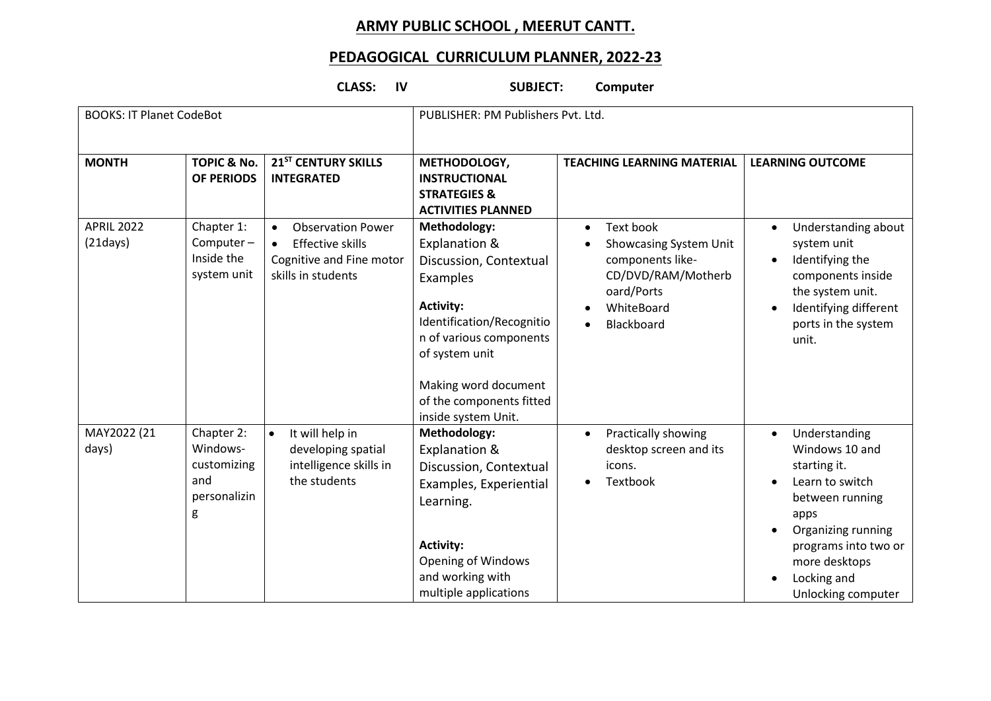# **ARMY PUBLIC SCHOOL , MEERUT CANTT.**

### **PEDAGOGICAL CURRICULUM PLANNER, 2022-23**

## **CLASS: IV SUBJECT: Computer**

| <b>BOOKS: IT Planet CodeBot</b> |                                                                   |                                                                                                                    | PUBLISHER: PM Publishers Pvt. Ltd.                                                                                                                                                                                                           |                                                                                                                                      |                                                                                                                                                                                                                |  |
|---------------------------------|-------------------------------------------------------------------|--------------------------------------------------------------------------------------------------------------------|----------------------------------------------------------------------------------------------------------------------------------------------------------------------------------------------------------------------------------------------|--------------------------------------------------------------------------------------------------------------------------------------|----------------------------------------------------------------------------------------------------------------------------------------------------------------------------------------------------------------|--|
| <b>MONTH</b>                    | <b>TOPIC &amp; No.</b><br><b>OF PERIODS</b>                       | 21 <sup>ST</sup> CENTURY SKILLS<br><b>INTEGRATED</b>                                                               | METHODOLOGY,<br><b>INSTRUCTIONAL</b><br><b>STRATEGIES &amp;</b><br><b>ACTIVITIES PLANNED</b>                                                                                                                                                 | <b>TEACHING LEARNING MATERIAL</b>                                                                                                    | <b>LEARNING OUTCOME</b>                                                                                                                                                                                        |  |
| <b>APRIL 2022</b><br>(21 days)  | Chapter 1:<br>Computer-<br>Inside the<br>system unit              | <b>Observation Power</b><br>$\bullet$<br><b>Effective skills</b><br>Cognitive and Fine motor<br>skills in students | Methodology:<br>Explanation &<br>Discussion, Contextual<br>Examples<br><b>Activity:</b><br>Identification/Recognitio<br>n of various components<br>of system unit<br>Making word document<br>of the components fitted<br>inside system Unit. | Text book<br>$\bullet$<br>Showcasing System Unit<br>components like-<br>CD/DVD/RAM/Motherb<br>oard/Ports<br>WhiteBoard<br>Blackboard | Understanding about<br>system unit<br>Identifying the<br>$\bullet$<br>components inside<br>the system unit.<br>Identifying different<br>ports in the system<br>unit.                                           |  |
| MAY2022 (21<br>days)            | Chapter 2:<br>Windows-<br>customizing<br>and<br>personalizin<br>g | It will help in<br>$\bullet$<br>developing spatial<br>intelligence skills in<br>the students                       | Methodology:<br>Explanation &<br>Discussion, Contextual<br>Examples, Experiential<br>Learning.<br><b>Activity:</b><br><b>Opening of Windows</b><br>and working with<br>multiple applications                                                 | Practically showing<br>$\bullet$<br>desktop screen and its<br>icons.<br>Textbook                                                     | Understanding<br>$\bullet$<br>Windows 10 and<br>starting it.<br>Learn to switch<br>between running<br>apps<br>Organizing running<br>programs into two or<br>more desktops<br>Locking and<br>Unlocking computer |  |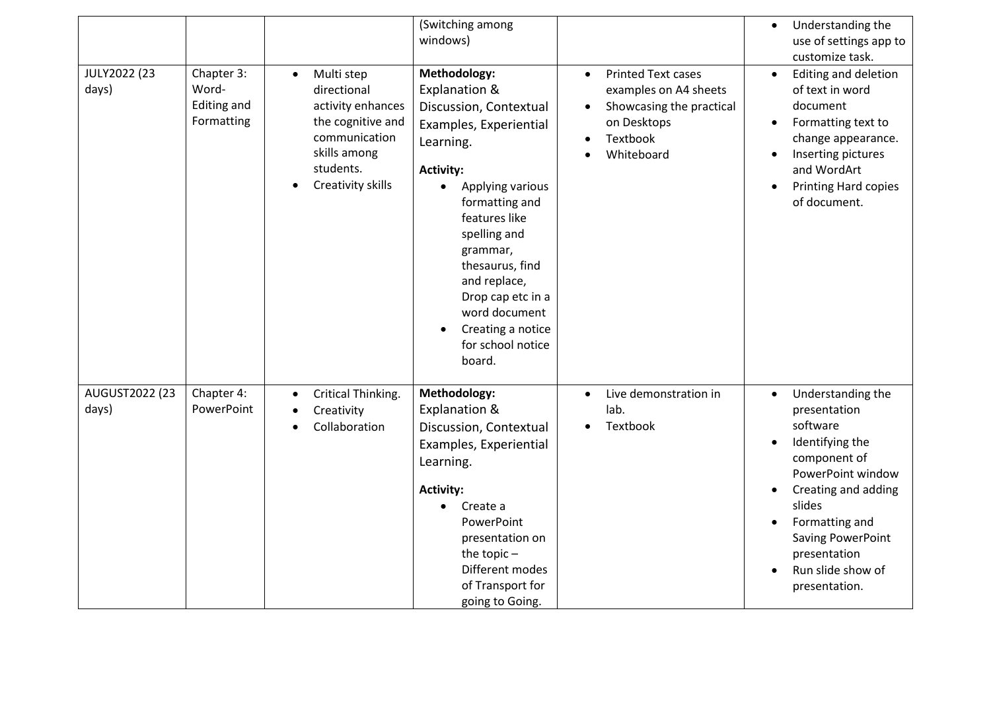| JULY2022 (23<br>days)   | Chapter 3:<br>Word-<br><b>Editing and</b><br>Formatting | Multi step<br>$\bullet$<br>directional<br>activity enhances<br>the cognitive and<br>communication<br>skills among<br>students.<br>Creativity skills | (Switching among<br>windows)<br>Methodology:<br>Explanation &<br>Discussion, Contextual<br>Examples, Experiential<br>Learning.<br><b>Activity:</b><br>Applying various<br>$\bullet$<br>formatting and<br>features like<br>spelling and<br>grammar,<br>thesaurus, find<br>and replace,<br>Drop cap etc in a<br>word document<br>Creating a notice<br>for school notice<br>board. | <b>Printed Text cases</b><br>$\bullet$<br>examples on A4 sheets<br>Showcasing the practical<br>$\bullet$<br>on Desktops<br>Textbook<br>$\bullet$<br>Whiteboard | Understanding the<br>$\bullet$<br>use of settings app to<br>customize task.<br>Editing and deletion<br>$\bullet$<br>of text in word<br>document<br>Formatting text to<br>$\bullet$<br>change appearance.<br>Inserting pictures<br>and WordArt<br>Printing Hard copies<br>of document. |
|-------------------------|---------------------------------------------------------|-----------------------------------------------------------------------------------------------------------------------------------------------------|---------------------------------------------------------------------------------------------------------------------------------------------------------------------------------------------------------------------------------------------------------------------------------------------------------------------------------------------------------------------------------|----------------------------------------------------------------------------------------------------------------------------------------------------------------|---------------------------------------------------------------------------------------------------------------------------------------------------------------------------------------------------------------------------------------------------------------------------------------|
| AUGUST2022 (23<br>days) | Chapter 4:<br>PowerPoint                                | Critical Thinking.<br>$\bullet$<br>Creativity<br>$\bullet$<br>Collaboration<br>$\bullet$                                                            | Methodology:<br>Explanation &<br>Discussion, Contextual<br>Examples, Experiential<br>Learning.<br><b>Activity:</b><br>Create a<br>$\bullet$<br>PowerPoint<br>presentation on<br>the topic-<br>Different modes<br>of Transport for<br>going to Going.                                                                                                                            | Live demonstration in<br>$\bullet$<br>lab.<br>Textbook                                                                                                         | Understanding the<br>$\bullet$<br>presentation<br>software<br>Identifying the<br>component of<br>PowerPoint window<br>Creating and adding<br>$\bullet$<br>slides<br>Formatting and<br>Saving PowerPoint<br>presentation<br>Run slide show of<br>presentation.                         |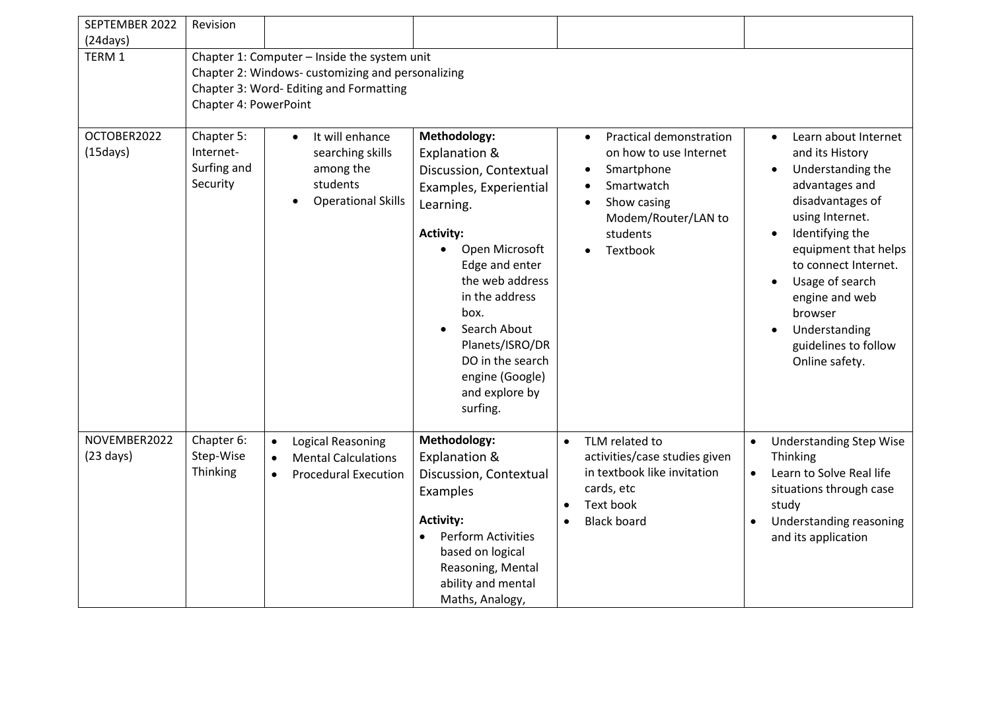| SEPTEMBER 2022                      | Revision                                                                                                                                                             |                                                                                                          |                                                                                                                                                                                                                                                                                                                          |                                                                                                                                                                        |                                                                                                                                                                                                                                                                                                                                            |  |  |  |  |
|-------------------------------------|----------------------------------------------------------------------------------------------------------------------------------------------------------------------|----------------------------------------------------------------------------------------------------------|--------------------------------------------------------------------------------------------------------------------------------------------------------------------------------------------------------------------------------------------------------------------------------------------------------------------------|------------------------------------------------------------------------------------------------------------------------------------------------------------------------|--------------------------------------------------------------------------------------------------------------------------------------------------------------------------------------------------------------------------------------------------------------------------------------------------------------------------------------------|--|--|--|--|
| (24 days)                           |                                                                                                                                                                      |                                                                                                          |                                                                                                                                                                                                                                                                                                                          |                                                                                                                                                                        |                                                                                                                                                                                                                                                                                                                                            |  |  |  |  |
| TERM 1                              | Chapter 1: Computer - Inside the system unit<br>Chapter 2: Windows-customizing and personalizing<br>Chapter 3: Word- Editing and Formatting<br>Chapter 4: PowerPoint |                                                                                                          |                                                                                                                                                                                                                                                                                                                          |                                                                                                                                                                        |                                                                                                                                                                                                                                                                                                                                            |  |  |  |  |
| OCTOBER2022<br>(15 days)            | Chapter 5:<br>Internet-<br>Surfing and<br>Security                                                                                                                   | It will enhance<br>$\bullet$<br>searching skills<br>among the<br>students<br><b>Operational Skills</b>   | Methodology:<br>Explanation &<br>Discussion, Contextual<br>Examples, Experiential<br>Learning.<br><b>Activity:</b><br>Open Microsoft<br>$\bullet$<br>Edge and enter<br>the web address<br>in the address<br>box.<br>Search About<br>Planets/ISRO/DR<br>DO in the search<br>engine (Google)<br>and explore by<br>surfing. | Practical demonstration<br>$\bullet$<br>on how to use Internet<br>Smartphone<br>Smartwatch<br>Show casing<br>Modem/Router/LAN to<br>students<br>Textbook               | Learn about Internet<br>$\bullet$<br>and its History<br>Understanding the<br>$\bullet$<br>advantages and<br>disadvantages of<br>using Internet.<br>Identifying the<br>$\bullet$<br>equipment that helps<br>to connect Internet.<br>Usage of search<br>engine and web<br>browser<br>Understanding<br>guidelines to follow<br>Online safety. |  |  |  |  |
| NOVEMBER2022<br>$(23 \text{ days})$ | Chapter 6:<br>Step-Wise<br>Thinking                                                                                                                                  | Logical Reasoning<br>$\bullet$<br><b>Mental Calculations</b><br>$\bullet$<br><b>Procedural Execution</b> | Methodology:<br>Explanation &<br>Discussion, Contextual<br>Examples<br><b>Activity:</b><br><b>Perform Activities</b><br>based on logical<br>Reasoning, Mental<br>ability and mental<br>Maths, Analogy,                                                                                                                   | TLM related to<br>$\bullet$<br>activities/case studies given<br>in textbook like invitation<br>cards, etc<br>Text book<br>$\bullet$<br><b>Black board</b><br>$\bullet$ | <b>Understanding Step Wise</b><br>$\bullet$<br>Thinking<br>Learn to Solve Real life<br>$\bullet$<br>situations through case<br>study<br>Understanding reasoning<br>and its application                                                                                                                                                     |  |  |  |  |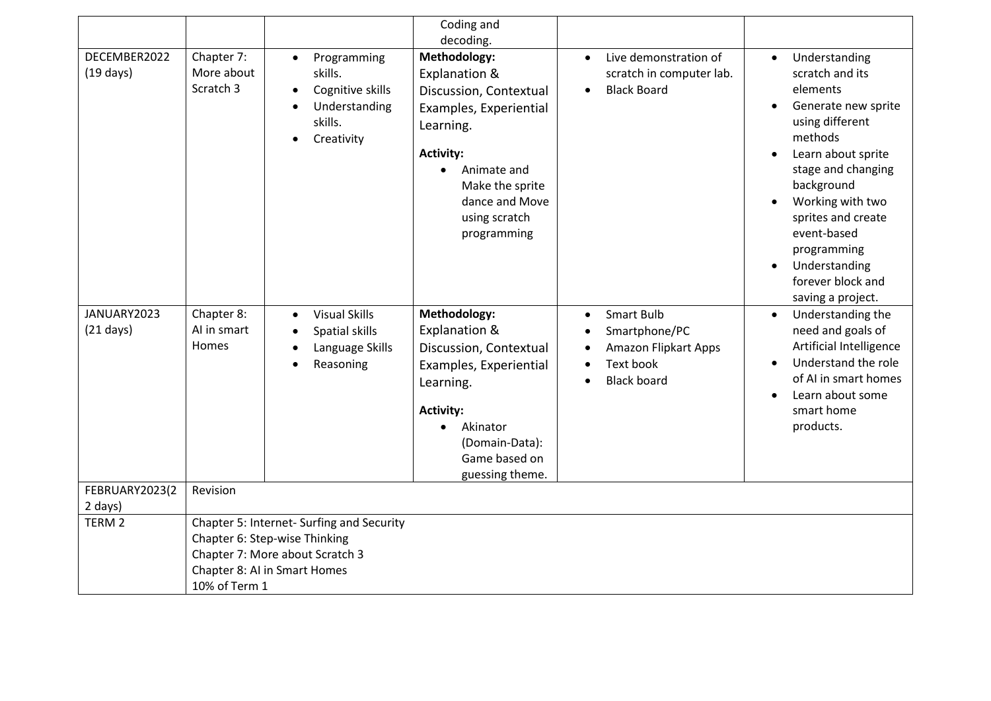|                                     |                                           |                                                                                                                                               | Coding and<br>decoding.                                                                                                                                                                                             |                                                                                                            |                                                                                                                                                                                                                                                                                                                                       |
|-------------------------------------|-------------------------------------------|-----------------------------------------------------------------------------------------------------------------------------------------------|---------------------------------------------------------------------------------------------------------------------------------------------------------------------------------------------------------------------|------------------------------------------------------------------------------------------------------------|---------------------------------------------------------------------------------------------------------------------------------------------------------------------------------------------------------------------------------------------------------------------------------------------------------------------------------------|
| DECEMBER2022<br>$(19 \text{ days})$ | Chapter 7:<br>More about<br>Scratch 3     | Programming<br>$\bullet$<br>skills.<br>Cognitive skills<br>$\bullet$<br>Understanding<br>$\bullet$<br>skills.<br>Creativity<br>$\bullet$      | Methodology:<br>Explanation &<br>Discussion, Contextual<br>Examples, Experiential<br>Learning.<br><b>Activity:</b><br>Animate and<br>$\bullet$<br>Make the sprite<br>dance and Move<br>using scratch<br>programming | Live demonstration of<br>scratch in computer lab.<br><b>Black Board</b>                                    | Understanding<br>$\bullet$<br>scratch and its<br>elements<br>Generate new sprite<br>$\bullet$<br>using different<br>methods<br>Learn about sprite<br>stage and changing<br>background<br>Working with two<br>sprites and create<br>event-based<br>programming<br>Understanding<br>$\bullet$<br>forever block and<br>saving a project. |
| JANUARY2023<br>$(21 \text{ days})$  | Chapter 8:<br>Al in smart<br><b>Homes</b> | <b>Visual Skills</b><br>$\bullet$<br>Spatial skills<br>Language Skills<br>$\bullet$<br>Reasoning<br>$\bullet$                                 | Methodology:<br>Explanation &<br>Discussion, Contextual<br>Examples, Experiential<br>Learning.<br><b>Activity:</b><br>Akinator<br>(Domain-Data):<br>Game based on<br>guessing theme.                                | Smart Bulb<br>$\bullet$<br>Smartphone/PC<br><b>Amazon Flipkart Apps</b><br>Text book<br><b>Black board</b> | Understanding the<br>$\bullet$<br>need and goals of<br>Artificial Intelligence<br>Understand the role<br>$\bullet$<br>of AI in smart homes<br>Learn about some<br>smart home<br>products.                                                                                                                                             |
| FEBRUARY2023(2<br>2 days)           | Revision                                  |                                                                                                                                               |                                                                                                                                                                                                                     |                                                                                                            |                                                                                                                                                                                                                                                                                                                                       |
| TERM <sub>2</sub>                   | 10% of Term 1                             | Chapter 5: Internet- Surfing and Security<br>Chapter 6: Step-wise Thinking<br>Chapter 7: More about Scratch 3<br>Chapter 8: AI in Smart Homes |                                                                                                                                                                                                                     |                                                                                                            |                                                                                                                                                                                                                                                                                                                                       |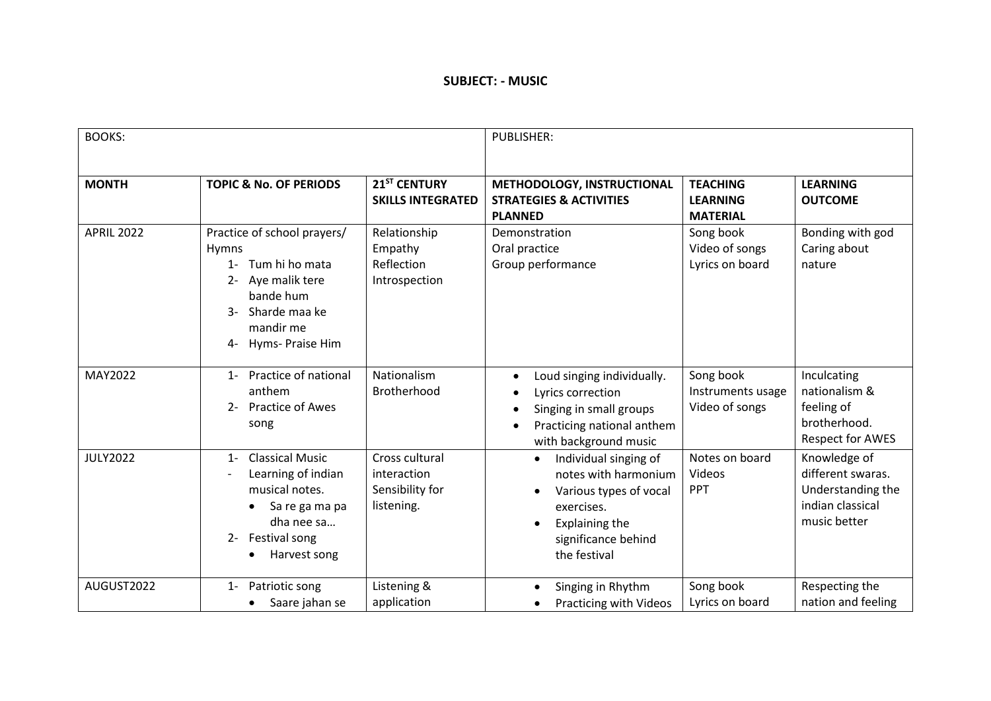#### **SUBJECT: - MUSIC**

| <b>BOOKS:</b>     |                                                                                                                                                         |                                                                | <b>PUBLISHER:</b>                                                                                                                                                  |                                                       |                                                                                            |
|-------------------|---------------------------------------------------------------------------------------------------------------------------------------------------------|----------------------------------------------------------------|--------------------------------------------------------------------------------------------------------------------------------------------------------------------|-------------------------------------------------------|--------------------------------------------------------------------------------------------|
| <b>MONTH</b>      | <b>TOPIC &amp; No. OF PERIODS</b>                                                                                                                       | 21 <sup>ST</sup> CENTURY<br><b>SKILLS INTEGRATED</b>           | METHODOLOGY, INSTRUCTIONAL<br><b>STRATEGIES &amp; ACTIVITIES</b><br><b>PLANNED</b>                                                                                 | <b>TEACHING</b><br><b>LEARNING</b><br><b>MATERIAL</b> | <b>LEARNING</b><br><b>OUTCOME</b>                                                          |
| <b>APRIL 2022</b> | Practice of school prayers/<br><b>Hymns</b><br>1- Tum hi ho mata<br>Aye malik tere<br>bande hum<br>Sharde maa ke<br>mandir me<br>Hyms- Praise Him<br>4- | Relationship<br>Empathy<br>Reflection<br>Introspection         | Demonstration<br>Oral practice<br>Group performance                                                                                                                | Song book<br>Video of songs<br>Lyrics on board        | Bonding with god<br>Caring about<br>nature                                                 |
| MAY2022           | Practice of national<br>$1 -$<br>anthem<br><b>Practice of Awes</b><br>$2 -$<br>song                                                                     | Nationalism<br>Brotherhood                                     | Loud singing individually.<br>$\bullet$<br>Lyrics correction<br>Singing in small groups<br>Practicing national anthem<br>with background music                     | Song book<br>Instruments usage<br>Video of songs      | Inculcating<br>nationalism &<br>feeling of<br>brotherhood.<br><b>Respect for AWES</b>      |
| <b>JULY2022</b>   | <b>Classical Music</b><br>$1 -$<br>Learning of indian<br>musical notes.<br>Sa re ga ma pa<br>dha nee sa<br>2- Festival song<br>Harvest song             | Cross cultural<br>interaction<br>Sensibility for<br>listening. | Individual singing of<br>$\bullet$<br>notes with harmonium<br>Various types of vocal<br>exercises.<br><b>Explaining the</b><br>significance behind<br>the festival | Notes on board<br>Videos<br>PPT                       | Knowledge of<br>different swaras.<br>Understanding the<br>indian classical<br>music better |
| AUGUST2022        | Patriotic song<br>$1 -$<br>Saare jahan se                                                                                                               | Listening &<br>application                                     | Singing in Rhythm<br>Practicing with Videos                                                                                                                        | Song book<br>Lyrics on board                          | Respecting the<br>nation and feeling                                                       |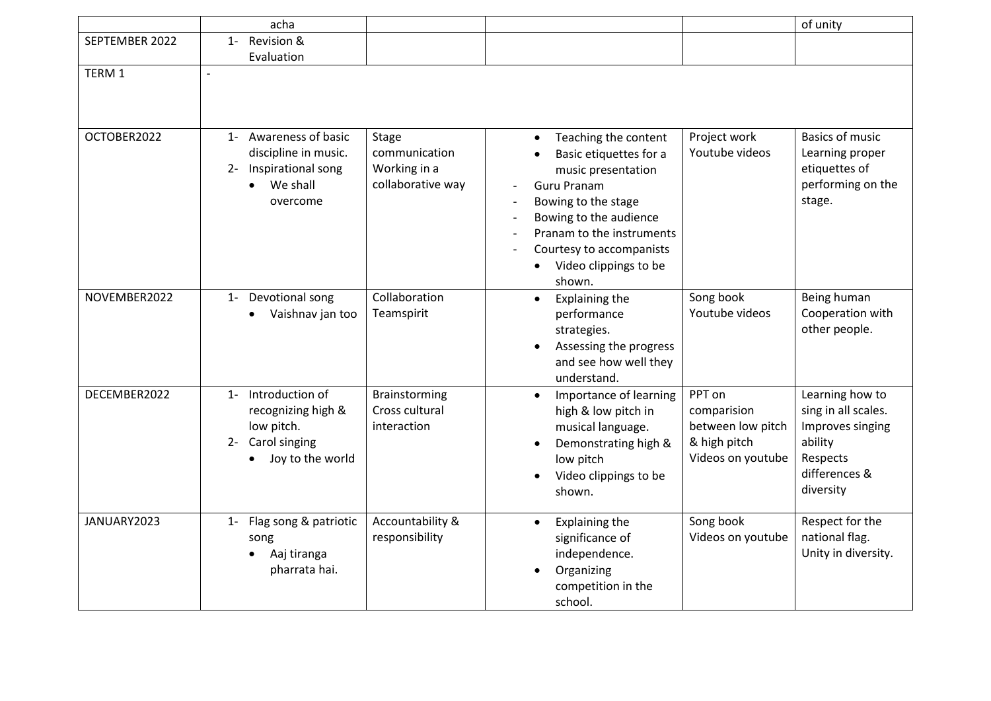|                | acha                                                                                                 |                                                             |                                                                                                                                                                                                                                                      |                                                                                 | of unity                                                                                                        |
|----------------|------------------------------------------------------------------------------------------------------|-------------------------------------------------------------|------------------------------------------------------------------------------------------------------------------------------------------------------------------------------------------------------------------------------------------------------|---------------------------------------------------------------------------------|-----------------------------------------------------------------------------------------------------------------|
| SEPTEMBER 2022 | Revision &<br>$1 -$                                                                                  |                                                             |                                                                                                                                                                                                                                                      |                                                                                 |                                                                                                                 |
|                | Evaluation                                                                                           |                                                             |                                                                                                                                                                                                                                                      |                                                                                 |                                                                                                                 |
| TERM 1         | $\blacksquare$                                                                                       |                                                             |                                                                                                                                                                                                                                                      |                                                                                 |                                                                                                                 |
| OCTOBER2022    | 1- Awareness of basic<br>discipline in music.<br>Inspirational song<br>$2 -$<br>We shall<br>overcome | Stage<br>communication<br>Working in a<br>collaborative way | Teaching the content<br>$\bullet$<br>Basic etiquettes for a<br>music presentation<br><b>Guru Pranam</b><br>Bowing to the stage<br>Bowing to the audience<br>Pranam to the instruments<br>Courtesy to accompanists<br>Video clippings to be<br>shown. | Project work<br>Youtube videos                                                  | <b>Basics of music</b><br>Learning proper<br>etiquettes of<br>performing on the<br>stage.                       |
| NOVEMBER2022   | 1- Devotional song<br>Vaishnav jan too                                                               | Collaboration<br>Teamspirit                                 | Explaining the<br>$\bullet$<br>performance<br>strategies.<br>Assessing the progress<br>and see how well they<br>understand.                                                                                                                          | Song book<br>Youtube videos                                                     | Being human<br>Cooperation with<br>other people.                                                                |
| DECEMBER2022   | 1- Introduction of<br>recognizing high &<br>low pitch.<br>2- Carol singing<br>Joy to the world       | Brainstorming<br>Cross cultural<br>interaction              | Importance of learning<br>$\bullet$<br>high & low pitch in<br>musical language.<br>Demonstrating high &<br>low pitch<br>Video clippings to be<br>shown.                                                                                              | PPT on<br>comparision<br>between low pitch<br>& high pitch<br>Videos on youtube | Learning how to<br>sing in all scales.<br>Improves singing<br>ability<br>Respects<br>differences &<br>diversity |
| JANUARY2023    | Flag song & patriotic<br>$1 -$<br>song<br>Aaj tiranga<br>pharrata hai.                               | Accountability &<br>responsibility                          | Explaining the<br>$\bullet$<br>significance of<br>independence.<br>Organizing<br>$\bullet$<br>competition in the<br>school.                                                                                                                          | Song book<br>Videos on youtube                                                  | Respect for the<br>national flag.<br>Unity in diversity.                                                        |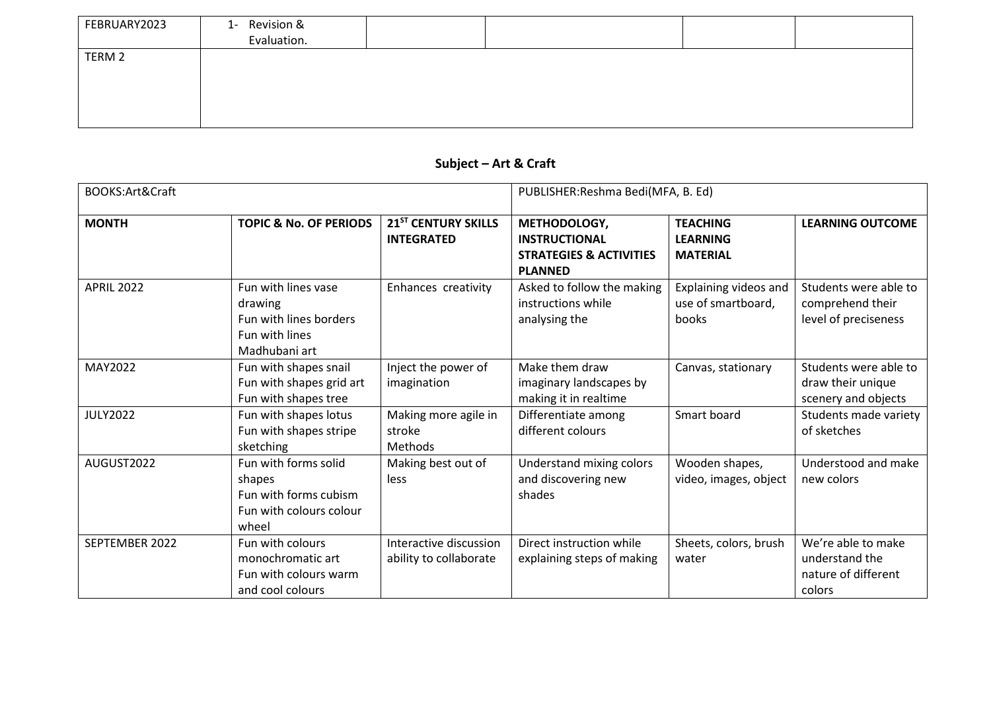| FEBRUARY2023 | 1- Revision &<br>Evaluation. |  |  |
|--------------|------------------------------|--|--|
| TERM 2       |                              |  |  |

## **Subject – Art & Craft**

| BOOKS:Art&Craft   |                                                                                             |                                                      | PUBLISHER: Reshma Bedi(MFA, B. Ed)                                                           |                                                       |                                                                       |
|-------------------|---------------------------------------------------------------------------------------------|------------------------------------------------------|----------------------------------------------------------------------------------------------|-------------------------------------------------------|-----------------------------------------------------------------------|
| <b>MONTH</b>      | <b>TOPIC &amp; No. OF PERIODS</b>                                                           | 21 <sup>ST</sup> CENTURY SKILLS<br><b>INTEGRATED</b> | METHODOLOGY,<br><b>INSTRUCTIONAL</b><br><b>STRATEGIES &amp; ACTIVITIES</b><br><b>PLANNED</b> | <b>TEACHING</b><br><b>LEARNING</b><br><b>MATERIAL</b> | <b>LEARNING OUTCOME</b>                                               |
| <b>APRIL 2022</b> | Fun with lines vase<br>drawing<br>Fun with lines borders<br>Fun with lines<br>Madhubani art | Enhances creativity                                  | Asked to follow the making<br>instructions while<br>analysing the                            | Explaining videos and<br>use of smartboard,<br>books  | Students were able to<br>comprehend their<br>level of preciseness     |
| MAY2022           | Fun with shapes snail<br>Fun with shapes grid art<br>Fun with shapes tree                   | Inject the power of<br>imagination                   | Make them draw<br>imaginary landscapes by<br>making it in realtime                           | Canvas, stationary                                    | Students were able to<br>draw their unique<br>scenery and objects     |
| <b>JULY2022</b>   | Fun with shapes lotus<br>Fun with shapes stripe<br>sketching                                | Making more agile in<br>stroke<br>Methods            | Differentiate among<br>different colours                                                     | Smart board                                           | Students made variety<br>of sketches                                  |
| AUGUST2022        | Fun with forms solid<br>shapes<br>Fun with forms cubism<br>Fun with colours colour<br>wheel | Making best out of<br>less                           | Understand mixing colors<br>and discovering new<br>shades                                    | Wooden shapes,<br>video, images, object               | Understood and make<br>new colors                                     |
| SEPTEMBER 2022    | Fun with colours<br>monochromatic art<br>Fun with colours warm<br>and cool colours          | Interactive discussion<br>ability to collaborate     | Direct instruction while<br>explaining steps of making                                       | Sheets, colors, brush<br>water                        | We're able to make<br>understand the<br>nature of different<br>colors |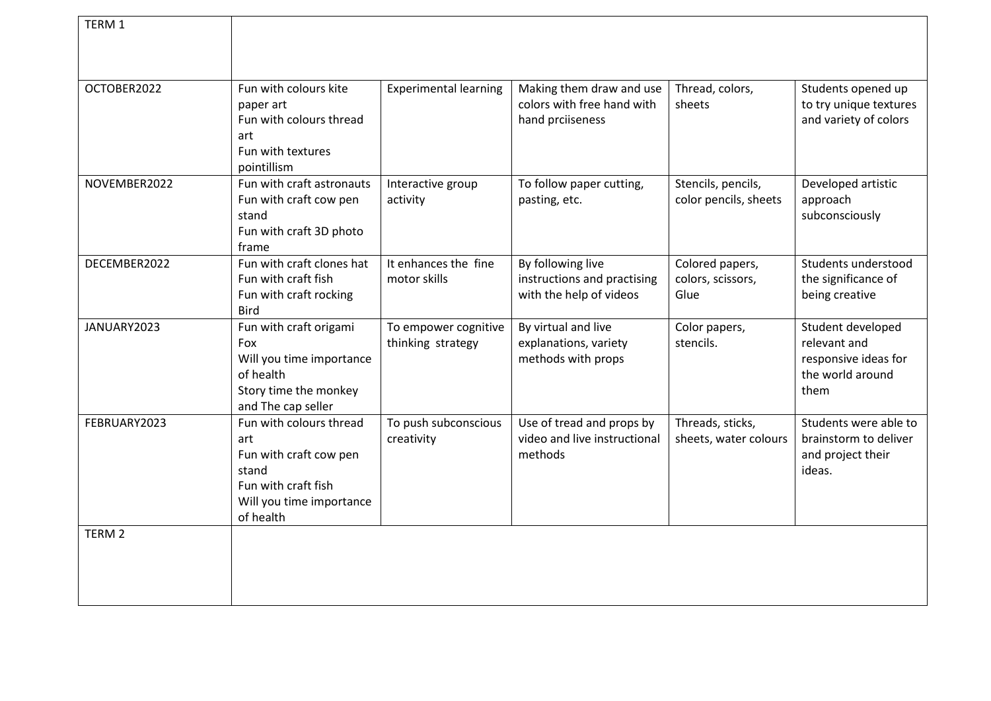| TERM 1            |                                       |                              |                              |                       |                        |
|-------------------|---------------------------------------|------------------------------|------------------------------|-----------------------|------------------------|
|                   |                                       |                              |                              |                       |                        |
|                   |                                       |                              |                              |                       |                        |
| OCTOBER2022       | Fun with colours kite                 | <b>Experimental learning</b> | Making them draw and use     | Thread, colors,       | Students opened up     |
|                   | paper art                             |                              | colors with free hand with   | sheets                | to try unique textures |
|                   | Fun with colours thread               |                              | hand prciiseness             |                       | and variety of colors  |
|                   | art                                   |                              |                              |                       |                        |
|                   | Fun with textures<br>pointillism      |                              |                              |                       |                        |
| NOVEMBER2022      | Fun with craft astronauts             | Interactive group            | To follow paper cutting,     | Stencils, pencils,    | Developed artistic     |
|                   | Fun with craft cow pen                | activity                     | pasting, etc.                | color pencils, sheets | approach               |
|                   | stand                                 |                              |                              |                       | subconsciously         |
|                   | Fun with craft 3D photo               |                              |                              |                       |                        |
|                   | frame                                 |                              |                              |                       |                        |
| DECEMBER2022      | Fun with craft clones hat             | It enhances the fine         | By following live            | Colored papers,       | Students understood    |
|                   | Fun with craft fish                   | motor skills                 | instructions and practising  | colors, scissors,     | the significance of    |
|                   | Fun with craft rocking                |                              | with the help of videos      | Glue                  | being creative         |
| JANUARY2023       | <b>Bird</b><br>Fun with craft origami | To empower cognitive         | By virtual and live          | Color papers,         | Student developed      |
|                   | Fox                                   | thinking strategy            | explanations, variety        | stencils.             | relevant and           |
|                   | Will you time importance              |                              | methods with props           |                       | responsive ideas for   |
|                   | of health                             |                              |                              |                       | the world around       |
|                   | Story time the monkey                 |                              |                              |                       | them                   |
|                   | and The cap seller                    |                              |                              |                       |                        |
| FEBRUARY2023      | Fun with colours thread               | To push subconscious         | Use of tread and props by    | Threads, sticks,      | Students were able to  |
|                   | art                                   | creativity                   | video and live instructional | sheets, water colours | brainstorm to deliver  |
|                   | Fun with craft cow pen                |                              | methods                      |                       | and project their      |
|                   | stand                                 |                              |                              |                       | ideas.                 |
|                   | Fun with craft fish                   |                              |                              |                       |                        |
|                   | Will you time importance<br>of health |                              |                              |                       |                        |
| TERM <sub>2</sub> |                                       |                              |                              |                       |                        |
|                   |                                       |                              |                              |                       |                        |
|                   |                                       |                              |                              |                       |                        |
|                   |                                       |                              |                              |                       |                        |
|                   |                                       |                              |                              |                       |                        |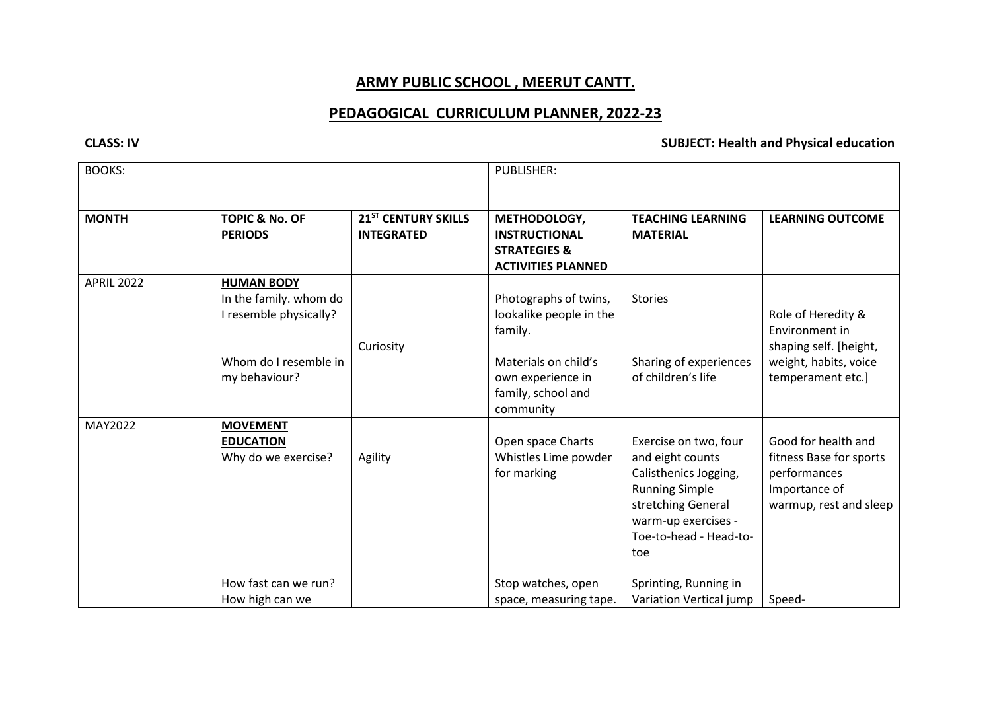# **ARMY PUBLIC SCHOOL , MEERUT CANTT.**

# **PEDAGOGICAL CURRICULUM PLANNER, 2022-23**

#### **CLASS: IV SUBJECT: Health and Physical education**

| <b>BOOKS:</b>     |                                                                                                                 |                                                      | <b>PUBLISHER:</b>                                                                                                                           |                                                                                                                                                                                                                               |                                                                                                                     |
|-------------------|-----------------------------------------------------------------------------------------------------------------|------------------------------------------------------|---------------------------------------------------------------------------------------------------------------------------------------------|-------------------------------------------------------------------------------------------------------------------------------------------------------------------------------------------------------------------------------|---------------------------------------------------------------------------------------------------------------------|
| <b>MONTH</b>      | <b>TOPIC &amp; No. OF</b><br><b>PERIODS</b>                                                                     | 21 <sup>ST</sup> CENTURY SKILLS<br><b>INTEGRATED</b> | METHODOLOGY,<br><b>INSTRUCTIONAL</b><br><b>STRATEGIES &amp;</b><br><b>ACTIVITIES PLANNED</b>                                                | <b>TEACHING LEARNING</b><br><b>MATERIAL</b>                                                                                                                                                                                   | <b>LEARNING OUTCOME</b>                                                                                             |
| <b>APRIL 2022</b> | <b>HUMAN BODY</b><br>In the family. whom do<br>I resemble physically?<br>Whom do I resemble in<br>my behaviour? | Curiosity                                            | Photographs of twins,<br>lookalike people in the<br>family.<br>Materials on child's<br>own experience in<br>family, school and<br>community | <b>Stories</b><br>Sharing of experiences<br>of children's life                                                                                                                                                                | Role of Heredity &<br>Environment in<br>shaping self. [height,<br>weight, habits, voice<br>temperament etc.]        |
| MAY2022           | <b>MOVEMENT</b><br><b>EDUCATION</b><br>Why do we exercise?<br>How fast can we run?<br>How high can we           | Agility                                              | Open space Charts<br>Whistles Lime powder<br>for marking<br>Stop watches, open<br>space, measuring tape.                                    | Exercise on two, four<br>and eight counts<br>Calisthenics Jogging,<br><b>Running Simple</b><br>stretching General<br>warm-up exercises -<br>Toe-to-head - Head-to-<br>toe<br>Sprinting, Running in<br>Variation Vertical jump | Good for health and<br>fitness Base for sports<br>performances<br>Importance of<br>warmup, rest and sleep<br>Speed- |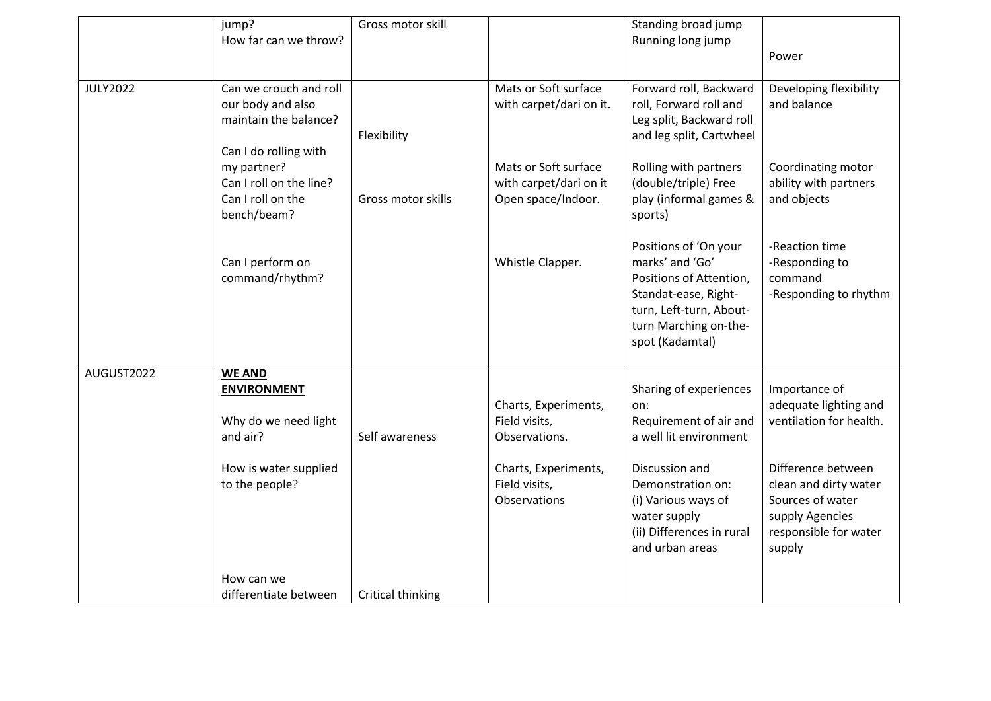|                 | jump?                   | Gross motor skill  |                                       | Standing broad jump           |                         |
|-----------------|-------------------------|--------------------|---------------------------------------|-------------------------------|-------------------------|
|                 | How far can we throw?   |                    |                                       | Running long jump             |                         |
|                 |                         |                    |                                       |                               | Power                   |
|                 |                         |                    |                                       |                               |                         |
| <b>JULY2022</b> | Can we crouch and roll  |                    | Mats or Soft surface                  | Forward roll, Backward        | Developing flexibility  |
|                 | our body and also       |                    | with carpet/dari on it.               | roll, Forward roll and        | and balance             |
|                 | maintain the balance?   |                    |                                       | Leg split, Backward roll      |                         |
|                 |                         | Flexibility        |                                       | and leg split, Cartwheel      |                         |
|                 | Can I do rolling with   |                    |                                       |                               |                         |
|                 | my partner?             |                    | Mats or Soft surface                  | Rolling with partners         | Coordinating motor      |
|                 | Can I roll on the line? |                    | with carpet/dari on it                | (double/triple) Free          | ability with partners   |
|                 | Can I roll on the       | Gross motor skills | Open space/Indoor.                    | play (informal games &        | and objects             |
|                 | bench/beam?             |                    |                                       | sports)                       |                         |
|                 |                         |                    |                                       | Positions of 'On your         | -Reaction time          |
|                 | Can I perform on        |                    | Whistle Clapper.                      | marks' and 'Go'               | -Responding to          |
|                 | command/rhythm?         |                    |                                       | Positions of Attention,       | command                 |
|                 |                         |                    |                                       | Standat-ease, Right-          | -Responding to rhythm   |
|                 |                         |                    |                                       | turn, Left-turn, About-       |                         |
|                 |                         |                    |                                       | turn Marching on-the-         |                         |
|                 |                         |                    |                                       | spot (Kadamtal)               |                         |
| AUGUST2022      | <b>WE AND</b>           |                    |                                       |                               |                         |
|                 |                         |                    |                                       | Sharing of experiences        | Importance of           |
|                 | <b>ENVIRONMENT</b>      |                    |                                       |                               | adequate lighting and   |
|                 | Why do we need light    |                    | Charts, Experiments,<br>Field visits, | on:<br>Requirement of air and | ventilation for health. |
|                 | and air?                | Self awareness     | Observations.                         | a well lit environment        |                         |
|                 |                         |                    |                                       |                               |                         |
|                 | How is water supplied   |                    | Charts, Experiments,                  | Discussion and                | Difference between      |
|                 | to the people?          |                    | Field visits,                         | Demonstration on:             | clean and dirty water   |
|                 |                         |                    | Observations                          | (i) Various ways of           | Sources of water        |
|                 |                         |                    |                                       | water supply                  | supply Agencies         |
|                 |                         |                    |                                       | (ii) Differences in rural     | responsible for water   |
|                 |                         |                    |                                       | and urban areas               | supply                  |
|                 | How can we              |                    |                                       |                               |                         |
|                 | differentiate between   | Critical thinking  |                                       |                               |                         |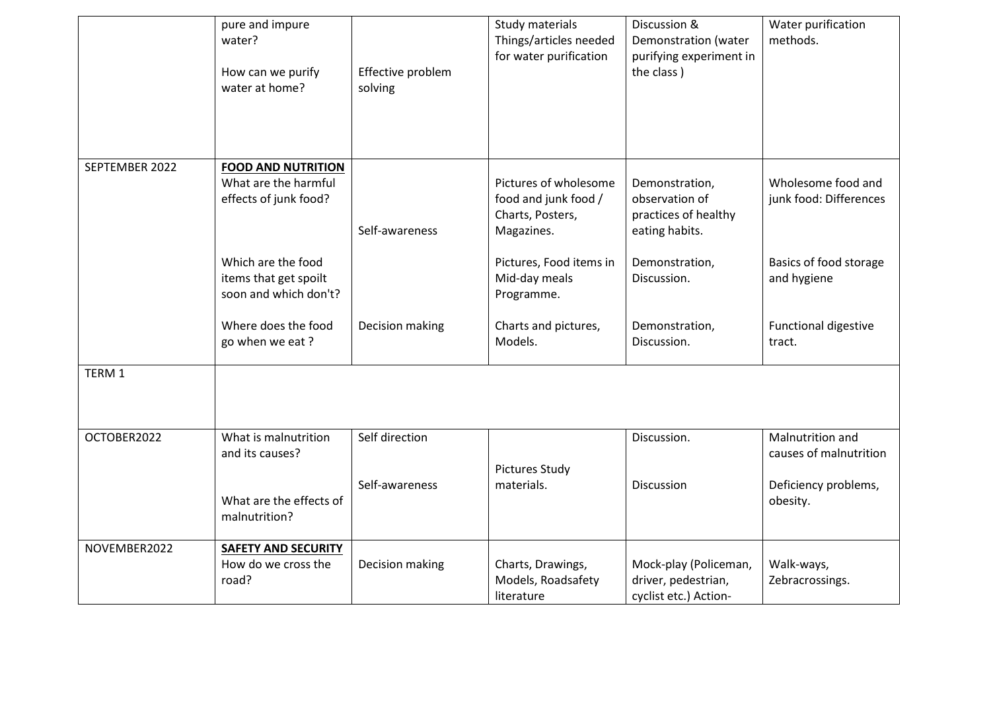|                | pure and impure<br>water?<br>How can we purify<br>water at home?           | Effective problem<br>solving | Study materials<br>Things/articles needed<br>for water purification             | Discussion &<br>Demonstration (water<br>purifying experiment in<br>the class) | Water purification<br>methods.               |
|----------------|----------------------------------------------------------------------------|------------------------------|---------------------------------------------------------------------------------|-------------------------------------------------------------------------------|----------------------------------------------|
| SEPTEMBER 2022 | <b>FOOD AND NUTRITION</b><br>What are the harmful<br>effects of junk food? | Self-awareness               | Pictures of wholesome<br>food and junk food /<br>Charts, Posters,<br>Magazines. | Demonstration,<br>observation of<br>practices of healthy<br>eating habits.    | Wholesome food and<br>junk food: Differences |
|                | Which are the food<br>items that get spoilt<br>soon and which don't?       |                              | Pictures, Food items in<br>Mid-day meals<br>Programme.                          | Demonstration,<br>Discussion.                                                 | Basics of food storage<br>and hygiene        |
|                | Where does the food<br>go when we eat?                                     | Decision making              | Charts and pictures,<br>Models.                                                 | Demonstration,<br>Discussion.                                                 | <b>Functional digestive</b><br>tract.        |
| TERM 1         |                                                                            |                              |                                                                                 |                                                                               |                                              |
| OCTOBER2022    | What is malnutrition<br>and its causes?                                    | Self direction               | <b>Pictures Study</b>                                                           | Discussion.                                                                   | Malnutrition and<br>causes of malnutrition   |
|                | What are the effects of<br>malnutrition?                                   | Self-awareness               | materials.                                                                      | Discussion                                                                    | Deficiency problems,<br>obesity.             |
| NOVEMBER2022   | <b>SAFETY AND SECURITY</b><br>How do we cross the<br>road?                 | Decision making              | Charts, Drawings,<br>Models, Roadsafety<br>literature                           | Mock-play (Policeman,<br>driver, pedestrian,<br>cyclist etc.) Action-         | Walk-ways,<br>Zebracrossings.                |